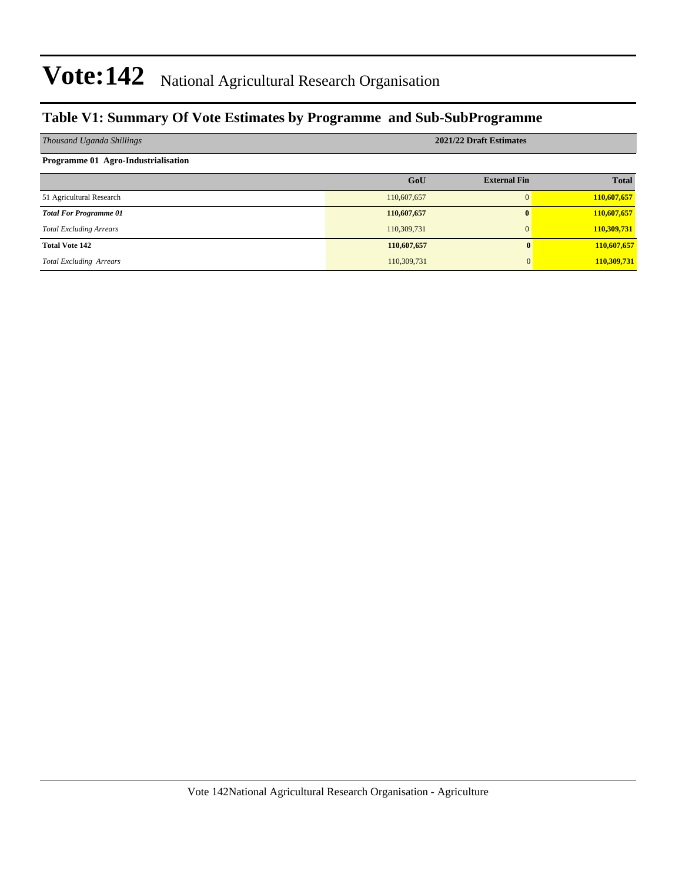#### **Table V1: Summary Of Vote Estimates by Programme and Sub-SubProgramme**

| Thousand Uganda Shillings           | 2021/22 Draft Estimates |                     |              |  |  |  |  |  |
|-------------------------------------|-------------------------|---------------------|--------------|--|--|--|--|--|
| Programme 01 Agro-Industrialisation |                         |                     |              |  |  |  |  |  |
|                                     | GoU                     | <b>External Fin</b> | <b>Total</b> |  |  |  |  |  |
| 51 Agricultural Research            | 110,607,657             | $\Omega$            | 110,607,657  |  |  |  |  |  |
| <b>Total For Programme 01</b>       | 110,607,657             | $\bf{0}$            | 110,607,657  |  |  |  |  |  |
| <b>Total Excluding Arrears</b>      | 110,309,731             | $\mathbf{0}$        | 110,309,731  |  |  |  |  |  |
| <b>Total Vote 142</b>               | 110,607,657             |                     | 110,607,657  |  |  |  |  |  |
| <b>Total Excluding Arrears</b>      | 110,309,731             |                     | 110,309,731  |  |  |  |  |  |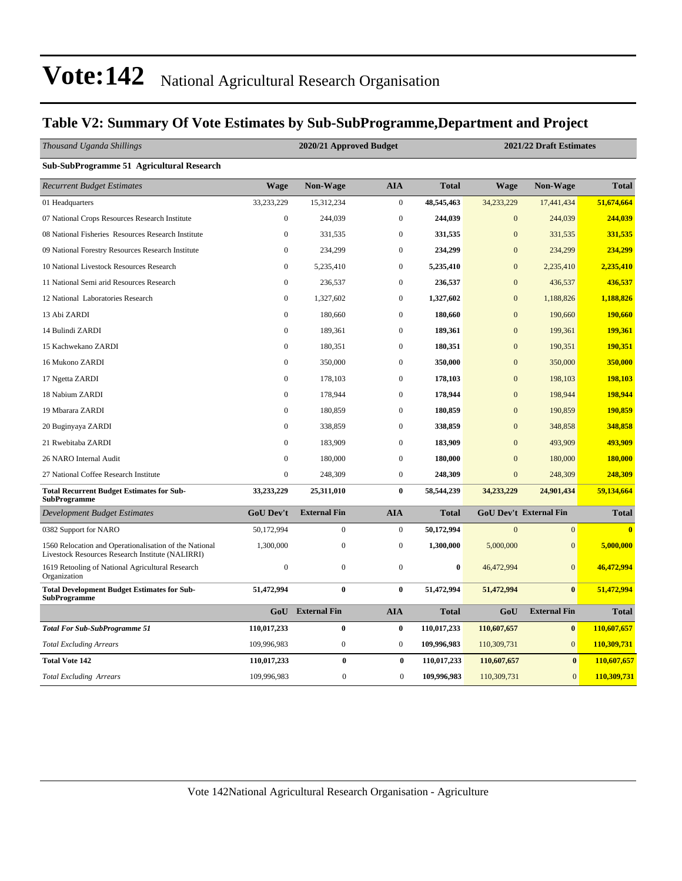#### **Table V2: Summary Of Vote Estimates by Sub-SubProgramme,Department and Project**

| Thousand Uganda Shillings                                                                                  | 2020/21 Approved Budget<br>2021/22 Draft Estimates |                     |                  |              |                |                               |              |
|------------------------------------------------------------------------------------------------------------|----------------------------------------------------|---------------------|------------------|--------------|----------------|-------------------------------|--------------|
| Sub-SubProgramme 51 Agricultural Research                                                                  |                                                    |                     |                  |              |                |                               |              |
| <b>Recurrent Budget Estimates</b>                                                                          | <b>Wage</b>                                        | Non-Wage            | <b>AIA</b>       | <b>Total</b> | <b>Wage</b>    | Non-Wage                      | <b>Total</b> |
| 01 Headquarters                                                                                            | 33,233,229                                         | 15,312,234          | $\mathbf{0}$     | 48,545,463   | 34,233,229     | 17,441,434                    | 51,674,664   |
| 07 National Crops Resources Research Institute                                                             | $\boldsymbol{0}$                                   | 244,039             | $\mathbf{0}$     | 244,039      | $\mathbf{0}$   | 244,039                       | 244,039      |
| 08 National Fisheries Resources Research Institute                                                         | $\boldsymbol{0}$                                   | 331,535             | $\boldsymbol{0}$ | 331,535      | $\mathbf{0}$   | 331,535                       | 331,535      |
| 09 National Forestry Resources Research Institute                                                          | $\boldsymbol{0}$                                   | 234,299             | $\mathbf{0}$     | 234,299      | $\mathbf{0}$   | 234,299                       | 234,299      |
| 10 National Livestock Resources Research                                                                   | $\boldsymbol{0}$                                   | 5,235,410           | $\boldsymbol{0}$ | 5,235,410    | $\mathbf{0}$   | 2,235,410                     | 2,235,410    |
| 11 National Semi arid Resources Research                                                                   | $\mathbf{0}$                                       | 236,537             | $\mathbf{0}$     | 236,537      | $\overline{0}$ | 436,537                       | 436,537      |
| 12 National Laboratories Research                                                                          | $\boldsymbol{0}$                                   | 1,327,602           | $\boldsymbol{0}$ | 1,327,602    | $\mathbf{0}$   | 1,188,826                     | 1,188,826    |
| 13 Abi ZARDI                                                                                               | $\mathbf{0}$                                       | 180,660             | $\mathbf{0}$     | 180,660      | $\overline{0}$ | 190,660                       | 190,660      |
| 14 Bulindi ZARDI                                                                                           | $\mathbf{0}$                                       | 189,361             | $\mathbf{0}$     | 189,361      | $\mathbf{0}$   | 199,361                       | 199,361      |
| 15 Kachwekano ZARDI                                                                                        | $\boldsymbol{0}$                                   | 180,351             | $\boldsymbol{0}$ | 180,351      | $\mathbf{0}$   | 190,351                       | 190,351      |
| 16 Mukono ZARDI                                                                                            | $\mathbf{0}$                                       | 350,000             | $\mathbf{0}$     | 350,000      | $\mathbf{0}$   | 350,000                       | 350,000      |
| 17 Ngetta ZARDI                                                                                            | $\boldsymbol{0}$                                   | 178,103             | $\boldsymbol{0}$ | 178,103      | $\mathbf{0}$   | 198,103                       | 198,103      |
| 18 Nabium ZARDI                                                                                            | $\mathbf{0}$                                       | 178,944             | $\mathbf{0}$     | 178,944      | $\overline{0}$ | 198,944                       | 198,944      |
| 19 Mbarara ZARDI                                                                                           | $\mathbf{0}$                                       | 180,859             | $\mathbf{0}$     | 180,859      | $\overline{0}$ | 190,859                       | 190,859      |
| 20 Buginyaya ZARDI                                                                                         | $\mathbf{0}$                                       | 338,859             | $\mathbf{0}$     | 338,859      | $\overline{0}$ | 348,858                       | 348,858      |
| 21 Rwebitaba ZARDI                                                                                         | $\mathbf{0}$                                       | 183,909             | $\mathbf{0}$     | 183,909      | $\overline{0}$ | 493,909                       | 493,909      |
| 26 NARO Internal Audit                                                                                     | $\boldsymbol{0}$                                   | 180,000             | $\boldsymbol{0}$ | 180,000      | $\mathbf{0}$   | 180,000                       | 180,000      |
| 27 National Coffee Research Institute                                                                      | $\boldsymbol{0}$                                   | 248,309             | $\mathbf{0}$     | 248,309      | $\overline{0}$ | 248,309                       | 248,309      |
| <b>Total Recurrent Budget Estimates for Sub-</b><br><b>SubProgramme</b>                                    | 33,233,229                                         | 25,311,010          | $\bf{0}$         | 58,544,239   | 34,233,229     | 24,901,434                    | 59,134,664   |
| Development Budget Estimates                                                                               | GoU Dev't                                          | <b>External Fin</b> | <b>AIA</b>       | <b>Total</b> |                | <b>GoU Dev't External Fin</b> | <b>Total</b> |
| 0382 Support for NARO                                                                                      | 50,172,994                                         | $\boldsymbol{0}$    | $\boldsymbol{0}$ | 50,172,994   | $\overline{0}$ | $\overline{0}$                |              |
| 1560 Relocation and Operationalisation of the National<br>Livestock Resources Research Institute (NALIRRI) | 1,300,000                                          | $\overline{0}$      | $\mathbf{0}$     | 1,300,000    | 5,000,000      | $\overline{0}$                | 5,000,000    |
| 1619 Retooling of National Agricultural Research<br>Organization                                           | $\boldsymbol{0}$                                   | $\mathbf{0}$        | $\boldsymbol{0}$ | $\bf{0}$     | 46,472,994     | $\overline{0}$                | 46,472,994   |
| <b>Total Development Budget Estimates for Sub-</b><br><b>SubProgramme</b>                                  | 51,472,994                                         | $\bf{0}$            | $\bf{0}$         | 51,472,994   | 51,472,994     | $\bf{0}$                      | 51,472,994   |
|                                                                                                            | GoU                                                | <b>External Fin</b> | <b>AIA</b>       | <b>Total</b> | GoU            | <b>External Fin</b>           | <b>Total</b> |
| <b>Total For Sub-SubProgramme 51</b>                                                                       | 110,017,233                                        | $\bf{0}$            | $\bf{0}$         | 110,017,233  | 110,607,657    | $\bf{0}$                      | 110,607,657  |
| <b>Total Excluding Arrears</b>                                                                             | 109,996,983                                        | $\boldsymbol{0}$    | $\boldsymbol{0}$ | 109,996,983  | 110,309,731    | $\overline{0}$                | 110,309,731  |
| <b>Total Vote 142</b>                                                                                      | 110,017,233                                        | $\bf{0}$            | $\bf{0}$         | 110,017,233  | 110,607,657    | $\bf{0}$                      | 110,607,657  |
| <b>Total Excluding Arrears</b>                                                                             | 109,996,983                                        | $\boldsymbol{0}$    | $\boldsymbol{0}$ | 109,996,983  | 110,309,731    | $\mathbf{0}$                  | 110,309,731  |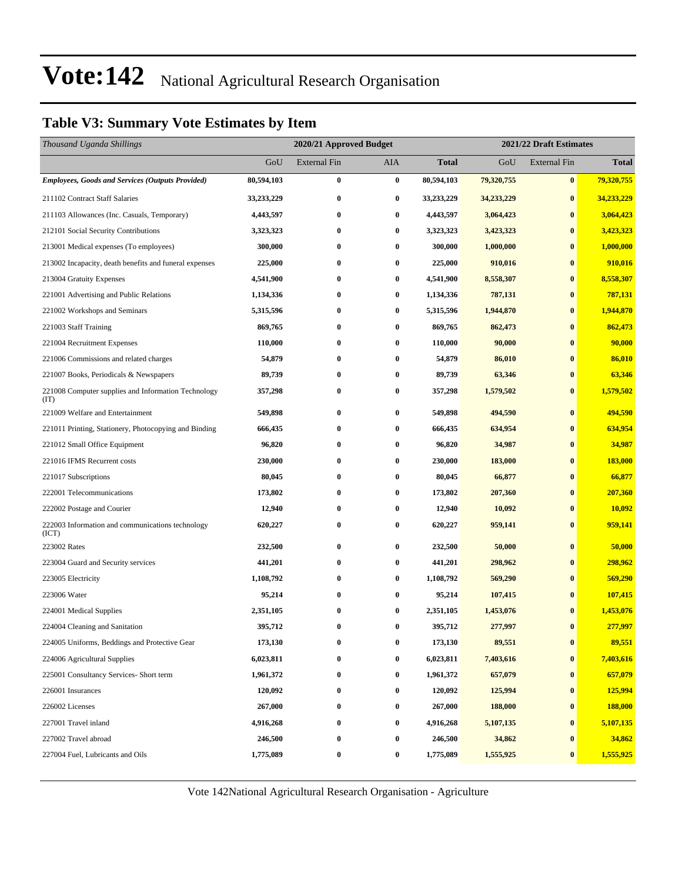#### **Table V3: Summary Vote Estimates by Item**

| Thousand Uganda Shillings                                   |            | 2020/21 Approved Budget |                  |              | 2021/22 Draft Estimates |                  |              |  |
|-------------------------------------------------------------|------------|-------------------------|------------------|--------------|-------------------------|------------------|--------------|--|
|                                                             | GoU        | External Fin            | AIA              | <b>Total</b> | GoU                     | External Fin     | <b>Total</b> |  |
| <b>Employees, Goods and Services (Outputs Provided)</b>     | 80,594,103 | $\bf{0}$                | $\bf{0}$         | 80,594,103   | 79,320,755              | $\pmb{0}$        | 79,320,755   |  |
| 211102 Contract Staff Salaries                              | 33,233,229 | $\bf{0}$                | 0                | 33,233,229   | 34,233,229              | $\bf{0}$         | 34,233,229   |  |
| 211103 Allowances (Inc. Casuals, Temporary)                 | 4,443,597  | $\bf{0}$                | $\boldsymbol{0}$ | 4,443,597    | 3,064,423               | $\bf{0}$         | 3,064,423    |  |
| 212101 Social Security Contributions                        | 3,323,323  | $\bf{0}$                | $\bf{0}$         | 3,323,323    | 3,423,323               | $\bf{0}$         | 3,423,323    |  |
| 213001 Medical expenses (To employees)                      | 300,000    | $\bf{0}$                | $\bf{0}$         | 300,000      | 1,000,000               | $\bf{0}$         | 1,000,000    |  |
| 213002 Incapacity, death benefits and funeral expenses      | 225,000    | $\bf{0}$                | $\bf{0}$         | 225,000      | 910,016                 | $\bf{0}$         | 910,016      |  |
| 213004 Gratuity Expenses                                    | 4,541,900  | $\bf{0}$                | $\bf{0}$         | 4,541,900    | 8,558,307               | $\bf{0}$         | 8,558,307    |  |
| 221001 Advertising and Public Relations                     | 1,134,336  | $\bf{0}$                | $\bf{0}$         | 1,134,336    | 787,131                 | $\bf{0}$         | 787,131      |  |
| 221002 Workshops and Seminars                               | 5,315,596  | $\bf{0}$                | $\bf{0}$         | 5,315,596    | 1,944,870               | $\bf{0}$         | 1,944,870    |  |
| 221003 Staff Training                                       | 869,765    | $\bf{0}$                | $\bf{0}$         | 869,765      | 862,473                 | $\bf{0}$         | 862,473      |  |
| 221004 Recruitment Expenses                                 | 110,000    | $\bf{0}$                | $\bf{0}$         | 110,000      | 90,000                  | $\bf{0}$         | 90,000       |  |
| 221006 Commissions and related charges                      | 54,879     | $\bf{0}$                | $\bf{0}$         | 54,879       | 86,010                  | $\bf{0}$         | 86,010       |  |
| 221007 Books, Periodicals & Newspapers                      | 89,739     | $\bf{0}$                | $\bf{0}$         | 89,739       | 63,346                  | $\bf{0}$         | 63,346       |  |
| 221008 Computer supplies and Information Technology<br>(TT) | 357,298    | $\bf{0}$                | $\bf{0}$         | 357,298      | 1,579,502               | $\bf{0}$         | 1,579,502    |  |
| 221009 Welfare and Entertainment                            | 549,898    | $\bf{0}$                | $\bf{0}$         | 549,898      | 494,590                 | $\bf{0}$         | 494,590      |  |
| 221011 Printing, Stationery, Photocopying and Binding       | 666,435    | $\bf{0}$                | $\bf{0}$         | 666,435      | 634,954                 | $\bf{0}$         | 634,954      |  |
| 221012 Small Office Equipment                               | 96,820     | $\bf{0}$                | $\bf{0}$         | 96,820       | 34,987                  | $\bf{0}$         | 34,987       |  |
| 221016 IFMS Recurrent costs                                 | 230,000    | $\bf{0}$                | $\bf{0}$         | 230,000      | 183,000                 | $\bf{0}$         | 183,000      |  |
| 221017 Subscriptions                                        | 80,045     | $\bf{0}$                | $\bf{0}$         | 80,045       | 66,877                  | $\bf{0}$         | 66,877       |  |
| 222001 Telecommunications                                   | 173,802    | $\bf{0}$                | $\bf{0}$         | 173,802      | 207,360                 | $\bf{0}$         | 207,360      |  |
| 222002 Postage and Courier                                  | 12,940     | $\bf{0}$                | $\bf{0}$         | 12,940       | 10,092                  | $\bf{0}$         | 10,092       |  |
| 222003 Information and communications technology<br>(ICT)   | 620,227    | $\bf{0}$                | $\bf{0}$         | 620,227      | 959,141                 | $\bf{0}$         | 959,141      |  |
| 223002 Rates                                                | 232,500    | $\bf{0}$                | $\bf{0}$         | 232,500      | 50,000                  | $\bf{0}$         | 50,000       |  |
| 223004 Guard and Security services                          | 441,201    | $\bf{0}$                | $\boldsymbol{0}$ | 441,201      | 298,962                 | $\bf{0}$         | 298,962      |  |
| 223005 Electricity                                          | 1,108,792  | $\bf{0}$                | $\bf{0}$         | 1,108,792    | 569,290                 | $\bf{0}$         | 569,290      |  |
| 223006 Water                                                | 95,214     | $\bf{0}$                | $\bf{0}$         | 95,214       | 107,415                 | $\bf{0}$         | 107,415      |  |
| 224001 Medical Supplies                                     | 2,351,105  | $\bf{0}$                | 0                | 2,351,105    | 1,453,076               | $\bf{0}$         | 1,453,076    |  |
| 224004 Cleaning and Sanitation                              | 395,712    | $\bf{0}$                | $\bf{0}$         | 395,712      | 277,997                 | $\bf{0}$         | 277,997      |  |
| 224005 Uniforms, Beddings and Protective Gear               | 173,130    | $\bf{0}$                | $\bf{0}$         | 173,130      | 89,551                  | $\boldsymbol{0}$ | 89,551       |  |
| 224006 Agricultural Supplies                                | 6,023,811  | $\bf{0}$                | $\bf{0}$         | 6,023,811    | 7,403,616               | $\boldsymbol{0}$ | 7,403,616    |  |
| 225001 Consultancy Services- Short term                     | 1,961,372  | $\bf{0}$                | $\boldsymbol{0}$ | 1,961,372    | 657,079                 | $\bf{0}$         | 657,079      |  |
| 226001 Insurances                                           | 120,092    | $\bf{0}$                | $\boldsymbol{0}$ | 120,092      | 125,994                 | $\bf{0}$         | 125,994      |  |
| 226002 Licenses                                             | 267,000    | $\bf{0}$                | $\boldsymbol{0}$ | 267,000      | 188,000                 | $\bf{0}$         | 188,000      |  |
| 227001 Travel inland                                        | 4,916,268  | $\bf{0}$                | 0                | 4,916,268    | 5,107,135               | $\bf{0}$         | 5,107,135    |  |
| 227002 Travel abroad                                        | 246,500    | $\bf{0}$                | 0                | 246,500      | 34,862                  | $\bf{0}$         | 34,862       |  |
| 227004 Fuel, Lubricants and Oils                            | 1,775,089  | $\bf{0}$                | 0                | 1,775,089    | 1,555,925               | $\bf{0}$         | 1,555,925    |  |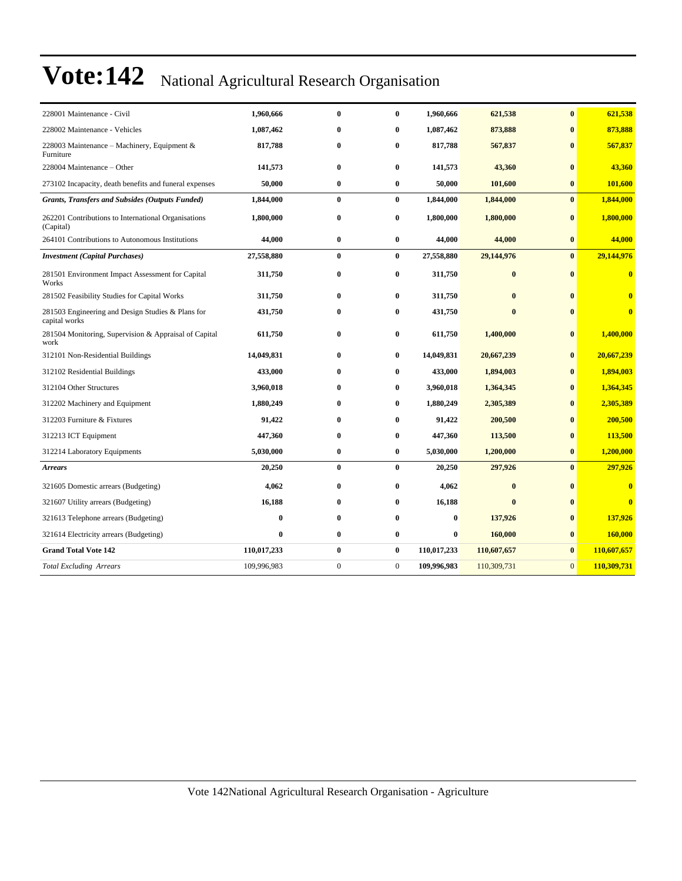| 228001 Maintenance - Civil                                         | 1,960,666   | $\bf{0}$       | $\bf{0}$       | 1,960,666   | 621,538      | $\bf{0}$       | 621,538                 |
|--------------------------------------------------------------------|-------------|----------------|----------------|-------------|--------------|----------------|-------------------------|
| 228002 Maintenance - Vehicles                                      | 1,087,462   | $\bf{0}$       | $\bf{0}$       | 1,087,462   | 873,888      | $\bf{0}$       | 873,888                 |
| 228003 Maintenance – Machinery, Equipment $\&$<br>Furniture        | 817,788     | $\bf{0}$       | $\bf{0}$       | 817,788     | 567,837      | $\bf{0}$       | 567,837                 |
| 228004 Maintenance - Other                                         | 141,573     | $\bf{0}$       | $\bf{0}$       | 141,573     | 43,360       | $\bf{0}$       | 43,360                  |
| 273102 Incapacity, death benefits and funeral expenses             | 50,000      | $\bf{0}$       | $\bf{0}$       | 50,000      | 101,600      | $\bf{0}$       | 101,600                 |
| <b>Grants, Transfers and Subsides (Outputs Funded)</b>             | 1,844,000   | $\bf{0}$       | $\bf{0}$       | 1,844,000   | 1,844,000    | $\bf{0}$       | 1,844,000               |
| 262201 Contributions to International Organisations<br>(Capital)   | 1,800,000   | $\bf{0}$       | $\bf{0}$       | 1,800,000   | 1,800,000    | $\bf{0}$       | 1,800,000               |
| 264101 Contributions to Autonomous Institutions                    | 44,000      | $\bf{0}$       | $\bf{0}$       | 44,000      | 44,000       | $\bf{0}$       | 44,000                  |
| <b>Investment</b> (Capital Purchases)                              | 27,558,880  | $\bf{0}$       | $\bf{0}$       | 27,558,880  | 29,144,976   | $\bf{0}$       | 29,144,976              |
| 281501 Environment Impact Assessment for Capital<br>Works          | 311,750     | $\bf{0}$       | $\bf{0}$       | 311,750     | $\bf{0}$     | $\bf{0}$       | $\overline{\mathbf{0}}$ |
| 281502 Feasibility Studies for Capital Works                       | 311,750     | $\bf{0}$       | $\bf{0}$       | 311,750     | $\bf{0}$     | $\bf{0}$       | $\overline{\mathbf{0}}$ |
| 281503 Engineering and Design Studies & Plans for<br>capital works | 431,750     | $\bf{0}$       | $\bf{0}$       | 431,750     | $\mathbf{0}$ | $\mathbf{0}$   | $\overline{\mathbf{0}}$ |
| 281504 Monitoring, Supervision & Appraisal of Capital<br>work      | 611,750     | $\bf{0}$       | $\bf{0}$       | 611,750     | 1,400,000    | $\bf{0}$       | 1,400,000               |
| 312101 Non-Residential Buildings                                   | 14,049,831  | $\bf{0}$       | $\bf{0}$       | 14,049,831  | 20,667,239   | $\bf{0}$       | 20,667,239              |
| 312102 Residential Buildings                                       | 433,000     | 0              | $\bf{0}$       | 433,000     | 1,894,003    | $\bf{0}$       | 1,894,003               |
| 312104 Other Structures                                            | 3,960,018   | 0              | $\bf{0}$       | 3,960,018   | 1,364,345    | $\bf{0}$       | 1,364,345               |
| 312202 Machinery and Equipment                                     | 1,880,249   | $\bf{0}$       | $\bf{0}$       | 1,880,249   | 2,305,389    | $\bf{0}$       | 2,305,389               |
| 312203 Furniture & Fixtures                                        | 91,422      | 0              | $\bf{0}$       | 91,422      | 200,500      | $\bf{0}$       | 200,500                 |
| 312213 ICT Equipment                                               | 447,360     | $\bf{0}$       | $\bf{0}$       | 447,360     | 113,500      | $\bf{0}$       | 113,500                 |
| 312214 Laboratory Equipments                                       | 5,030,000   | $\bf{0}$       | 0              | 5,030,000   | 1,200,000    | $\bf{0}$       | 1,200,000               |
| <b>Arrears</b>                                                     | 20,250      | $\bf{0}$       | $\bf{0}$       | 20,250      | 297,926      | $\bf{0}$       | 297,926                 |
| 321605 Domestic arrears (Budgeting)                                | 4,062       | $\bf{0}$       | $\bf{0}$       | 4,062       | $\bf{0}$     | $\bf{0}$       | $\mathbf{0}$            |
| 321607 Utility arrears (Budgeting)                                 | 16,188      | 0              | $\bf{0}$       | 16,188      | $\mathbf{0}$ | $\bf{0}$       | $\overline{\mathbf{0}}$ |
| 321613 Telephone arrears (Budgeting)                               | $\bf{0}$    | $\bf{0}$       | $\bf{0}$       | $\bf{0}$    | 137,926      | $\bf{0}$       | 137,926                 |
| 321614 Electricity arrears (Budgeting)                             | $\bf{0}$    | $\bf{0}$       | $\bf{0}$       | $\bf{0}$    | 160,000      | $\bf{0}$       | 160,000                 |
| <b>Grand Total Vote 142</b>                                        | 110,017,233 | $\bf{0}$       | $\bf{0}$       | 110,017,233 | 110,607,657  | $\bf{0}$       | 110,607,657             |
| <b>Total Excluding Arrears</b>                                     | 109,996,983 | $\overline{0}$ | $\overline{0}$ | 109,996,983 | 110,309,731  | $\overline{0}$ | 110,309,731             |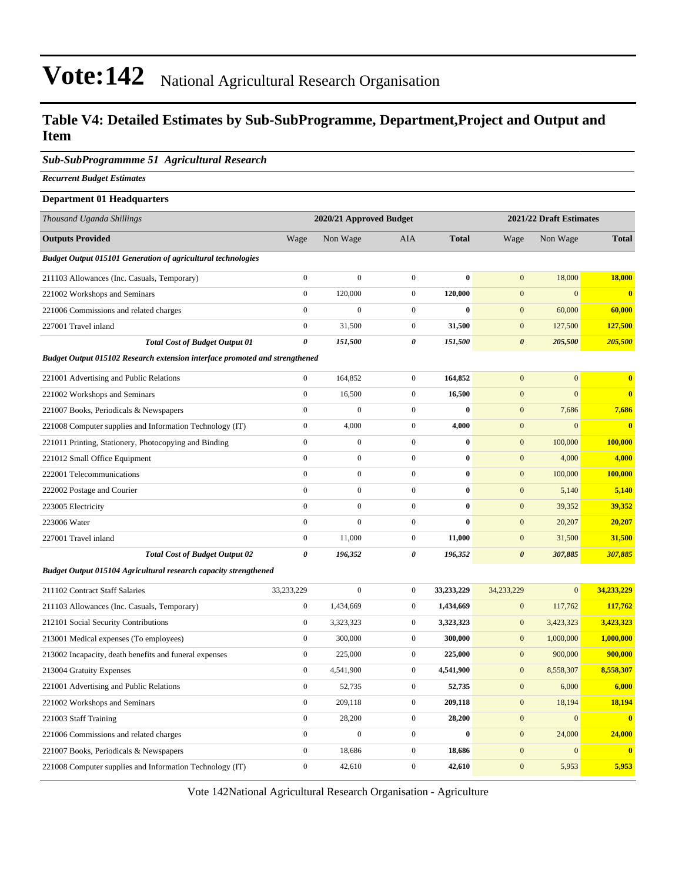#### **Table V4: Detailed Estimates by Sub-SubProgramme, Department,Project and Output and Item**

#### *Sub-SubProgrammme 51 Agricultural Research*

*Recurrent Budget Estimates*

#### **Department 01 Headquarters** *Thousand Uganda Shillings* **2020/21 Approved Budget 2021/22 Draft Estimates Outputs Provided** Wage Non Wage AIA **Total** Wage Non Wage **Total** *Budget Output 015101 Generation of agricultural technologies* 211103 Allowances (Inc. Casuals, Temporary) 0 0 0 **0** 0 18,000 **18,000** 221002 Workshops and Seminars 0 120,000 0 **120,000** 0 0 **0** 221006 Commissions and related charges 0 0 0 **0** 0 60,000 **60,000** 227001 Travel inland 0 31,500 0 **31,500** 0 127,500 **127,500** *Total Cost of Budget Output 01 0 151,500 0 151,500 0 205,500 205,500 Budget Output 015102 Research extension interface promoted and strengthened* 221001 Advertising and Public Relations 0 164,852 0 **164,852** 0 0 **0** 221002 Workshops and Seminars 0 16,500 0 **16,500** 0 0 **0** 221007 Books, Periodicals & Newspapers 0 0 0 **0** 0 7,686 **7,686** 221008 Computer supplies and Information Technology (IT) 0 4,000 0 **4,000** 0 0 **0** 221011 Printing, Stationery, Photocopying and Binding 0 0 0 **0** 0 100,000 **100,000** 221012 Small Office Equipment 0 0 0 **0** 0 4,000 **4,000** 222001 Telecommunications 0 0 0 **0** 0 100,000 **100,000** 222002 Postage and Courier 0 0 0 **0** 0 5,140 **5,140** 223005 Electricity 0 0 0 **0** 0 39,352 **39,352** 223006 Water 0 0 0 **0** 0 20,207 **20,207** 227001 Travel inland 0 11,000 0 **11,000** 0 31,500 **31,500** *Total Cost of Budget Output 02 0 196,352 0 196,352 0 307,885 307,885 Budget Output 015104 Agricultural research capacity strengthened*

| 211102 Contract Staff Salaries                           | 33,233,229   | $\mathbf{0}$ | $\mathbf{0}$ | 33,233,229 | 34,233,229   | $\mathbf{0}$ | 34,233,229   |
|----------------------------------------------------------|--------------|--------------|--------------|------------|--------------|--------------|--------------|
| 211103 Allowances (Inc. Casuals, Temporary)              | $\mathbf{0}$ | 1,434,669    | $\mathbf{0}$ | 1,434,669  | $\mathbf{0}$ | 117,762      | 117,762      |
| 212101 Social Security Contributions                     | $\bf{0}$     | 3,323,323    | $\mathbf{0}$ | 3,323,323  | $\mathbf{0}$ | 3,423,323    | 3,423,323    |
| 213001 Medical expenses (To employees)                   | $\mathbf{0}$ | 300,000      | $\mathbf{0}$ | 300,000    | $\mathbf{0}$ | 1,000,000    | 1,000,000    |
| 213002 Incapacity, death benefits and funeral expenses   | $\mathbf{0}$ | 225,000      | $\mathbf{0}$ | 225,000    | $\mathbf{0}$ | 900,000      | 900,000      |
| 213004 Gratuity Expenses                                 | $\mathbf{0}$ | 4,541,900    | $\mathbf{0}$ | 4,541,900  | $\mathbf{0}$ | 8,558,307    | 8,558,307    |
| 221001 Advertising and Public Relations                  | $\mathbf{0}$ | 52,735       | $\mathbf{0}$ | 52,735     | $\mathbf{0}$ | 6,000        | 6,000        |
| 221002 Workshops and Seminars                            | $\mathbf{0}$ | 209,118      | $\mathbf{0}$ | 209,118    | $\mathbf{0}$ | 18,194       | 18,194       |
| 221003 Staff Training                                    | $\mathbf{0}$ | 28,200       | $\mathbf{0}$ | 28,200     | $\mathbf{0}$ | $\Omega$     | $\mathbf{0}$ |
| 221006 Commissions and related charges                   | $\mathbf{0}$ | $\mathbf{0}$ | $\mathbf{0}$ | $\bf{0}$   | $\mathbf{0}$ | 24,000       | 24,000       |
| 221007 Books, Periodicals & Newspapers                   | $\mathbf{0}$ | 18,686       | $\mathbf{0}$ | 18,686     | $\mathbf{0}$ | $\mathbf{0}$ | $\mathbf{0}$ |
| 221008 Computer supplies and Information Technology (IT) | $\mathbf{0}$ | 42,610       | $\mathbf{0}$ | 42,610     | $\mathbf{0}$ | 5,953        | 5,953        |
|                                                          |              |              |              |            |              |              |              |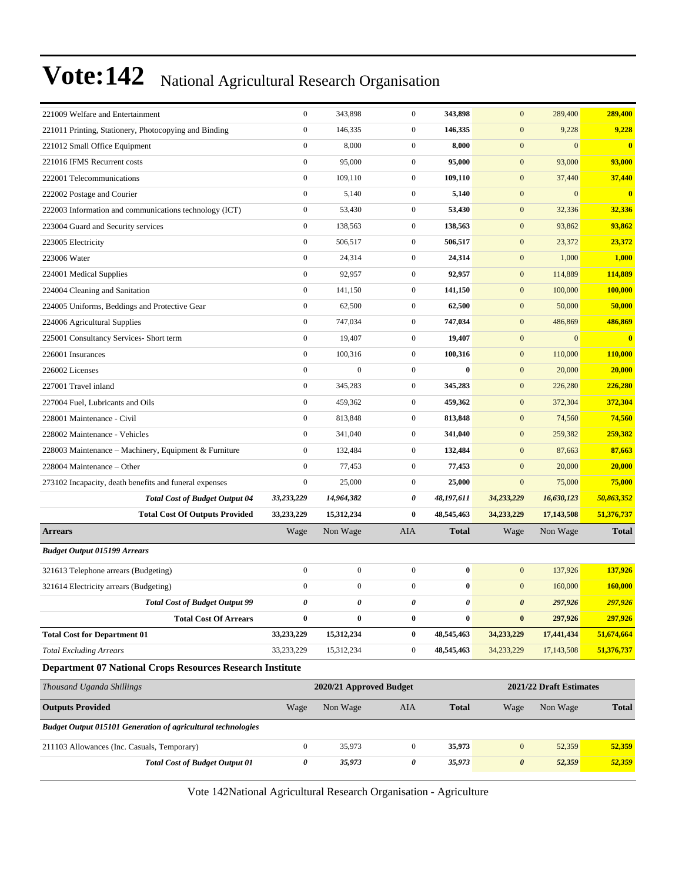| 221009 Welfare and Entertainment                                    | $\boldsymbol{0}$ | 343,898                 | $\mathbf{0}$     | 343,898      | $\mathbf{0}$          | 289,400                 | 289,400                 |
|---------------------------------------------------------------------|------------------|-------------------------|------------------|--------------|-----------------------|-------------------------|-------------------------|
| 221011 Printing, Stationery, Photocopying and Binding               | $\boldsymbol{0}$ | 146,335                 | $\boldsymbol{0}$ | 146,335      | $\mathbf{0}$          | 9,228                   | 9,228                   |
| 221012 Small Office Equipment                                       | $\boldsymbol{0}$ | 8,000                   | $\mathbf{0}$     | 8,000        | $\mathbf{0}$          | $\mathbf{0}$            | $\bf{0}$                |
| 221016 IFMS Recurrent costs                                         | $\mathbf{0}$     | 95,000                  | $\overline{0}$   | 95,000       | $\mathbf{0}$          | 93,000                  | 93,000                  |
| 222001 Telecommunications                                           | $\mathbf{0}$     | 109,110                 | $\mathbf{0}$     | 109,110      | $\boldsymbol{0}$      | 37,440                  | 37,440                  |
| 222002 Postage and Courier                                          | $\mathbf{0}$     | 5,140                   | $\mathbf{0}$     | 5,140        | $\mathbf{0}$          | $\mathbf{0}$            | $\overline{\mathbf{0}}$ |
| 222003 Information and communications technology (ICT)              | $\boldsymbol{0}$ | 53,430                  | $\mathbf{0}$     | 53,430       | $\mathbf{0}$          | 32,336                  | 32,336                  |
| 223004 Guard and Security services                                  | $\boldsymbol{0}$ | 138,563                 | $\mathbf{0}$     | 138,563      | $\mathbf{0}$          | 93,862                  | 93,862                  |
| 223005 Electricity                                                  | $\mathbf{0}$     | 506,517                 | $\mathbf{0}$     | 506,517      | $\mathbf{0}$          | 23,372                  | 23,372                  |
| 223006 Water                                                        | $\boldsymbol{0}$ | 24,314                  | $\mathbf{0}$     | 24,314       | $\boldsymbol{0}$      | 1,000                   | 1,000                   |
| 224001 Medical Supplies                                             | $\boldsymbol{0}$ | 92,957                  | $\mathbf{0}$     | 92,957       | $\mathbf{0}$          | 114,889                 | 114,889                 |
| 224004 Cleaning and Sanitation                                      | $\boldsymbol{0}$ | 141,150                 | $\mathbf{0}$     | 141,150      | $\mathbf{0}$          | 100,000                 | 100,000                 |
| 224005 Uniforms, Beddings and Protective Gear                       | $\boldsymbol{0}$ | 62,500                  | $\mathbf{0}$     | 62,500       | $\mathbf{0}$          | 50,000                  | 50,000                  |
| 224006 Agricultural Supplies                                        | $\boldsymbol{0}$ | 747,034                 | $\mathbf{0}$     | 747,034      | $\mathbf{0}$          | 486,869                 | 486,869                 |
| 225001 Consultancy Services- Short term                             | $\boldsymbol{0}$ | 19,407                  | $\mathbf{0}$     | 19,407       | $\boldsymbol{0}$      | $\overline{0}$          | $\bf{0}$                |
| 226001 Insurances                                                   | $\boldsymbol{0}$ | 100,316                 | $\mathbf{0}$     | 100,316      | $\mathbf{0}$          | 110,000                 | 110,000                 |
| 226002 Licenses                                                     | $\boldsymbol{0}$ | $\boldsymbol{0}$        | $\overline{0}$   | $\bf{0}$     | $\mathbf{0}$          | 20,000                  | 20,000                  |
| 227001 Travel inland                                                | $\boldsymbol{0}$ | 345,283                 | $\mathbf{0}$     | 345,283      | $\mathbf{0}$          | 226,280                 | 226,280                 |
| 227004 Fuel, Lubricants and Oils                                    | $\mathbf{0}$     | 459,362                 | $\mathbf{0}$     | 459,362      | $\mathbf{0}$          | 372,304                 | 372,304                 |
| 228001 Maintenance - Civil                                          | $\boldsymbol{0}$ | 813,848                 | $\mathbf{0}$     | 813,848      | $\mathbf{0}$          | 74,560                  | 74,560                  |
| 228002 Maintenance - Vehicles                                       | $\mathbf{0}$     | 341,040                 | $\mathbf{0}$     | 341,040      | $\mathbf{0}$          | 259,382                 | 259,382                 |
| 228003 Maintenance – Machinery, Equipment & Furniture               | $\boldsymbol{0}$ | 132,484                 | $\mathbf{0}$     | 132,484      | $\mathbf{0}$          | 87,663                  | 87,663                  |
| 228004 Maintenance - Other                                          | $\boldsymbol{0}$ | 77,453                  | $\mathbf{0}$     | 77,453       | $\mathbf{0}$          | 20,000                  | 20,000                  |
| 273102 Incapacity, death benefits and funeral expenses              | $\boldsymbol{0}$ | 25,000                  | $\mathbf{0}$     | 25,000       | $\mathbf{0}$          | 75,000                  | 75,000                  |
| <b>Total Cost of Budget Output 04</b>                               | 33,233,229       | 14,964,382              | 0                | 48,197,611   | 34,233,229            | 16,630,123              | 50,863,352              |
| <b>Total Cost Of Outputs Provided</b>                               | 33,233,229       | 15,312,234              | $\bf{0}$         | 48,545,463   | 34,233,229            | 17,143,508              | 51,376,737              |
| <b>Arrears</b>                                                      | Wage             | Non Wage                | <b>AIA</b>       | <b>Total</b> | Wage                  | Non Wage                | <b>Total</b>            |
| <b>Budget Output 015199 Arrears</b>                                 |                  |                         |                  |              |                       |                         |                         |
| 321613 Telephone arrears (Budgeting)                                | $\boldsymbol{0}$ | $\boldsymbol{0}$        | $\mathbf 0$      | $\bf{0}$     | $\mathbf{0}$          | 137,926                 | 137,926                 |
| 321614 Electricity arrears (Budgeting)                              | $\boldsymbol{0}$ | $\boldsymbol{0}$        | $\mathbf{0}$     | $\bf{0}$     | $\mathbf{0}$          | 160,000                 | 160,000                 |
| <b>Total Cost of Budget Output 99</b>                               | 0                | 0                       | 0                | 0            | $\boldsymbol{\theta}$ | 297,926                 | 297,926                 |
| <b>Total Cost Of Arrears</b>                                        | $\bf{0}$         | $\bf{0}$                | $\bf{0}$         | $\bf{0}$     | $\pmb{0}$             | 297,926                 | 297,926                 |
| <b>Total Cost for Department 01</b>                                 | 33,233,229       | 15,312,234              | $\bf{0}$         | 48,545,463   | 34,233,229            | 17,441,434              | 51,674,664              |
| <b>Total Excluding Arrears</b>                                      | 33,233,229       | 15,312,234              | $\boldsymbol{0}$ | 48,545,463   | 34,233,229            | 17,143,508              | 51,376,737              |
| <b>Department 07 National Crops Resources Research Institute</b>    |                  |                         |                  |              |                       |                         |                         |
| Thousand Uganda Shillings                                           |                  | 2020/21 Approved Budget |                  |              |                       | 2021/22 Draft Estimates |                         |
| <b>Outputs Provided</b>                                             | Wage             | Non Wage                | AIA              | <b>Total</b> | Wage                  | Non Wage                | <b>Total</b>            |
| <b>Budget Output 015101 Generation of agricultural technologies</b> |                  |                         |                  |              |                       |                         |                         |

211103 Allowances (Inc. Casuals, Temporary) 0 35,973 0 **35,973** 0 52,359 **52,359** *Total Cost of Budget Output 01 0 35,973 0 35,973 0 52,359 52,359*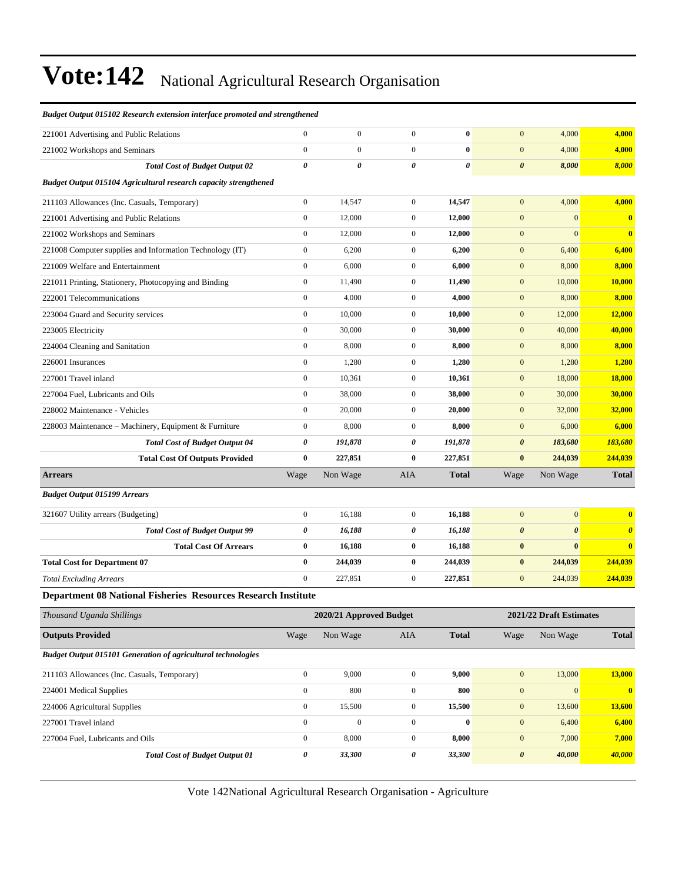| 227001 Travel inland                                                                         | $\boldsymbol{0}$                                                        | $\mathbf{0}$            | $\overline{0}$                   | $\bf{0}$              | $\mathbf{0}$                         | 6,400                   | 6,400                   |
|----------------------------------------------------------------------------------------------|-------------------------------------------------------------------------|-------------------------|----------------------------------|-----------------------|--------------------------------------|-------------------------|-------------------------|
| 224006 Agricultural Supplies                                                                 | $\boldsymbol{0}$                                                        | 15,500                  | $\overline{0}$                   | 15,500                | $\mathbf{0}$                         | 13,600                  | 13,600                  |
| 224001 Medical Supplies                                                                      | $\boldsymbol{0}$                                                        | 800                     | $\boldsymbol{0}$                 | 800                   | $\mathbf{0}$                         | $\mathbf{0}$            | $\overline{\mathbf{0}}$ |
| 211103 Allowances (Inc. Casuals, Temporary)                                                  | $\boldsymbol{0}$                                                        | 9,000                   | $\overline{0}$                   | 9,000                 | $\boldsymbol{0}$                     | 13,000                  | 13,000                  |
| <b>Budget Output 015101 Generation of agricultural technologies</b>                          |                                                                         |                         |                                  |                       |                                      |                         |                         |
| <b>Outputs Provided</b>                                                                      | Wage                                                                    | Non Wage                | AIA                              | <b>Total</b>          | Wage                                 | Non Wage                | <b>Total</b>            |
| Thousand Uganda Shillings                                                                    |                                                                         | 2020/21 Approved Budget |                                  |                       |                                      | 2021/22 Draft Estimates |                         |
| <b>Department 08 National Fisheries Resources Research Institute</b>                         |                                                                         |                         |                                  |                       |                                      |                         |                         |
| <b>Total Excluding Arrears</b>                                                               | $\mathbf{0}$                                                            | 227,851                 | $\mathbf{0}$                     | 227,851               | $\mathbf{0}$                         | 244,039                 | 244,039                 |
| <b>Total Cost for Department 07</b>                                                          | $\bf{0}$                                                                | 244,039                 | $\bf{0}$                         | 244,039               | $\bf{0}$                             | 244,039                 | 244,039                 |
| <b>Total Cost Of Arrears</b>                                                                 | $\bf{0}$                                                                | 16,188                  | $\bf{0}$                         | 16,188                | $\bf{0}$                             | $\bf{0}$                | $\bf{0}$                |
| <b>Total Cost of Budget Output 99</b>                                                        | 0                                                                       | 16,188                  | 0                                | 16,188                | $\boldsymbol{\theta}$                | $\boldsymbol{\theta}$   | $\boldsymbol{\theta}$   |
| 321607 Utility arrears (Budgeting)                                                           | $\boldsymbol{0}$                                                        | 16,188                  | $\mathbf{0}$                     | 16,188                | $\boldsymbol{0}$                     | $\boldsymbol{0}$        | $\bf{0}$                |
| <b>Budget Output 015199 Arrears</b>                                                          |                                                                         |                         |                                  |                       |                                      |                         |                         |
| <b>Arrears</b>                                                                               | Wage                                                                    | Non Wage                | AIA                              | <b>Total</b>          | Wage                                 | Non Wage                | <b>Total</b>            |
| <b>Total Cost Of Outputs Provided</b>                                                        | $\bf{0}$                                                                | 227,851                 | $\bf{0}$                         | 227,851               | $\bf{0}$                             | 244,039                 | 244,039                 |
| <b>Total Cost of Budget Output 04</b>                                                        | 0                                                                       | 191,878                 | 0                                | 191,878               | $\boldsymbol{\theta}$                | 183,680                 | 183,680                 |
| 228003 Maintenance - Machinery, Equipment & Furniture                                        | $\boldsymbol{0}$                                                        | 8,000                   | $\boldsymbol{0}$                 | 8,000                 | $\boldsymbol{0}$                     | 6,000                   | 6,000                   |
| 228002 Maintenance - Vehicles                                                                | $\boldsymbol{0}$                                                        | 20,000                  | $\mathbf{0}$                     | 20,000                | $\boldsymbol{0}$                     | 32,000                  | 32,000                  |
| 227004 Fuel, Lubricants and Oils                                                             | $\boldsymbol{0}$                                                        | 38,000                  | $\mathbf{0}$                     | 38,000                | $\boldsymbol{0}$                     | 30,000                  | 30,000                  |
| 227001 Travel inland                                                                         | $\boldsymbol{0}$                                                        | 10,361                  | $\boldsymbol{0}$                 | 10,361                | $\boldsymbol{0}$                     | 18,000                  | 18,000                  |
| 226001 Insurances                                                                            | $\boldsymbol{0}$                                                        | 1,280                   | $\mathbf{0}$                     | 1,280                 | $\boldsymbol{0}$                     | 1,280                   | 1,280                   |
| 224004 Cleaning and Sanitation                                                               | $\boldsymbol{0}$                                                        | 8,000                   | $\mathbf{0}$                     | 8,000                 | $\boldsymbol{0}$                     | 8,000                   | 8,000                   |
| 223005 Electricity                                                                           | $\boldsymbol{0}$                                                        | 30,000                  | $\mathbf{0}$                     | 30,000                | $\boldsymbol{0}$                     | 40,000                  | 40,000                  |
| 223004 Guard and Security services                                                           | $\boldsymbol{0}$                                                        | 10,000                  | $\mathbf{0}$                     | 10,000                | $\boldsymbol{0}$                     | 12,000                  | <b>12,000</b>           |
| 222001 Telecommunications                                                                    | $\boldsymbol{0}$                                                        | 4,000                   | $\boldsymbol{0}$                 | 4,000                 | $\mathbf{0}$                         | 8,000                   | 8,000                   |
| 221011 Printing, Stationery, Photocopying and Binding                                        | $\boldsymbol{0}$                                                        | 11,490                  | $\mathbf{0}$                     | 11,490                | $\boldsymbol{0}$                     | 10,000                  | 10,000                  |
| 221008 Computer supplies and Information Technology (IT)<br>221009 Welfare and Entertainment | $\boldsymbol{0}$                                                        | 6,200<br>6,000          | $\mathbf{0}$<br>$\boldsymbol{0}$ | 6,200<br>6,000        | $\boldsymbol{0}$<br>$\boldsymbol{0}$ | 6,400<br>8,000          | 6,400<br>8,000          |
| 221002 Workshops and Seminars                                                                | $\boldsymbol{0}$<br>$\boldsymbol{0}$                                    | 12,000                  | $\mathbf{0}$                     | 12,000                | $\boldsymbol{0}$                     | $\mathbf{0}$            | $\boldsymbol{0}$        |
| 221001 Advertising and Public Relations                                                      | $\boldsymbol{0}$                                                        | 12,000                  | $\boldsymbol{0}$                 | 12,000                | $\mathbf{0}$                         | $\mathbf{0}$            | $\bf{0}$                |
| 211103 Allowances (Inc. Casuals, Temporary)                                                  | $\boldsymbol{0}$                                                        | 14,547                  | $\mathbf{0}$                     | 14,547                | $\mathbf{0}$                         | 4,000                   | 4,000                   |
| Budget Output 015104 Agricultural research capacity strengthened                             |                                                                         |                         |                                  |                       |                                      |                         |                         |
| <b>Total Cost of Budget Output 02</b>                                                        | 0                                                                       | 0                       | $\theta$                         | $\boldsymbol{\theta}$ | $\boldsymbol{\theta}$                | 8,000                   | 8,000                   |
| 221002 Workshops and Seminars                                                                | $\mathbf{0}$                                                            | $\mathbf{0}$            | $\mathbf{0}$                     | $\bf{0}$              | $\mathbf{0}$                         | 4,000                   | 4,000                   |
| 221001 Advertising and Public Relations                                                      | $\mathbf{0}$                                                            | $\mathbf{0}$            | $\mathbf{0}$                     | $\bf{0}$              | $\mathbf{0}$                         | 4,000                   | 4,000                   |
|                                                                                              | ьшцен Ошрин 013102 Кезеагсп ехиепзют ишегјасе рготонеа апа зи епдиненеа |                         |                                  |                       |                                      |                         |                         |

*Budget Output 015102 Research extension interface promoted and strengthened*

Vote 142National Agricultural Research Organisation - Agriculture

227004 Fuel, Lubricants and Oils 0 8,000 0 **8,000** 0 7,000 **7,000**

*Total Cost of Budget Output 01 0 33,300 0 33,300 0 40,000 40,000*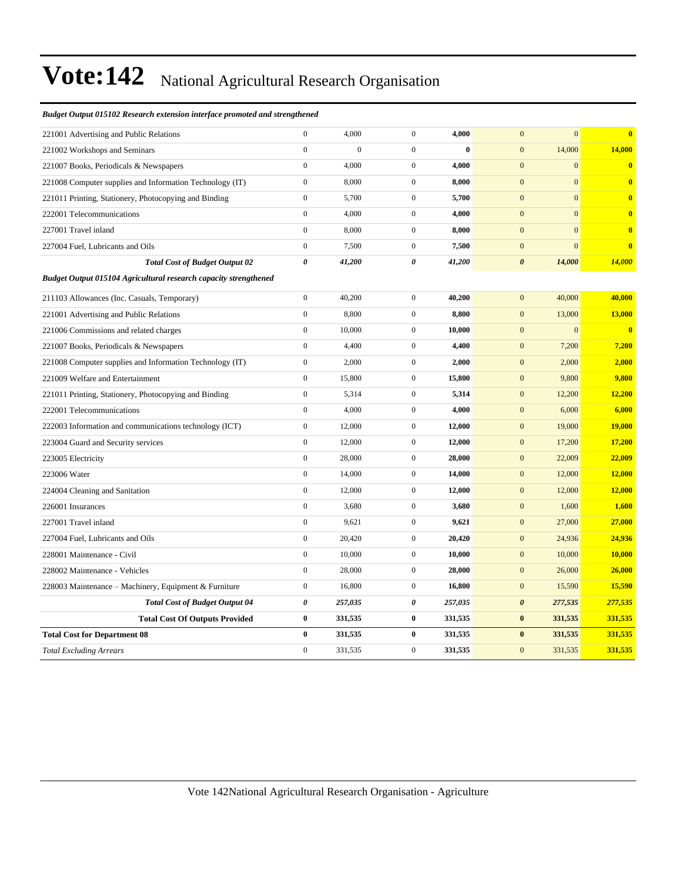#### *Budget Output 015102 Research extension interface promoted and strengthened*

| 221001 Advertising and Public Relations                          | $\mathbf{0}$          | 4,000            | $\overline{0}$   | 4,000    | $\mathbf{0}$<br>$\mathbf{0}$     | $\overline{\mathbf{0}}$ |
|------------------------------------------------------------------|-----------------------|------------------|------------------|----------|----------------------------------|-------------------------|
| 221002 Workshops and Seminars                                    | $\mathbf{0}$          | $\boldsymbol{0}$ | $\overline{0}$   | $\bf{0}$ | 14,000<br>$\mathbf{0}$           | 14,000                  |
| 221007 Books, Periodicals & Newspapers                           | $\mathbf{0}$          | 4,000            | $\overline{0}$   | 4,000    | $\mathbf{0}$<br>$\mathbf{0}$     | $\mathbf{0}$            |
| 221008 Computer supplies and Information Technology (IT)         | $\boldsymbol{0}$      | 8,000            | $\overline{0}$   | 8,000    | $\mathbf{0}$<br>$\mathbf{0}$     | $\mathbf{0}$            |
| 221011 Printing, Stationery, Photocopying and Binding            | $\boldsymbol{0}$      | 5,700            | $\overline{0}$   | 5,700    | $\mathbf{0}$<br>$\mathbf{0}$     | $\bf{0}$                |
| 222001 Telecommunications                                        | $\mathbf{0}$          | 4,000            | $\overline{0}$   | 4,000    | $\mathbf{0}$<br>$\mathbf{0}$     | $\bf{0}$                |
| 227001 Travel inland                                             | $\mathbf{0}$          | 8,000            | $\overline{0}$   | 8,000    | $\mathbf{0}$<br>$\mathbf{0}$     | $\bf{0}$                |
| 227004 Fuel, Lubricants and Oils                                 | $\boldsymbol{0}$      | 7,500            | $\overline{0}$   | 7,500    | $\overline{0}$<br>$\mathbf{0}$   | $\bf{0}$                |
| <b>Total Cost of Budget Output 02</b>                            | $\boldsymbol{\theta}$ | 41,200           | 0                | 41,200   | $\boldsymbol{\theta}$<br>14,000  | 14,000                  |
| Budget Output 015104 Agricultural research capacity strengthened |                       |                  |                  |          |                                  |                         |
| 211103 Allowances (Inc. Casuals, Temporary)                      | $\boldsymbol{0}$      | 40,200           | $\overline{0}$   | 40,200   | 40,000<br>$\boldsymbol{0}$       | 40,000                  |
| 221001 Advertising and Public Relations                          | $\boldsymbol{0}$      | 8,800            | $\boldsymbol{0}$ | 8,800    | $\mathbf{0}$<br>13,000           | 13,000                  |
| 221006 Commissions and related charges                           | $\boldsymbol{0}$      | 10,000           | $\overline{0}$   | 10,000   | $\mathbf{0}$<br>$\mathbf{0}$     | $\overline{\mathbf{0}}$ |
| 221007 Books, Periodicals & Newspapers                           | $\boldsymbol{0}$      | 4,400            | $\boldsymbol{0}$ | 4,400    | $\boldsymbol{0}$<br>7,200        | 7,200                   |
| 221008 Computer supplies and Information Technology (IT)         | $\mathbf{0}$          | 2,000            | $\overline{0}$   | 2,000    | $\mathbf{0}$<br>2,000            | 2,000                   |
| 221009 Welfare and Entertainment                                 | $\boldsymbol{0}$      | 15,800           | $\overline{0}$   | 15,800   | $\mathbf{0}$<br>9,800            | 9,800                   |
| 221011 Printing, Stationery, Photocopying and Binding            | $\boldsymbol{0}$      | 5,314            | $\mathbf{0}$     | 5,314    | $\mathbf{0}$<br>12,200           | 12,200                  |
| 222001 Telecommunications                                        | $\mathbf{0}$          | 4,000            | $\overline{0}$   | 4,000    | $\mathbf{0}$<br>6,000            | 6,000                   |
| 222003 Information and communications technology (ICT)           | $\mathbf{0}$          | 12,000           | $\overline{0}$   | 12,000   | $\mathbf{0}$<br>19,000           | <b>19,000</b>           |
| 223004 Guard and Security services                               | $\boldsymbol{0}$      | 12,000           | $\mathbf{0}$     | 12,000   | $\mathbf{0}$<br>17,200           | 17,200                  |
| 223005 Electricity                                               | $\mathbf{0}$          | 28,000           | $\overline{0}$   | 28,000   | $\mathbf{0}$<br>22,009           | 22,009                  |
| 223006 Water                                                     | $\mathbf{0}$          | 14,000           | $\overline{0}$   | 14,000   | $\mathbf{0}$<br>12,000           | 12,000                  |
| 224004 Cleaning and Sanitation                                   | $\boldsymbol{0}$      | 12,000           | $\overline{0}$   | 12,000   | $\mathbf{0}$<br>12,000           | 12,000                  |
| 226001 Insurances                                                | $\mathbf{0}$          | 3,680            | $\overline{0}$   | 3,680    | $\mathbf{0}$<br>1,600            | 1,600                   |
| 227001 Travel inland                                             | $\boldsymbol{0}$      | 9,621            | $\overline{0}$   | 9,621    | 27,000<br>$\mathbf{0}$           | 27,000                  |
| 227004 Fuel, Lubricants and Oils                                 | $\boldsymbol{0}$      | 20,420           | $\mathbf{0}$     | 20,420   | $\mathbf{0}$<br>24,936           | 24,936                  |
| 228001 Maintenance - Civil                                       | $\mathbf{0}$          | 10,000           | $\overline{0}$   | 10,000   | $\mathbf{0}$<br>10,000           | 10,000                  |
| 228002 Maintenance - Vehicles                                    | $\boldsymbol{0}$      | 28,000           | $\overline{0}$   | 28,000   | 26,000<br>$\mathbf{0}$           | 26,000                  |
| 228003 Maintenance – Machinery, Equipment & Furniture            | $\boldsymbol{0}$      | 16,800           | $\overline{0}$   | 16,800   | $\mathbf{0}$<br>15,590           | 15,590                  |
| <b>Total Cost of Budget Output 04</b>                            | $\boldsymbol{\theta}$ | 257,035          | 0                | 257,035  | $\boldsymbol{\theta}$<br>277,535 | 277,535                 |
| <b>Total Cost Of Outputs Provided</b>                            | $\bf{0}$              | 331,535          | $\bf{0}$         | 331,535  | $\bf{0}$<br>331,535              | 331,535                 |
| <b>Total Cost for Department 08</b>                              | $\bf{0}$              | 331,535          | $\bf{0}$         | 331,535  | 331,535<br>$\bf{0}$              | 331,535                 |
| <b>Total Excluding Arrears</b>                                   | $\mathbf{0}$          | 331,535          | $\overline{0}$   | 331,535  | $\overline{0}$<br>331.535        | 331,535                 |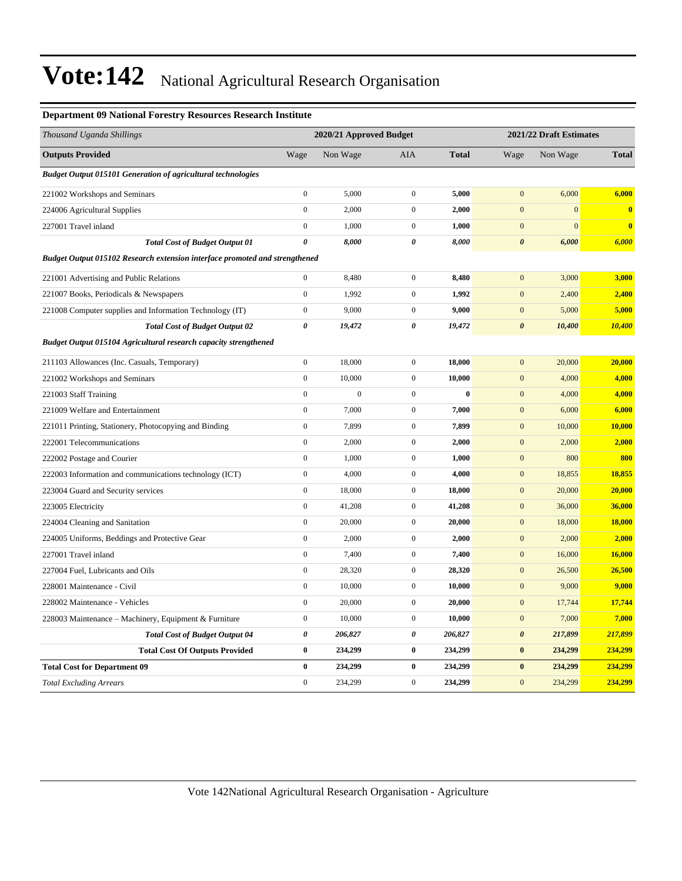#### **Department 09 National Forestry Resources Research Institute**

| Thousand Uganda Shillings                                                   | 2020/21 Approved Budget |                  |                  |              | 2021/22 Draft Estimates |                |               |  |
|-----------------------------------------------------------------------------|-------------------------|------------------|------------------|--------------|-------------------------|----------------|---------------|--|
| <b>Outputs Provided</b>                                                     | Wage                    | Non Wage         | <b>AIA</b>       | <b>Total</b> | Wage                    | Non Wage       | <b>Total</b>  |  |
| <b>Budget Output 015101 Generation of agricultural technologies</b>         |                         |                  |                  |              |                         |                |               |  |
| 221002 Workshops and Seminars                                               | $\boldsymbol{0}$        | 5,000            | $\overline{0}$   | 5,000        | $\mathbf{0}$            | 6,000          | 6,000         |  |
| 224006 Agricultural Supplies                                                | $\boldsymbol{0}$        | 2,000            | $\boldsymbol{0}$ | 2,000        | $\mathbf{0}$            | $\mathbf{0}$   | $\mathbf{0}$  |  |
| 227001 Travel inland                                                        | $\boldsymbol{0}$        | 1,000            | $\overline{0}$   | 1,000        | $\mathbf{0}$            | $\overline{0}$ | $\bf{0}$      |  |
| <b>Total Cost of Budget Output 01</b>                                       | $\pmb{\theta}$          | 8,000            | 0                | 8,000        | $\boldsymbol{\theta}$   | 6,000          | 6,000         |  |
| Budget Output 015102 Research extension interface promoted and strengthened |                         |                  |                  |              |                         |                |               |  |
| 221001 Advertising and Public Relations                                     | $\boldsymbol{0}$        | 8,480            | $\overline{0}$   | 8,480        | $\mathbf{0}$            | 3,000          | 3,000         |  |
| 221007 Books, Periodicals & Newspapers                                      | $\boldsymbol{0}$        | 1,992            | $\overline{0}$   | 1,992        | $\boldsymbol{0}$        | 2,400          | 2,400         |  |
| 221008 Computer supplies and Information Technology (IT)                    | $\boldsymbol{0}$        | 9,000            | $\overline{0}$   | 9,000        | $\boldsymbol{0}$        | 5,000          | 5,000         |  |
| <b>Total Cost of Budget Output 02</b>                                       | 0                       | 19,472           | 0                | 19,472       | $\boldsymbol{\theta}$   | 10,400         | 10,400        |  |
| <b>Budget Output 015104 Agricultural research capacity strengthened</b>     |                         |                  |                  |              |                         |                |               |  |
| 211103 Allowances (Inc. Casuals, Temporary)                                 | $\boldsymbol{0}$        | 18,000           | $\boldsymbol{0}$ | 18,000       | $\boldsymbol{0}$        | 20,000         | 20,000        |  |
| 221002 Workshops and Seminars                                               | $\boldsymbol{0}$        | 10,000           | $\boldsymbol{0}$ | 10,000       | $\boldsymbol{0}$        | 4,000          | 4,000         |  |
| 221003 Staff Training                                                       | $\overline{0}$          | $\boldsymbol{0}$ | $\boldsymbol{0}$ | $\bf{0}$     | $\boldsymbol{0}$        | 4,000          | 4,000         |  |
| 221009 Welfare and Entertainment                                            | $\overline{0}$          | 7,000            | $\overline{0}$   | 7,000        | $\mathbf{0}$            | 6,000          | 6,000         |  |
| 221011 Printing, Stationery, Photocopying and Binding                       | $\boldsymbol{0}$        | 7,899            | $\boldsymbol{0}$ | 7,899        | $\mathbf{0}$            | 10,000         | 10,000        |  |
| 222001 Telecommunications                                                   | $\boldsymbol{0}$        | 2,000            | $\overline{0}$   | 2,000        | $\boldsymbol{0}$        | 2,000          | 2,000         |  |
| 222002 Postage and Courier                                                  | $\boldsymbol{0}$        | 1,000            | $\overline{0}$   | 1,000        | $\mathbf{0}$            | 800            | 800           |  |
| 222003 Information and communications technology (ICT)                      | $\boldsymbol{0}$        | 4,000            | $\overline{0}$   | 4,000        | $\mathbf{0}$            | 18,855         | 18,855        |  |
| 223004 Guard and Security services                                          | $\boldsymbol{0}$        | 18,000           | $\overline{0}$   | 18,000       | $\boldsymbol{0}$        | 20,000         | 20,000        |  |
| 223005 Electricity                                                          | $\boldsymbol{0}$        | 41,208           | $\boldsymbol{0}$ | 41,208       | $\boldsymbol{0}$        | 36,000         | 36,000        |  |
| 224004 Cleaning and Sanitation                                              | $\overline{0}$          | 20,000           | $\boldsymbol{0}$ | 20,000       | $\boldsymbol{0}$        | 18,000         | <b>18,000</b> |  |
| 224005 Uniforms, Beddings and Protective Gear                               | $\boldsymbol{0}$        | 2,000            | $\boldsymbol{0}$ | 2,000        | $\mathbf{0}$            | 2,000          | 2,000         |  |
| 227001 Travel inland                                                        | $\boldsymbol{0}$        | 7,400            | $\overline{0}$   | 7,400        | $\mathbf{0}$            | 16,000         | 16,000        |  |
| 227004 Fuel, Lubricants and Oils                                            | $\mathbf{0}$            | 28,320           | $\overline{0}$   | 28,320       | $\boldsymbol{0}$        | 26,500         | 26,500        |  |
| 228001 Maintenance - Civil                                                  | $\boldsymbol{0}$        | 10,000           | $\overline{0}$   | 10,000       | $\boldsymbol{0}$        | 9,000          | 9,000         |  |
| 228002 Maintenance - Vehicles                                               | $\boldsymbol{0}$        | 20,000           | $\boldsymbol{0}$ | 20,000       | $\boldsymbol{0}$        | 17,744         | 17,744        |  |
| 228003 Maintenance – Machinery, Equipment & Furniture                       | $\boldsymbol{0}$        | 10,000           | $\overline{0}$   | 10,000       | $\boldsymbol{0}$        | 7,000          | 7,000         |  |
| <b>Total Cost of Budget Output 04</b>                                       | 0                       | 206,827          | 0                | 206,827      | $\boldsymbol{\theta}$   | 217,899        | 217,899       |  |
| <b>Total Cost Of Outputs Provided</b>                                       | 0                       | 234,299          | $\bf{0}$         | 234,299      | $\bf{0}$                | 234,299        | 234,299       |  |
| <b>Total Cost for Department 09</b>                                         | $\bf{0}$                | 234,299          | $\bf{0}$         | 234,299      | $\bf{0}$                | 234,299        | 234,299       |  |
| <b>Total Excluding Arrears</b>                                              | $\mathbf{0}$            | 234,299          | $\overline{0}$   | 234,299      | $\mathbf{0}$            | 234,299        | 234,299       |  |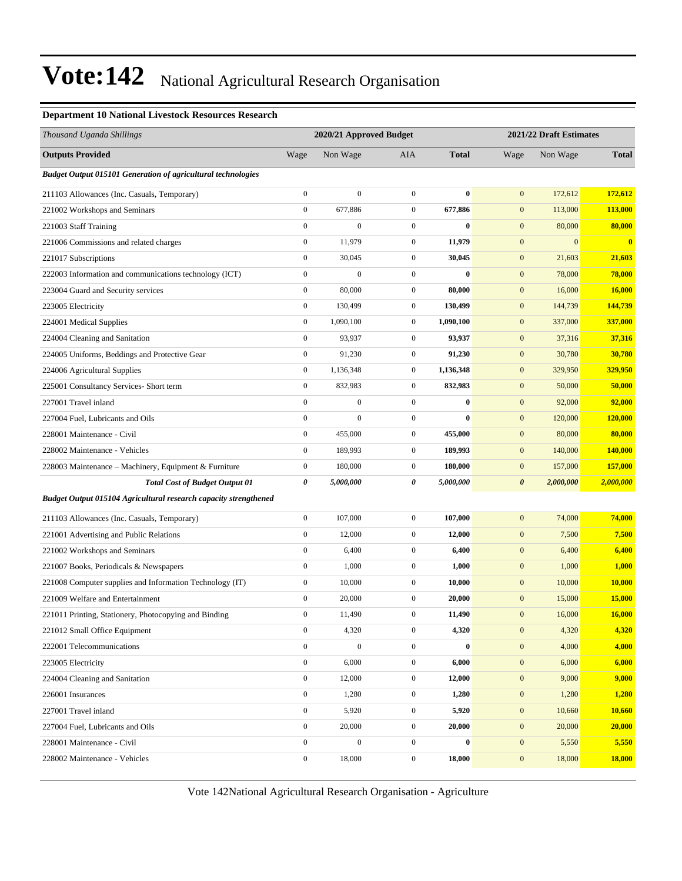#### **Department 10 National Livestock Resources Research**

| Thousand Uganda Shillings                                               | 2020/21 Approved Budget |                  |                  |              |                       | 2021/22 Draft Estimates |                |  |
|-------------------------------------------------------------------------|-------------------------|------------------|------------------|--------------|-----------------------|-------------------------|----------------|--|
| <b>Outputs Provided</b>                                                 | Wage                    | Non Wage         | AIA              | <b>Total</b> | Wage                  | Non Wage                | <b>Total</b>   |  |
| <b>Budget Output 015101 Generation of agricultural technologies</b>     |                         |                  |                  |              |                       |                         |                |  |
| 211103 Allowances (Inc. Casuals, Temporary)                             | $\boldsymbol{0}$        | $\mathbf{0}$     | $\boldsymbol{0}$ | $\bf{0}$     | $\mathbf{0}$          | 172,612                 | 172,612        |  |
| 221002 Workshops and Seminars                                           | $\boldsymbol{0}$        | 677,886          | $\boldsymbol{0}$ | 677,886      | $\mathbf{0}$          | 113,000                 | 113,000        |  |
| 221003 Staff Training                                                   | $\boldsymbol{0}$        | $\boldsymbol{0}$ | $\boldsymbol{0}$ | $\bf{0}$     | $\mathbf{0}$          | 80,000                  | 80,000         |  |
| 221006 Commissions and related charges                                  | $\boldsymbol{0}$        | 11,979           | $\boldsymbol{0}$ | 11,979       | $\mathbf{0}$          | $\boldsymbol{0}$        | $\bf{0}$       |  |
| 221017 Subscriptions                                                    | $\boldsymbol{0}$        | 30,045           | $\boldsymbol{0}$ | 30,045       | $\mathbf{0}$          | 21,603                  | 21,603         |  |
| 222003 Information and communications technology (ICT)                  | $\boldsymbol{0}$        | $\mathbf{0}$     | $\boldsymbol{0}$ | $\bf{0}$     | $\mathbf{0}$          | 78,000                  | 78,000         |  |
| 223004 Guard and Security services                                      | $\boldsymbol{0}$        | 80,000           | $\boldsymbol{0}$ | 80,000       | $\mathbf{0}$          | 16,000                  | 16,000         |  |
| 223005 Electricity                                                      | $\boldsymbol{0}$        | 130,499          | $\boldsymbol{0}$ | 130,499      | $\mathbf{0}$          | 144,739                 | 144,739        |  |
| 224001 Medical Supplies                                                 | $\boldsymbol{0}$        | 1,090,100        | $\boldsymbol{0}$ | 1,090,100    | $\mathbf{0}$          | 337,000                 | 337,000        |  |
| 224004 Cleaning and Sanitation                                          | $\boldsymbol{0}$        | 93,937           | $\boldsymbol{0}$ | 93,937       | $\mathbf{0}$          | 37,316                  | 37,316         |  |
| 224005 Uniforms, Beddings and Protective Gear                           | $\boldsymbol{0}$        | 91,230           | $\boldsymbol{0}$ | 91,230       | $\mathbf{0}$          | 30,780                  | 30,780         |  |
| 224006 Agricultural Supplies                                            | $\boldsymbol{0}$        | 1,136,348        | $\boldsymbol{0}$ | 1,136,348    | $\mathbf{0}$          | 329,950                 | 329,950        |  |
| 225001 Consultancy Services- Short term                                 | $\boldsymbol{0}$        | 832,983          | $\boldsymbol{0}$ | 832,983      | $\mathbf{0}$          | 50,000                  | 50,000         |  |
| 227001 Travel inland                                                    | $\boldsymbol{0}$        | $\boldsymbol{0}$ | $\boldsymbol{0}$ | $\bf{0}$     | $\mathbf{0}$          | 92,000                  | 92,000         |  |
| 227004 Fuel, Lubricants and Oils                                        | $\boldsymbol{0}$        | $\overline{0}$   | $\boldsymbol{0}$ | $\bf{0}$     | $\mathbf{0}$          | 120,000                 | <b>120,000</b> |  |
| 228001 Maintenance - Civil                                              | $\boldsymbol{0}$        | 455,000          | $\boldsymbol{0}$ | 455,000      | $\mathbf{0}$          | 80,000                  | 80,000         |  |
| 228002 Maintenance - Vehicles                                           | $\boldsymbol{0}$        | 189,993          | $\boldsymbol{0}$ | 189,993      | $\mathbf{0}$          | 140,000                 | 140,000        |  |
| 228003 Maintenance – Machinery, Equipment & Furniture                   | $\boldsymbol{0}$        | 180,000          | $\boldsymbol{0}$ | 180,000      | $\mathbf{0}$          | 157,000                 | 157,000        |  |
| <b>Total Cost of Budget Output 01</b>                                   | 0                       | 5,000,000        | 0                | 5,000,000    | $\boldsymbol{\theta}$ | 2,000,000               | 2,000,000      |  |
| <b>Budget Output 015104 Agricultural research capacity strengthened</b> |                         |                  |                  |              |                       |                         |                |  |
| 211103 Allowances (Inc. Casuals, Temporary)                             | $\boldsymbol{0}$        | 107,000          | $\boldsymbol{0}$ | 107,000      | $\mathbf{0}$          | 74,000                  | 74,000         |  |
| 221001 Advertising and Public Relations                                 | $\boldsymbol{0}$        | 12,000           | $\boldsymbol{0}$ | 12,000       | $\mathbf{0}$          | 7,500                   | 7,500          |  |
| 221002 Workshops and Seminars                                           | $\boldsymbol{0}$        | 6,400            | $\boldsymbol{0}$ | 6,400        | $\mathbf{0}$          | 6,400                   | 6,400          |  |
| 221007 Books, Periodicals & Newspapers                                  | $\boldsymbol{0}$        | 1,000            | $\boldsymbol{0}$ | 1,000        | $\mathbf{0}$          | 1,000                   | 1,000          |  |
| 221008 Computer supplies and Information Technology (IT)                | $\boldsymbol{0}$        | 10,000           | $\boldsymbol{0}$ | 10,000       | $\mathbf{0}$          | 10,000                  | 10,000         |  |
| 221009 Welfare and Entertainment                                        | $\boldsymbol{0}$        | 20,000           | $\boldsymbol{0}$ | 20,000       | $\mathbf{0}$          | 15,000                  | <b>15,000</b>  |  |
| 221011 Printing, Stationery, Photocopying and Binding                   | $\overline{0}$          | 11,490           | $\mathbf{0}$     | 11,490       | $\mathbf{0}$          | 16,000                  | 16,000         |  |
| 221012 Small Office Equipment                                           | $\mathbf{0}$            | 4,320            | $\boldsymbol{0}$ | 4,320        | $\boldsymbol{0}$      | 4,320                   | 4,320          |  |
| 222001 Telecommunications                                               | $\boldsymbol{0}$        | $\boldsymbol{0}$ | $\boldsymbol{0}$ | $\bf{0}$     | $\mathbf{0}$          | 4,000                   | 4,000          |  |
| 223005 Electricity                                                      | $\overline{0}$          | 6,000            | $\boldsymbol{0}$ | 6,000        | $\mathbf{0}$          | 6,000                   | 6,000          |  |
| 224004 Cleaning and Sanitation                                          | $\boldsymbol{0}$        | 12,000           | $\boldsymbol{0}$ | 12,000       | $\mathbf{0}$          | 9,000                   | 9,000          |  |
| 226001 Insurances                                                       | $\boldsymbol{0}$        | 1,280            | $\boldsymbol{0}$ | 1,280        | $\boldsymbol{0}$      | 1,280                   | 1,280          |  |
| 227001 Travel inland                                                    | $\mathbf{0}$            | 5,920            | $\boldsymbol{0}$ | 5,920        | $\mathbf{0}$          | 10,660                  | 10,660         |  |
| 227004 Fuel, Lubricants and Oils                                        | $\boldsymbol{0}$        | 20,000           | $\boldsymbol{0}$ | 20,000       | $\mathbf{0}$          | 20,000                  | 20,000         |  |
| 228001 Maintenance - Civil                                              | $\boldsymbol{0}$        | $\boldsymbol{0}$ | $\boldsymbol{0}$ | $\bf{0}$     | $\mathbf{0}$          | 5,550                   | 5,550          |  |
| 228002 Maintenance - Vehicles                                           | $\boldsymbol{0}$        | 18,000           | $\boldsymbol{0}$ | 18,000       | $\boldsymbol{0}$      | 18,000                  | <b>18,000</b>  |  |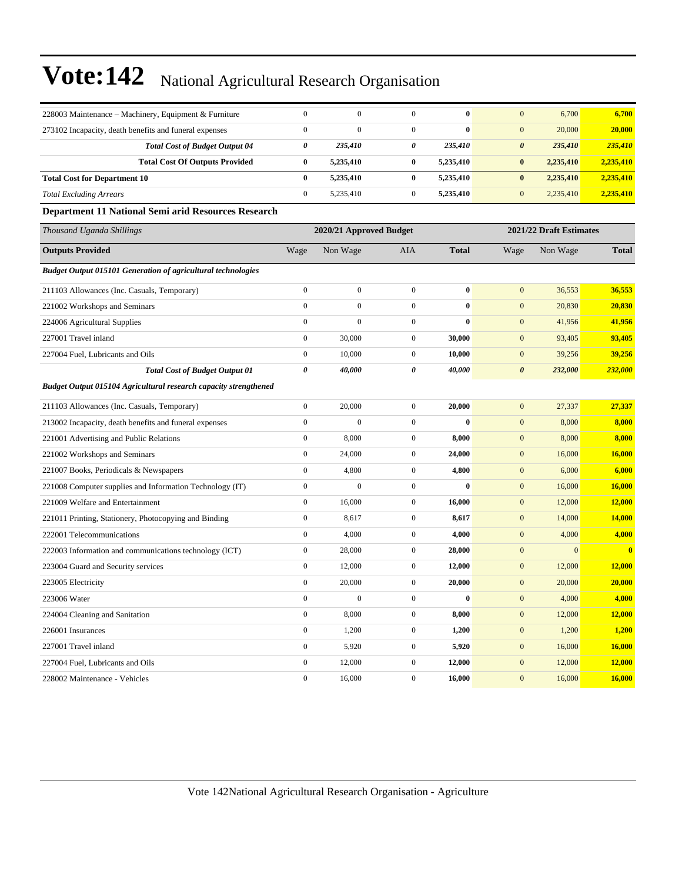| 228003 Maintenance - Machinery, Equipment & Furniture               | $\boldsymbol{0}$      | $\boldsymbol{0}$        | $\boldsymbol{0}$ | $\bf{0}$     | $\mathbf{0}$     | 6,700                   | 6,700                   |  |  |
|---------------------------------------------------------------------|-----------------------|-------------------------|------------------|--------------|------------------|-------------------------|-------------------------|--|--|
| 273102 Incapacity, death benefits and funeral expenses              | $\boldsymbol{0}$      | $\mathbf{0}$            | $\boldsymbol{0}$ | $\bf{0}$     | $\mathbf{0}$     | 20,000                  | 20,000                  |  |  |
| <b>Total Cost of Budget Output 04</b>                               | $\boldsymbol{\theta}$ | 235,410                 | 0                | 235,410      | $\pmb{\theta}$   | 235,410                 | 235,410                 |  |  |
| <b>Total Cost Of Outputs Provided</b>                               | $\bf{0}$              | 5,235,410               | $\bf{0}$         | 5,235,410    | $\bf{0}$         | 2,235,410               | 2,235,410               |  |  |
| <b>Total Cost for Department 10</b>                                 | $\bf{0}$              | 5,235,410               | $\bf{0}$         | 5,235,410    | $\bf{0}$         | 2,235,410               | 2,235,410               |  |  |
| <b>Total Excluding Arrears</b>                                      | $\mathbf{0}$          | 5,235,410               | $\boldsymbol{0}$ | 5,235,410    | $\mathbf{0}$     | 2,235,410               | 2,235,410               |  |  |
| Department 11 National Semi arid Resources Research                 |                       |                         |                  |              |                  |                         |                         |  |  |
| Thousand Uganda Shillings                                           |                       | 2020/21 Approved Budget |                  |              |                  | 2021/22 Draft Estimates |                         |  |  |
| <b>Outputs Provided</b>                                             | Wage                  | Non Wage                | <b>AIA</b>       | <b>Total</b> | Wage             | Non Wage                | <b>Total</b>            |  |  |
| <b>Budget Output 015101 Generation of agricultural technologies</b> |                       |                         |                  |              |                  |                         |                         |  |  |
| 211103 Allowances (Inc. Casuals, Temporary)                         | $\boldsymbol{0}$      | $\boldsymbol{0}$        | $\boldsymbol{0}$ | $\bf{0}$     | $\mathbf{0}$     | 36,553                  | 36,553                  |  |  |
| 221002 Workshops and Seminars                                       | $\boldsymbol{0}$      | $\boldsymbol{0}$        | $\boldsymbol{0}$ | $\bf{0}$     | $\boldsymbol{0}$ | 20,830                  | 20,830                  |  |  |
| 224006 Agricultural Supplies                                        | $\boldsymbol{0}$      | $\boldsymbol{0}$        | $\boldsymbol{0}$ | $\bf{0}$     | $\mathbf{0}$     | 41,956                  | 41,956                  |  |  |
| 227001 Travel inland                                                | $\boldsymbol{0}$      | 30,000                  | $\boldsymbol{0}$ | 30,000       | $\boldsymbol{0}$ | 93,405                  | 93,405                  |  |  |
| 227004 Fuel, Lubricants and Oils                                    | $\boldsymbol{0}$      | 10,000                  | $\boldsymbol{0}$ | 10,000       | $\boldsymbol{0}$ | 39,256                  | 39,256                  |  |  |
| <b>Total Cost of Budget Output 01</b>                               | $\boldsymbol{\theta}$ | 40,000                  | 0                | 40,000       | $\pmb{\theta}$   | 232,000                 | 232,000                 |  |  |
| Budget Output 015104 Agricultural research capacity strengthened    |                       |                         |                  |              |                  |                         |                         |  |  |
| 211103 Allowances (Inc. Casuals, Temporary)                         | $\boldsymbol{0}$      | 20,000                  | $\boldsymbol{0}$ | 20,000       | $\boldsymbol{0}$ | 27,337                  | 27,337                  |  |  |
| 213002 Incapacity, death benefits and funeral expenses              | $\boldsymbol{0}$      | $\boldsymbol{0}$        | $\boldsymbol{0}$ | $\bf{0}$     | $\mathbf{0}$     | 8,000                   | 8,000                   |  |  |
| 221001 Advertising and Public Relations                             | $\boldsymbol{0}$      | 8,000                   | $\boldsymbol{0}$ | 8,000        | $\boldsymbol{0}$ | 8,000                   | 8,000                   |  |  |
| 221002 Workshops and Seminars                                       | $\boldsymbol{0}$      | 24,000                  | $\boldsymbol{0}$ | 24,000       | $\boldsymbol{0}$ | 16,000                  | 16,000                  |  |  |
| 221007 Books, Periodicals & Newspapers                              | $\boldsymbol{0}$      | 4,800                   | $\boldsymbol{0}$ | 4,800        | $\boldsymbol{0}$ | 6,000                   | 6,000                   |  |  |
| 221008 Computer supplies and Information Technology (IT)            | $\boldsymbol{0}$      | $\boldsymbol{0}$        | $\boldsymbol{0}$ | $\bf{0}$     | $\boldsymbol{0}$ | 16,000                  | 16,000                  |  |  |
| 221009 Welfare and Entertainment                                    | $\boldsymbol{0}$      | 16,000                  | $\mathbf{0}$     | 16,000       | $\mathbf{0}$     | 12,000                  | 12,000                  |  |  |
| 221011 Printing, Stationery, Photocopying and Binding               | $\boldsymbol{0}$      | 8,617                   | $\boldsymbol{0}$ | 8,617        | $\mathbf{0}$     | 14,000                  | 14,000                  |  |  |
| 222001 Telecommunications                                           | $\boldsymbol{0}$      | 4,000                   | $\mathbf{0}$     | 4,000        | $\mathbf{0}$     | 4,000                   | 4,000                   |  |  |
| 222003 Information and communications technology (ICT)              | $\boldsymbol{0}$      | 28,000                  | $\overline{0}$   | 28,000       | $\mathbf{0}$     | $\Omega$                | $\overline{\mathbf{0}}$ |  |  |
| 223004 Guard and Security services                                  | $\boldsymbol{0}$      | 12,000                  | $\boldsymbol{0}$ | 12,000       | $\boldsymbol{0}$ | 12,000                  | 12,000                  |  |  |
| 223005 Electricity                                                  | $\mathbf{0}$          | 20,000                  | $\boldsymbol{0}$ | 20,000       | $\boldsymbol{0}$ | 20,000                  | 20,000                  |  |  |
| 223006 Water                                                        | $\boldsymbol{0}$      | $\boldsymbol{0}$        | $\overline{0}$   | $\bf{0}$     | $\mathbf{0}$     | 4,000                   | 4,000                   |  |  |
| 224004 Cleaning and Sanitation                                      | $\boldsymbol{0}$      | 8,000                   | 0                | 8,000        | $\mathbf{0}$     | 12,000                  | 12,000                  |  |  |
| 226001 Insurances                                                   | $\boldsymbol{0}$      | 1,200                   | $\mathbf{0}$     | 1,200        | $\boldsymbol{0}$ | 1,200                   | 1,200                   |  |  |
| 227001 Travel inland                                                | $\boldsymbol{0}$      | 5,920                   | $\mathbf{0}$     | 5,920        | $\boldsymbol{0}$ | 16,000                  | 16,000                  |  |  |
| 227004 Fuel, Lubricants and Oils                                    | $\boldsymbol{0}$      | 12,000                  | $\boldsymbol{0}$ | 12,000       | $\boldsymbol{0}$ | 12,000                  | 12,000                  |  |  |
| 228002 Maintenance - Vehicles                                       | $\mathbf{0}$          | 16,000                  | $\overline{0}$   | 16,000       | $\mathbf{0}$     | 16,000                  | 16,000                  |  |  |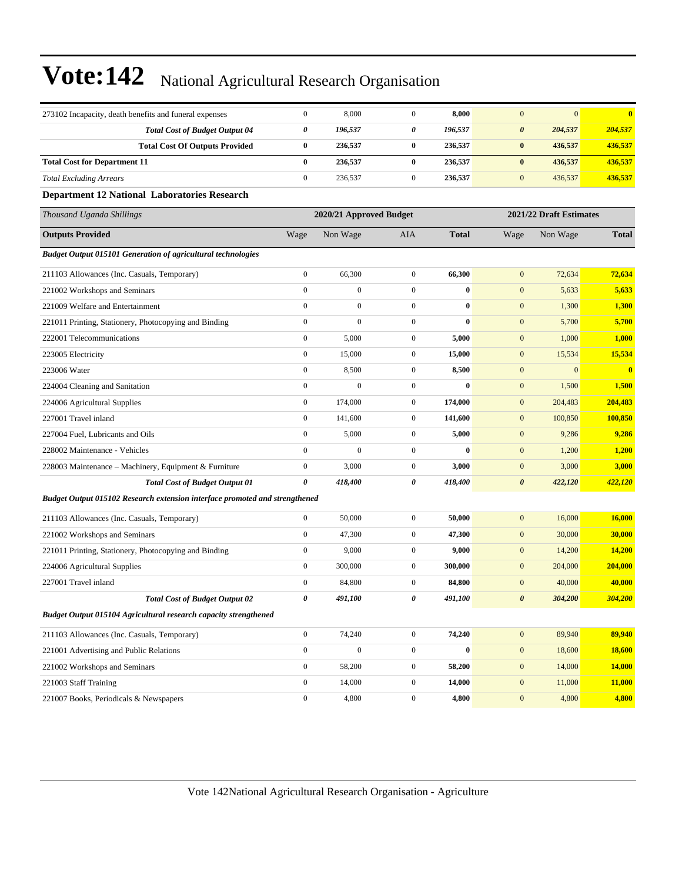| 273102 Incapacity, death benefits and funeral expenses                      | $\boldsymbol{0}$      | 8,000                   | $\boldsymbol{0}$        | 8,000        | $\mathbf{0}$          | $\mathbf{0}$ | $\bf{0}$      |
|-----------------------------------------------------------------------------|-----------------------|-------------------------|-------------------------|--------------|-----------------------|--------------|---------------|
| <b>Total Cost of Budget Output 04</b>                                       | $\pmb{\theta}$        | 196,537                 | 0                       | 196,537      | $\boldsymbol{\theta}$ | 204,537      | 204,537       |
| <b>Total Cost Of Outputs Provided</b>                                       | $\bf{0}$              | 236,537                 | $\bf{0}$                | 236,537      | $\pmb{0}$             | 436,537      | 436,537       |
| <b>Total Cost for Department 11</b>                                         | $\bf{0}$              | 236,537                 | $\bf{0}$                | 236,537      | $\pmb{0}$             | 436,537      | 436,537       |
| <b>Total Excluding Arrears</b>                                              | $\mathbf{0}$          | 236,537                 | $\boldsymbol{0}$        | 236,537      | $\boldsymbol{0}$      | 436,537      | 436,537       |
| <b>Department 12 National Laboratories Research</b>                         |                       |                         |                         |              |                       |              |               |
| Thousand Uganda Shillings                                                   |                       | 2020/21 Approved Budget | 2021/22 Draft Estimates |              |                       |              |               |
| <b>Outputs Provided</b>                                                     | Wage                  | Non Wage                | <b>AIA</b>              | <b>Total</b> | Wage                  | Non Wage     | <b>Total</b>  |
| <b>Budget Output 015101 Generation of agricultural technologies</b>         |                       |                         |                         |              |                       |              |               |
| 211103 Allowances (Inc. Casuals, Temporary)                                 | $\boldsymbol{0}$      | 66,300                  | $\boldsymbol{0}$        | 66,300       | $\mathbf{0}$          | 72,634       | 72,634        |
| 221002 Workshops and Seminars                                               | $\mathbf{0}$          | $\boldsymbol{0}$        | $\boldsymbol{0}$        | $\bf{0}$     | $\boldsymbol{0}$      | 5,633        | 5,633         |
| 221009 Welfare and Entertainment                                            | $\mathbf{0}$          | $\boldsymbol{0}$        | $\boldsymbol{0}$        | $\bf{0}$     | $\boldsymbol{0}$      | 1,300        | 1,300         |
| 221011 Printing, Stationery, Photocopying and Binding                       | $\boldsymbol{0}$      | $\boldsymbol{0}$        | $\boldsymbol{0}$        | $\bf{0}$     | $\boldsymbol{0}$      | 5,700        | 5,700         |
| 222001 Telecommunications                                                   | $\mathbf{0}$          | 5,000                   | $\boldsymbol{0}$        | 5,000        | $\boldsymbol{0}$      | 1,000        | 1,000         |
| 223005 Electricity                                                          | $\boldsymbol{0}$      | 15,000                  | $\boldsymbol{0}$        | 15,000       | $\mathbf{0}$          | 15,534       | 15,534        |
| 223006 Water                                                                | $\boldsymbol{0}$      | 8,500                   | $\boldsymbol{0}$        | 8,500        | $\boldsymbol{0}$      | $\mathbf{0}$ | $\bf{0}$      |
| 224004 Cleaning and Sanitation                                              | $\boldsymbol{0}$      | $\boldsymbol{0}$        | $\boldsymbol{0}$        | $\bf{0}$     | $\boldsymbol{0}$      | 1,500        | 1,500         |
| 224006 Agricultural Supplies                                                | $\boldsymbol{0}$      | 174,000                 | $\boldsymbol{0}$        | 174,000      | $\boldsymbol{0}$      | 204,483      | 204,483       |
| 227001 Travel inland                                                        | $\mathbf{0}$          | 141,600                 | $\boldsymbol{0}$        | 141,600      | $\boldsymbol{0}$      | 100,850      | 100,850       |
| 227004 Fuel, Lubricants and Oils                                            | $\boldsymbol{0}$      | 5,000                   | $\boldsymbol{0}$        | 5,000        | $\boldsymbol{0}$      | 9,286        | 9,286         |
| 228002 Maintenance - Vehicles                                               | $\mathbf{0}$          | $\boldsymbol{0}$        | $\boldsymbol{0}$        | $\bf{0}$     | $\boldsymbol{0}$      | 1,200        | 1,200         |
| 228003 Maintenance - Machinery, Equipment & Furniture                       | $\boldsymbol{0}$      | 3,000                   | $\boldsymbol{0}$        | 3,000        | $\boldsymbol{0}$      | 3,000        | 3,000         |
| <b>Total Cost of Budget Output 01</b>                                       | $\boldsymbol{\theta}$ | 418,400                 | 0                       | 418,400      | $\boldsymbol{\theta}$ | 422,120      | 422,120       |
| Budget Output 015102 Research extension interface promoted and strengthened |                       |                         |                         |              |                       |              |               |
| 211103 Allowances (Inc. Casuals, Temporary)                                 | $\mathbf{0}$          | 50,000                  | $\boldsymbol{0}$        | 50,000       | $\boldsymbol{0}$      | 16,000       | 16,000        |
| 221002 Workshops and Seminars                                               | $\boldsymbol{0}$      | 47,300                  | $\boldsymbol{0}$        | 47,300       | $\boldsymbol{0}$      | 30,000       | 30,000        |
| 221011 Printing, Stationery, Photocopying and Binding                       | $\boldsymbol{0}$      | 9,000                   | $\boldsymbol{0}$        | 9,000        | $\boldsymbol{0}$      | 14,200       | <b>14,200</b> |
| 224006 Agricultural Supplies                                                | $\boldsymbol{0}$      | 300,000                 | $\boldsymbol{0}$        | 300,000      | $\boldsymbol{0}$      | 204,000      | 204,000       |
| 227001 Travel inland                                                        | $\boldsymbol{0}$      | 84,800                  | $\boldsymbol{0}$        | 84,800       | $\mathbf{0}$          | 40,000       | 40,000        |
| <b>Total Cost of Budget Output 02</b>                                       | $\boldsymbol{\theta}$ | 491,100                 | 0                       | 491,100      | $\boldsymbol{\theta}$ | 304,200      | 304,200       |
| <b>Budget Output 015104 Agricultural research capacity strengthened</b>     |                       |                         |                         |              |                       |              |               |
| 211103 Allowances (Inc. Casuals, Temporary)                                 | $\boldsymbol{0}$      | 74,240                  | $\boldsymbol{0}$        | 74,240       | $\mathbf{0}$          | 89,940       | 89,940        |
| 221001 Advertising and Public Relations                                     | $\boldsymbol{0}$      | $\boldsymbol{0}$        | $\boldsymbol{0}$        | $\pmb{0}$    | $\boldsymbol{0}$      | 18,600       | 18,600        |
| 221002 Workshops and Seminars                                               | $\boldsymbol{0}$      | 58,200                  | $\boldsymbol{0}$        | 58,200       | $\boldsymbol{0}$      | 14,000       | 14,000        |
| 221003 Staff Training                                                       | $\boldsymbol{0}$      | 14,000                  | $\boldsymbol{0}$        | 14,000       | $\mathbf{0}$          | 11,000       | 11,000        |
| 221007 Books, Periodicals & Newspapers                                      | $\boldsymbol{0}$      | 4,800                   | $\boldsymbol{0}$        | 4,800        | $\boldsymbol{0}$      | 4,800        | 4,800         |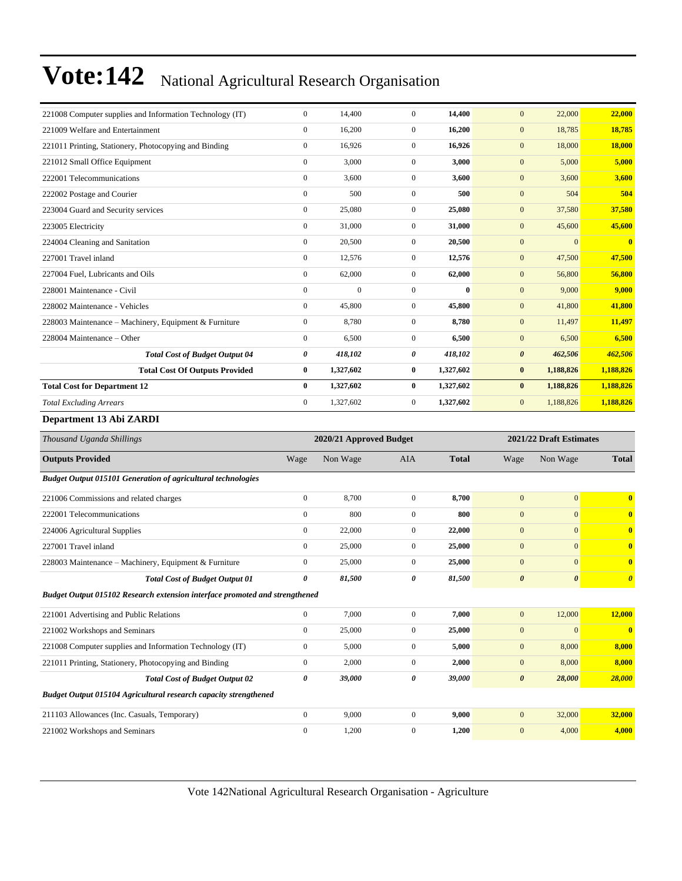| 221008 Computer supplies and Information Technology (IT)            | $\mathbf{0}$          | 14,400                  | $\mathbf{0}$     | 14,400       | $\overline{0}$        | 22,000                  | 22,000                |
|---------------------------------------------------------------------|-----------------------|-------------------------|------------------|--------------|-----------------------|-------------------------|-----------------------|
| 221009 Welfare and Entertainment                                    | $\mathbf{0}$          | 16,200                  | $\boldsymbol{0}$ | 16,200       | $\mathbf{0}$          | 18,785                  | 18,785                |
| 221011 Printing, Stationery, Photocopying and Binding               | $\mathbf{0}$          | 16,926                  | $\mathbf{0}$     | 16,926       | $\mathbf{0}$          | 18,000                  | 18,000                |
| 221012 Small Office Equipment                                       | $\overline{0}$        | 3,000                   | $\boldsymbol{0}$ | 3,000        | $\mathbf{0}$          | 5,000                   | 5,000                 |
| 222001 Telecommunications                                           | $\mathbf{0}$          | 3,600                   | $\mathbf{0}$     | 3,600        | $\overline{0}$        | 3,600                   | 3,600                 |
| 222002 Postage and Courier                                          | $\overline{0}$        | 500                     | $\mathbf{0}$     | 500          | $\mathbf{0}$          | 504                     | 504                   |
| 223004 Guard and Security services                                  | $\overline{0}$        | 25,080                  | $\mathbf{0}$     | 25,080       | $\overline{0}$        | 37,580                  | 37,580                |
| 223005 Electricity                                                  | $\mathbf{0}$          | 31,000                  | $\boldsymbol{0}$ | 31,000       | $\mathbf{0}$          | 45,600                  | 45,600                |
| 224004 Cleaning and Sanitation                                      | $\mathbf{0}$          | 20,500                  | $\mathbf{0}$     | 20,500       | $\overline{0}$        | $\Omega$                | $\bf{0}$              |
| 227001 Travel inland                                                | $\mathbf{0}$          | 12,576                  | $\mathbf{0}$     | 12,576       | $\mathbf{0}$          | 47,500                  | 47,500                |
| 227004 Fuel, Lubricants and Oils                                    | $\boldsymbol{0}$      | 62,000                  | $\mathbf{0}$     | 62,000       | $\mathbf{0}$          | 56,800                  | 56,800                |
| 228001 Maintenance - Civil                                          | $\mathbf{0}$          | $\mathbf{0}$            | $\mathbf{0}$     | $\bf{0}$     | $\mathbf{0}$          | 9,000                   | 9,000                 |
| 228002 Maintenance - Vehicles                                       | $\boldsymbol{0}$      | 45,800                  | $\mathbf{0}$     | 45,800       | $\mathbf{0}$          | 41,800                  | 41,800                |
| 228003 Maintenance - Machinery, Equipment & Furniture               | $\mathbf{0}$          | 8,780                   | $\mathbf{0}$     | 8,780        | $\mathbf{0}$          | 11,497                  | 11,497                |
| 228004 Maintenance - Other                                          | $\boldsymbol{0}$      | 6,500                   | $\mathbf{0}$     | 6,500        | $\mathbf{0}$          | 6,500                   | 6,500                 |
| <b>Total Cost of Budget Output 04</b>                               | 0                     | 418,102                 | 0                | 418,102      | $\boldsymbol{\theta}$ | 462,506                 | 462,506               |
| <b>Total Cost Of Outputs Provided</b>                               | $\bf{0}$              | 1,327,602               | $\bf{0}$         | 1,327,602    | $\bf{0}$              | 1,188,826               | 1,188,826             |
| <b>Total Cost for Department 12</b>                                 | $\mathbf{0}$          | 1,327,602               | $\bf{0}$         | 1,327,602    | $\bf{0}$              | 1,188,826               | 1,188,826             |
| <b>Total Excluding Arrears</b>                                      | $\mathbf{0}$          | 1,327,602               | $\mathbf{0}$     | 1,327,602    | $\mathbf{0}$          | 1,188,826               | 1,188,826             |
| Department 13 Abi ZARDI                                             |                       |                         |                  |              |                       |                         |                       |
| Thousand Uganda Shillings                                           |                       | 2020/21 Approved Budget |                  |              |                       | 2021/22 Draft Estimates |                       |
| <b>Outputs Provided</b>                                             | Wage                  | Non Wage                | <b>AIA</b>       | <b>Total</b> | Wage                  | Non Wage                | <b>Total</b>          |
| <b>Budget Output 015101 Generation of agricultural technologies</b> |                       |                         |                  |              |                       |                         |                       |
| 221006 Commissions and related charges                              | $\mathbf{0}$          | 8,700                   | $\mathbf{0}$     | 8,700        | $\overline{0}$        | $\overline{0}$          | $\bf{0}$              |
| 222001 Telecommunications                                           | $\overline{0}$        | 800                     | $\mathbf{0}$     | 800          | $\mathbf{0}$          | $\overline{0}$          | $\bf{0}$              |
| 224006 Agricultural Supplies                                        | $\mathbf{0}$          | 22,000                  | $\overline{0}$   | 22,000       | $\mathbf{0}$          | $\overline{0}$          | $\mathbf{0}$          |
| 227001 Travel inland                                                | $\mathbf{0}$          | 25,000                  | $\mathbf{0}$     | 25,000       | $\mathbf{0}$          | $\overline{0}$          | $\bf{0}$              |
| 228003 Maintenance - Machinery, Equipment & Furniture               | $\overline{0}$        | 25,000                  | $\mathbf{0}$     | 25,000       | $\overline{0}$        | $\Omega$                | $\mathbf{0}$          |
| <b>Total Cost of Budget Output 01</b>                               | $\boldsymbol{\theta}$ | 81,500                  | 0                | 81,500       | $\boldsymbol{\theta}$ | $\boldsymbol{\theta}$   | $\boldsymbol{\theta}$ |

*Budget Output 015102 Research extension interface promoted and strengthened*

| 221001 Advertising and Public Relations                          | $\Omega$     | 7.000  | $\Omega$ | 7.000  | 12,000<br>$\mathbf{0}$          | 12,000       |
|------------------------------------------------------------------|--------------|--------|----------|--------|---------------------------------|--------------|
| 221002 Workshops and Seminars                                    | $\mathbf{0}$ | 25,000 | 0        | 25,000 | $\mathbf{0}$<br>$\Omega$        | $\mathbf{0}$ |
| 221008 Computer supplies and Information Technology (IT)         | $\Omega$     | 5,000  | 0        | 5,000  | 8,000<br>$\mathbf{0}$           | 8,000        |
| 221011 Printing, Stationery, Photocopying and Binding            |              | 2,000  | 0        | 2,000  | 8,000<br>$\mathbf{0}$           | 8.000        |
| <b>Total Cost of Budget Output 02</b>                            | 0            | 39,000 | 0        | 39,000 | 28,000<br>$\boldsymbol{\theta}$ | 28,000       |
| Budget Output 015104 Agricultural research capacity strengthened |              |        |          |        |                                 |              |
| 211103 Allowances (Inc. Casuals, Temporary)                      | $\Omega$     | 9,000  | $\Omega$ | 9.000  | 32,000<br>$\mathbf{0}$          | 32,000       |
| 221002 Workshops and Seminars                                    | $\Omega$     | 1,200  | 0        | 1.200  | 4.000<br>$\mathbf{0}$           | 4.000        |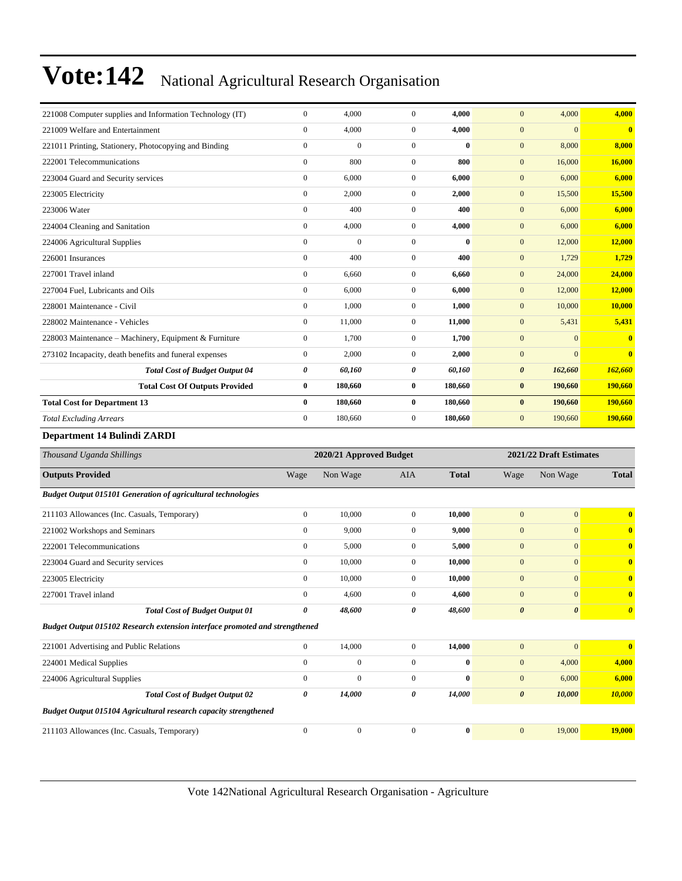| 221008 Computer supplies and Information Technology (IT) | $\mathbf{0}$ | 4,000        | $\Omega$       | 4.000    | 4,000<br>$\Omega$                | 4.000                    |
|----------------------------------------------------------|--------------|--------------|----------------|----------|----------------------------------|--------------------------|
| 221009 Welfare and Entertainment                         | $\mathbf{0}$ | 4.000        | $\mathbf{0}$   | 4.000    | $\mathbf{0}$                     | $\mathbf{0}$<br>$\bf{0}$ |
| 221011 Printing, Stationery, Photocopying and Binding    | $\mathbf{0}$ | $\mathbf{0}$ | $\mathbf{0}$   | 0        | 8,000<br>$\mathbf{0}$            | 8.000                    |
| 222001 Telecommunications                                | $\mathbf{0}$ | 800          | $\Omega$       | 800      | 16,000<br>$\mathbf{0}$           | 16,000                   |
| 223004 Guard and Security services                       | $\mathbf{0}$ | 6,000        | $\Omega$       | 6,000    | $\overline{0}$<br>6,000          | 6.000                    |
| 223005 Electricity                                       | $\mathbf{0}$ | 2,000        | $\mathbf{0}$   | 2,000    | $\mathbf{0}$<br>15,500           | 15,500                   |
| 223006 Water                                             | $\mathbf{0}$ | 400          | $\mathbf{0}$   | 400      | $\mathbf{0}$<br>6,000            | 6,000                    |
| 224004 Cleaning and Sanitation                           | $\mathbf{0}$ | 4,000        | $\overline{0}$ | 4,000    | $\mathbf{0}$<br>6,000            | 6,000                    |
| 224006 Agricultural Supplies                             | $\mathbf{0}$ | $\mathbf{0}$ | $\Omega$       | $\bf{0}$ | $\overline{0}$<br>12,000         | 12,000                   |
| 226001 Insurances                                        | $\mathbf{0}$ | 400          | $\overline{0}$ | 400      | $\mathbf{0}$<br>1,729            | 1,729                    |
| 227001 Travel inland                                     | $\mathbf{0}$ | 6,660        | $\overline{0}$ | 6,660    | $\mathbf{0}$<br>24,000           | 24,000                   |
| 227004 Fuel, Lubricants and Oils                         | $\mathbf{0}$ | 6,000        | $\overline{0}$ | 6,000    | 12,000<br>$\mathbf{0}$           | 12,000                   |
| 228001 Maintenance - Civil                               | $\mathbf{0}$ | 1,000        | $\overline{0}$ | 1.000    | $\overline{0}$<br>10,000         | 10,000                   |
| 228002 Maintenance - Vehicles                            | $\mathbf{0}$ | 11,000       | $\mathbf{0}$   | 11,000   | $\overline{0}$<br>5,431          | 5,431                    |
| 228003 Maintenance – Machinery, Equipment & Furniture    | $\mathbf{0}$ | 1.700        | $\mathbf{0}$   | 1,700    | $\mathbf{0}$                     | $\Omega$<br>$\mathbf{0}$ |
| 273102 Incapacity, death benefits and funeral expenses   | $\mathbf{0}$ | 2,000        | $\overline{0}$ | 2,000    | $\boldsymbol{0}$                 | $\Omega$<br>$\mathbf{0}$ |
| <b>Total Cost of Budget Output 04</b>                    | 0            | 60,160       | 0              | 60,160   | $\boldsymbol{\theta}$<br>162,660 | 162,660                  |
| <b>Total Cost Of Outputs Provided</b>                    | $\bf{0}$     | 180,660      | $\bf{0}$       | 180,660  | $\bf{0}$<br>190,660              | 190,660                  |
| <b>Total Cost for Department 13</b>                      | $\bf{0}$     | 180,660      | $\bf{0}$       | 180,660  | $\bf{0}$<br>190,660              | 190.660                  |
| <b>Total Excluding Arrears</b>                           | $\mathbf{0}$ | 180,660      | $\overline{0}$ | 180,660  | $\boldsymbol{0}$<br>190,660      | 190,660                  |
| Department 14 Bulindi ZARDI                              |              |              |                |          |                                  |                          |

| Thousand Uganda Shillings                                                   | 2020/21 Approved Budget |              |                |              | 2021/22 Draft Estimates |                       |                         |
|-----------------------------------------------------------------------------|-------------------------|--------------|----------------|--------------|-------------------------|-----------------------|-------------------------|
| <b>Outputs Provided</b>                                                     | Wage                    | Non Wage     | <b>AIA</b>     | <b>Total</b> | Wage                    | Non Wage              | <b>Total</b>            |
| <b>Budget Output 015101 Generation of agricultural technologies</b>         |                         |              |                |              |                         |                       |                         |
| 211103 Allowances (Inc. Casuals, Temporary)                                 | $\overline{0}$          | 10,000       | $\Omega$       | 10,000       | $\overline{0}$          | $\mathbf{0}$          | $\overline{\mathbf{0}}$ |
| 221002 Workshops and Seminars                                               | $\overline{0}$          | 9,000        | $\Omega$       | 9,000        | $\mathbf{0}$            | $\mathbf{0}$          | $\mathbf{0}$            |
| 222001 Telecommunications                                                   | $\overline{0}$          | 5,000        | $\overline{0}$ | 5,000        | $\mathbf{0}$            | $\mathbf{0}$          | $\bf{0}$                |
| 223004 Guard and Security services                                          | $\overline{0}$          | 10,000       | $\overline{0}$ | 10,000       | $\mathbf{0}$            | $\mathbf{0}$          | $\mathbf{0}$            |
| 223005 Electricity                                                          | $\overline{0}$          | 10,000       | $\overline{0}$ | 10,000       | $\mathbf{0}$            | $\mathbf{0}$          | $\mathbf{0}$            |
| 227001 Travel inland                                                        | $\overline{0}$          | 4,600        | $\overline{0}$ | 4,600        | $\mathbf{0}$            | $\mathbf{0}$          | $\mathbf{0}$            |
| <b>Total Cost of Budget Output 01</b>                                       | 0                       | 48,600       | 0              | 48,600       | $\boldsymbol{\theta}$   | $\boldsymbol{\theta}$ | $\boldsymbol{\theta}$   |
| Budget Output 015102 Research extension interface promoted and strengthened |                         |              |                |              |                         |                       |                         |
| 221001 Advertising and Public Relations                                     | $\overline{0}$          | 14,000       | $\Omega$       | 14,000       | $\overline{0}$          | $\overline{0}$        | $\overline{\mathbf{0}}$ |
| 224001 Medical Supplies                                                     | $\mathbf{0}$            | $\mathbf{0}$ | $\mathbf{0}$   | $\bf{0}$     | $\mathbf{0}$            | 4,000                 | 4,000                   |
| 224006 Agricultural Supplies                                                | $\mathbf{0}$            | $\mathbf{0}$ | $\mathbf{0}$   | $\bf{0}$     | $\mathbf{0}$            | 6,000                 | 6,000                   |
| <b>Total Cost of Budget Output 02</b>                                       | 0                       | 14,000       | 0              | 14,000       | $\boldsymbol{\theta}$   | 10,000                | 10,000                  |
| <b>Budget Output 015104 Agricultural research capacity strengthened</b>     |                         |              |                |              |                         |                       |                         |
| 211103 Allowances (Inc. Casuals, Temporary)                                 | $\Omega$                | $\mathbf{0}$ | $\Omega$       | $\bf{0}$     | $\overline{0}$          | 19,000                | 19,000                  |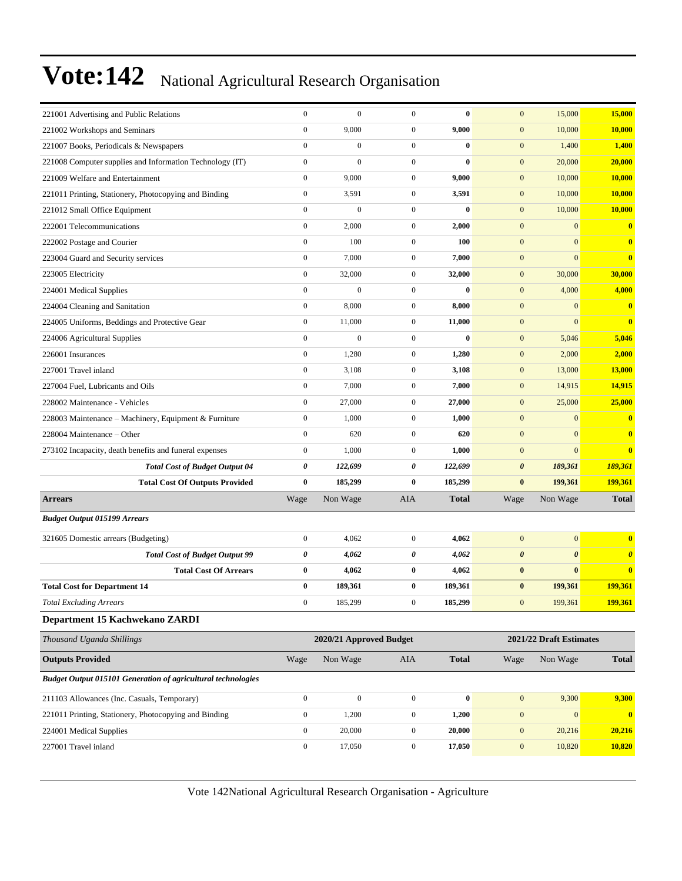| 221001 Advertising and Public Relations                             | $\boldsymbol{0}$ | $\boldsymbol{0}$        | $\boldsymbol{0}$ | $\bf{0}$         | $\mathbf{0}$          | 15,000                  | 15,000                |
|---------------------------------------------------------------------|------------------|-------------------------|------------------|------------------|-----------------------|-------------------------|-----------------------|
| 221002 Workshops and Seminars                                       | $\boldsymbol{0}$ | 9,000                   | $\boldsymbol{0}$ | 9,000            | $\boldsymbol{0}$      | 10,000                  | 10,000                |
| 221007 Books, Periodicals & Newspapers                              | $\mathbf{0}$     | $\mathbf{0}$            | $\boldsymbol{0}$ | $\bf{0}$         | $\mathbf{0}$          | 1,400                   | 1,400                 |
| 221008 Computer supplies and Information Technology (IT)            | $\boldsymbol{0}$ | $\mathbf{0}$            | $\boldsymbol{0}$ | $\bf{0}$         | $\mathbf{0}$          | 20,000                  | 20,000                |
| 221009 Welfare and Entertainment                                    | $\mathbf{0}$     | 9,000                   | $\boldsymbol{0}$ | 9,000            | $\mathbf{0}$          | 10,000                  | 10,000                |
| 221011 Printing, Stationery, Photocopying and Binding               | $\boldsymbol{0}$ | 3,591                   | $\mathbf{0}$     | 3,591            | $\mathbf{0}$          | 10,000                  | 10,000                |
| 221012 Small Office Equipment                                       | $\boldsymbol{0}$ | $\boldsymbol{0}$        | $\mathbf{0}$     | $\bf{0}$         | $\boldsymbol{0}$      | 10,000                  | 10,000                |
| 222001 Telecommunications                                           | $\boldsymbol{0}$ | 2,000                   | $\boldsymbol{0}$ | 2,000            | $\boldsymbol{0}$      | $\overline{0}$          | $\bf{0}$              |
| 222002 Postage and Courier                                          | $\boldsymbol{0}$ | 100                     | $\boldsymbol{0}$ | 100              | $\mathbf{0}$          | $\overline{0}$          | $\bf{0}$              |
| 223004 Guard and Security services                                  | $\mathbf{0}$     | 7,000                   | $\boldsymbol{0}$ | 7,000            | $\mathbf{0}$          | $\Omega$                | $\bf{0}$              |
| 223005 Electricity                                                  | $\boldsymbol{0}$ | 32,000                  | $\mathbf{0}$     | 32,000           | $\mathbf{0}$          | 30,000                  | 30,000                |
| 224001 Medical Supplies                                             | $\mathbf{0}$     | $\boldsymbol{0}$        | $\mathbf{0}$     | $\bf{0}$         | $\boldsymbol{0}$      | 4,000                   | 4,000                 |
| 224004 Cleaning and Sanitation                                      | $\boldsymbol{0}$ | 8,000                   | $\mathbf{0}$     | 8,000            | $\mathbf{0}$          | $\overline{0}$          | $\bf{0}$              |
| 224005 Uniforms, Beddings and Protective Gear                       | $\boldsymbol{0}$ | 11,000                  | $\mathbf{0}$     | 11,000           | $\mathbf{0}$          | $\overline{0}$          | $\bf{0}$              |
| 224006 Agricultural Supplies                                        | $\mathbf{0}$     | $\boldsymbol{0}$        | $\boldsymbol{0}$ | $\bf{0}$         | $\boldsymbol{0}$      | 5,046                   | 5,046                 |
| 226001 Insurances                                                   | $\boldsymbol{0}$ | 1,280                   | $\mathbf{0}$     | 1,280            | $\mathbf{0}$          | 2,000                   | 2,000                 |
| 227001 Travel inland                                                | $\boldsymbol{0}$ | 3,108                   | $\mathbf{0}$     | 3,108            | $\boldsymbol{0}$      | 13,000                  | 13,000                |
| 227004 Fuel, Lubricants and Oils                                    | $\boldsymbol{0}$ | 7,000                   | $\boldsymbol{0}$ | 7,000            | $\mathbf{0}$          | 14,915                  | 14,915                |
| 228002 Maintenance - Vehicles                                       | $\boldsymbol{0}$ | 27,000                  | $\mathbf{0}$     | 27,000           | $\mathbf{0}$          | 25,000                  | 25,000                |
| 228003 Maintenance - Machinery, Equipment & Furniture               | $\mathbf{0}$     | 1,000                   | $\mathbf{0}$     | 1,000            | $\mathbf{0}$          | $\mathbf{0}$            | $\bf{0}$              |
| 228004 Maintenance – Other                                          | $\boldsymbol{0}$ | 620                     | $\mathbf{0}$     | 620              | $\mathbf{0}$          | $\overline{0}$          | $\bf{0}$              |
| 273102 Incapacity, death benefits and funeral expenses              | $\boldsymbol{0}$ | 1,000                   | $\mathbf{0}$     | 1,000            | $\boldsymbol{0}$      | $\overline{0}$          | $\bf{0}$              |
| <b>Total Cost of Budget Output 04</b>                               | 0                | 122,699                 | 0                | 122,699          | $\boldsymbol{\theta}$ | 189,361                 | 189,361               |
| <b>Total Cost Of Outputs Provided</b>                               | $\bf{0}$         | 185,299                 | $\bf{0}$         | 185,299          | $\bf{0}$              | 199,361                 | 199,361               |
| <b>Arrears</b>                                                      | Wage             | Non Wage                | <b>AIA</b>       | <b>Total</b>     | Wage                  | Non Wage                | <b>Total</b>          |
| <b>Budget Output 015199 Arrears</b>                                 |                  |                         |                  |                  |                       |                         |                       |
| 321605 Domestic arrears (Budgeting)                                 | $\boldsymbol{0}$ | 4,062                   | $\mathbf{0}$     | 4,062            | $\mathbf{0}$          | $\overline{0}$          | $\bf{0}$              |
| <b>Total Cost of Budget Output 99</b>                               | 0                | 4,062                   | 0                | 4,062            | $\boldsymbol{\theta}$ | $\boldsymbol{\theta}$   | $\boldsymbol{\theta}$ |
| <b>Total Cost Of Arrears</b>                                        | $\bf{0}$         | 4,062                   | $\bf{0}$         | 4,062            | $\bf{0}$              | $\bf{0}$                | $\bf{0}$              |
| <b>Total Cost for Department 14</b>                                 | $\bf{0}$         | 189,361                 | $\bf{0}$         | 189,361          | $\bf{0}$              | 199,361                 | 199,361               |
| <b>Total Excluding Arrears</b>                                      | $\mathbf{0}$     | 185,299                 | 0                | 185,299          | $\mathbf{0}$          | 199,361                 | 199,361               |
| Department 15 Kachwekano ZARDI                                      |                  |                         |                  |                  |                       |                         |                       |
| Thousand Uganda Shillings                                           |                  | 2020/21 Approved Budget |                  |                  |                       | 2021/22 Draft Estimates |                       |
| <b>Outputs Provided</b>                                             | Wage             | Non Wage                | AIA              | <b>Total</b>     | Wage                  | Non Wage                | <b>Total</b>          |
| <b>Budget Output 015101 Generation of agricultural technologies</b> |                  |                         |                  |                  |                       |                         |                       |
| 211103 Allowances (Inc. Casuals, Temporary)                         | $\boldsymbol{0}$ | $\boldsymbol{0}$        | $\boldsymbol{0}$ | $\boldsymbol{0}$ | $\boldsymbol{0}$      | 9,300                   | 9,300                 |
| 221011 Printing, Stationery, Photocopying and Binding               | $\boldsymbol{0}$ | 1,200                   | $\boldsymbol{0}$ | 1,200            | $\boldsymbol{0}$      | $\mathbf{0}$            | $\bullet$             |
| 224001 Medical Supplies                                             | $\boldsymbol{0}$ | 20,000                  | $\boldsymbol{0}$ | 20,000           | $\boldsymbol{0}$      | 20,216                  | 20,216                |
| 227001 Travel inland                                                | $\boldsymbol{0}$ | 17,050                  | $\boldsymbol{0}$ | 17,050           | $\boldsymbol{0}$      | 10,820                  | 10,820                |
|                                                                     |                  |                         |                  |                  |                       |                         |                       |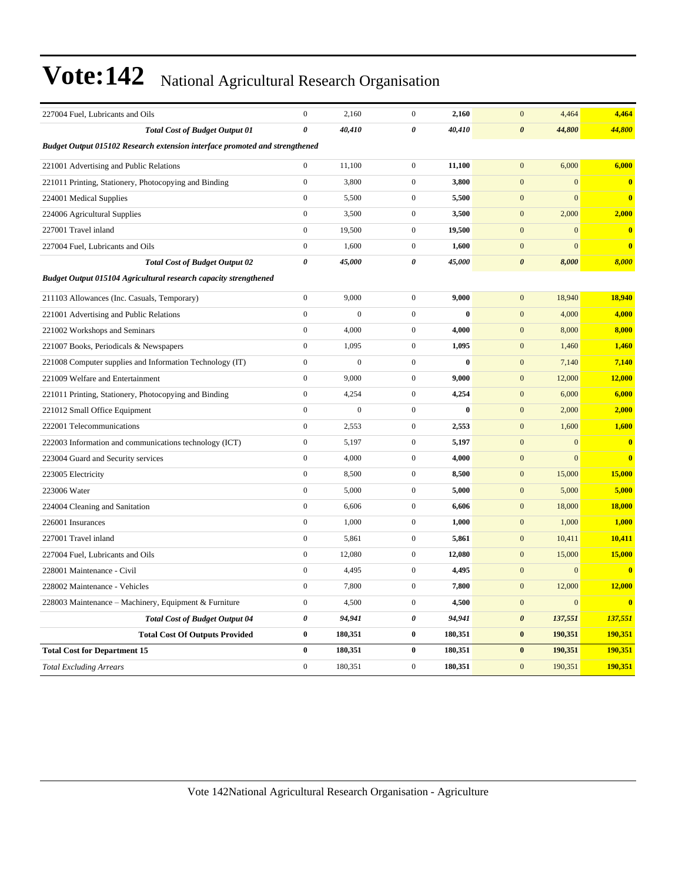| 227004 Fuel, Lubricants and Oils                                            | $\boldsymbol{0}$ | 2,160            | $\mathbf{0}$     | 2,160    | $\mathbf{0}$<br>4,464            | 4,464                   |
|-----------------------------------------------------------------------------|------------------|------------------|------------------|----------|----------------------------------|-------------------------|
| <b>Total Cost of Budget Output 01</b>                                       | 0                | 40,410           | 0                | 40,410   | $\boldsymbol{\theta}$<br>44,800  | 44,800                  |
| Budget Output 015102 Research extension interface promoted and strengthened |                  |                  |                  |          |                                  |                         |
| 221001 Advertising and Public Relations                                     | $\boldsymbol{0}$ | 11,100           | $\boldsymbol{0}$ | 11,100   | $\overline{0}$<br>6,000          | 6,000                   |
| 221011 Printing, Stationery, Photocopying and Binding                       | $\boldsymbol{0}$ | 3,800            | $\boldsymbol{0}$ | 3,800    | $\mathbf{0}$<br>$\mathbf{0}$     | $\bf{0}$                |
| 224001 Medical Supplies                                                     | $\boldsymbol{0}$ | 5,500            | $\boldsymbol{0}$ | 5,500    | $\overline{0}$<br>$\overline{0}$ | $\overline{\mathbf{0}}$ |
| 224006 Agricultural Supplies                                                | $\boldsymbol{0}$ | 3,500            | $\boldsymbol{0}$ | 3,500    | $\mathbf{0}$<br>2,000            | 2,000                   |
| 227001 Travel inland                                                        | $\boldsymbol{0}$ | 19,500           | $\boldsymbol{0}$ | 19,500   | $\mathbf{0}$<br>$\mathbf{0}$     | $\overline{\mathbf{0}}$ |
| 227004 Fuel, Lubricants and Oils                                            | $\overline{0}$   | 1,600            | $\mathbf{0}$     | 1,600    | $\overline{0}$<br>$\overline{0}$ | $\overline{\mathbf{0}}$ |
| <b>Total Cost of Budget Output 02</b>                                       | 0                | 45,000           | 0                | 45,000   | $\boldsymbol{\theta}$<br>8,000   | 8,000                   |
| <b>Budget Output 015104 Agricultural research capacity strengthened</b>     |                  |                  |                  |          |                                  |                         |
| 211103 Allowances (Inc. Casuals, Temporary)                                 | $\boldsymbol{0}$ | 9,000            | $\mathbf{0}$     | 9,000    | 18,940<br>$\mathbf{0}$           | 18,940                  |
| 221001 Advertising and Public Relations                                     | $\boldsymbol{0}$ | $\boldsymbol{0}$ | $\boldsymbol{0}$ | $\bf{0}$ | 4,000<br>$\mathbf{0}$            | 4,000                   |
| 221002 Workshops and Seminars                                               | $\mathbf{0}$     | 4,000            | $\boldsymbol{0}$ | 4,000    | $\mathbf{0}$<br>8,000            | 8,000                   |
| 221007 Books, Periodicals & Newspapers                                      | $\boldsymbol{0}$ | 1,095            | $\boldsymbol{0}$ | 1,095    | $\mathbf{0}$<br>1,460            | 1,460                   |
| 221008 Computer supplies and Information Technology (IT)                    | $\boldsymbol{0}$ | $\boldsymbol{0}$ | $\boldsymbol{0}$ | $\bf{0}$ | $\boldsymbol{0}$<br>7,140        | 7,140                   |
| 221009 Welfare and Entertainment                                            | $\boldsymbol{0}$ | 9,000            | $\boldsymbol{0}$ | 9,000    | $\mathbf{0}$<br>12,000           | 12,000                  |
| 221011 Printing, Stationery, Photocopying and Binding                       | $\overline{0}$   | 4,254            | $\boldsymbol{0}$ | 4,254    | 6,000<br>$\mathbf{0}$            | 6,000                   |
| 221012 Small Office Equipment                                               | $\overline{0}$   | $\boldsymbol{0}$ | $\boldsymbol{0}$ | $\bf{0}$ | $\mathbf{0}$<br>2,000            | 2,000                   |
| 222001 Telecommunications                                                   | $\boldsymbol{0}$ | 2,553            | $\boldsymbol{0}$ | 2,553    | $\mathbf{0}$<br>1,600            | 1,600                   |
| 222003 Information and communications technology (ICT)                      | $\boldsymbol{0}$ | 5,197            | $\boldsymbol{0}$ | 5,197    | $\mathbf{0}$<br>$\mathbf{0}$     | $\mathbf{0}$            |
| 223004 Guard and Security services                                          | $\overline{0}$   | 4,000            | $\boldsymbol{0}$ | 4,000    | $\mathbf{0}$<br>$\mathbf{0}$     | $\bf{0}$                |
| 223005 Electricity                                                          | $\boldsymbol{0}$ | 8,500            | $\boldsymbol{0}$ | 8,500    | $\mathbf{0}$<br>15,000           | 15,000                  |
| 223006 Water                                                                | $\boldsymbol{0}$ | 5,000            | $\boldsymbol{0}$ | 5,000    | $\mathbf{0}$<br>5,000            | 5,000                   |
| 224004 Cleaning and Sanitation                                              | $\overline{0}$   | 6,606            | $\boldsymbol{0}$ | 6,606    | $\mathbf{0}$<br>18,000           | 18,000                  |
| 226001 Insurances                                                           | $\boldsymbol{0}$ | 1,000            | $\boldsymbol{0}$ | 1,000    | $\mathbf{0}$<br>1,000            | 1,000                   |
| 227001 Travel inland                                                        | $\overline{0}$   | 5,861            | $\boldsymbol{0}$ | 5,861    | $\mathbf{0}$<br>10,411           | 10,411                  |
| 227004 Fuel, Lubricants and Oils                                            | $\overline{0}$   | 12,080           | $\mathbf{0}$     | 12,080   | $\mathbf{0}$<br>15,000           | 15,000                  |
| 228001 Maintenance - Civil                                                  | $\overline{0}$   | 4,495            | $\mathbf{0}$     | 4,495    | $\mathbf{0}$<br>$\mathbf{0}$     | $\overline{\mathbf{0}}$ |
| 228002 Maintenance - Vehicles                                               | $\overline{0}$   | 7,800            | $\mathbf{0}$     | 7,800    | $\mathbf{0}$<br>12,000           | 12,000                  |
| 228003 Maintenance – Machinery, Equipment & Furniture                       | $\overline{0}$   | 4,500            | $\boldsymbol{0}$ | 4,500    | $\mathbf{0}$<br>$\mathbf{0}$     | $\mathbf{0}$            |
| <b>Total Cost of Budget Output 04</b>                                       | 0                | 94,941           | 0                | 94,941   | $\boldsymbol{\theta}$<br>137,551 | 137,551                 |
| <b>Total Cost Of Outputs Provided</b>                                       | $\bf{0}$         | 180,351          | $\bf{0}$         | 180,351  | 190,351<br>$\bf{0}$              | 190,351                 |
| <b>Total Cost for Department 15</b>                                         | $\bf{0}$         | 180,351          | $\pmb{0}$        | 180,351  | $\bf{0}$<br>190,351              | 190,351                 |
| <b>Total Excluding Arrears</b>                                              | $\overline{0}$   | 180,351          | $\mathbf{0}$     | 180,351  | $\overline{0}$<br>190,351        | 190,351                 |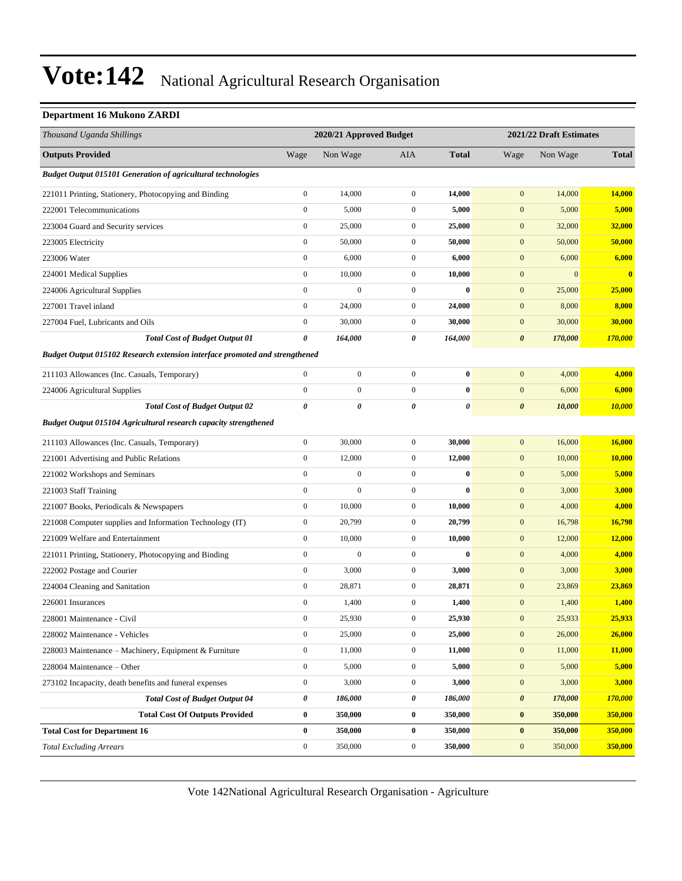#### **Department 16 Mukono ZARDI**

| Thousand Uganda Shillings                                                   |                       | 2020/21 Approved Budget |                  |              |                       | 2021/22 Draft Estimates |              |
|-----------------------------------------------------------------------------|-----------------------|-------------------------|------------------|--------------|-----------------------|-------------------------|--------------|
| <b>Outputs Provided</b>                                                     | Wage                  | Non Wage                | <b>AIA</b>       | <b>Total</b> | Wage                  | Non Wage                | <b>Total</b> |
| <b>Budget Output 015101 Generation of agricultural technologies</b>         |                       |                         |                  |              |                       |                         |              |
| 221011 Printing, Stationery, Photocopying and Binding                       | $\boldsymbol{0}$      | 14,000                  | $\mathbf{0}$     | 14,000       | $\boldsymbol{0}$      | 14,000                  | 14,000       |
| 222001 Telecommunications                                                   | $\boldsymbol{0}$      | 5,000                   | $\boldsymbol{0}$ | 5,000        | $\mathbf{0}$          | 5,000                   | 5,000        |
| 223004 Guard and Security services                                          | $\boldsymbol{0}$      | 25,000                  | $\boldsymbol{0}$ | 25,000       | $\mathbf{0}$          | 32,000                  | 32,000       |
| 223005 Electricity                                                          | $\boldsymbol{0}$      | 50,000                  | 0                | 50,000       | $\mathbf{0}$          | 50,000                  | 50,000       |
| 223006 Water                                                                | $\boldsymbol{0}$      | 6,000                   | $\boldsymbol{0}$ | 6,000        | $\boldsymbol{0}$      | 6,000                   | 6,000        |
| 224001 Medical Supplies                                                     | $\boldsymbol{0}$      | 10,000                  | $\boldsymbol{0}$ | 10,000       | $\mathbf{0}$          | $\overline{0}$          | $\bf{0}$     |
| 224006 Agricultural Supplies                                                | $\boldsymbol{0}$      | $\mathbf{0}$            | $\boldsymbol{0}$ | $\bf{0}$     | $\mathbf{0}$          | 25,000                  | 25,000       |
| 227001 Travel inland                                                        | $\boldsymbol{0}$      | 24,000                  | $\boldsymbol{0}$ | 24,000       | $\mathbf{0}$          | 8,000                   | 8,000        |
| 227004 Fuel, Lubricants and Oils                                            | $\boldsymbol{0}$      | 30,000                  | $\boldsymbol{0}$ | 30,000       | $\mathbf{0}$          | 30,000                  | 30,000       |
| <b>Total Cost of Budget Output 01</b>                                       | $\boldsymbol{\theta}$ | 164,000                 | 0                | 164,000      | $\boldsymbol{\theta}$ | 170,000                 | 170,000      |
| Budget Output 015102 Research extension interface promoted and strengthened |                       |                         |                  |              |                       |                         |              |
| 211103 Allowances (Inc. Casuals, Temporary)                                 | $\boldsymbol{0}$      | $\boldsymbol{0}$        | $\boldsymbol{0}$ | $\bf{0}$     | $\mathbf{0}$          | 4,000                   | 4,000        |
| 224006 Agricultural Supplies                                                | $\boldsymbol{0}$      | $\boldsymbol{0}$        | $\boldsymbol{0}$ | $\bf{0}$     | $\mathbf{0}$          | 6,000                   | 6,000        |
| <b>Total Cost of Budget Output 02</b>                                       | $\boldsymbol{\theta}$ | $\theta$                | 0                | 0            | $\boldsymbol{\theta}$ | 10,000                  | 10,000       |
| <b>Budget Output 015104 Agricultural research capacity strengthened</b>     |                       |                         |                  |              |                       |                         |              |
| 211103 Allowances (Inc. Casuals, Temporary)                                 | $\boldsymbol{0}$      | 30,000                  | $\boldsymbol{0}$ | 30,000       | $\mathbf{0}$          | 16,000                  | 16,000       |
| 221001 Advertising and Public Relations                                     | $\boldsymbol{0}$      | 12,000                  | $\boldsymbol{0}$ | 12,000       | $\boldsymbol{0}$      | 10,000                  | 10,000       |
| 221002 Workshops and Seminars                                               | $\boldsymbol{0}$      | $\boldsymbol{0}$        | $\boldsymbol{0}$ | $\bf{0}$     | $\mathbf{0}$          | 5,000                   | 5,000        |
| 221003 Staff Training                                                       | $\boldsymbol{0}$      | 0                       | $\boldsymbol{0}$ | $\bf{0}$     | $\mathbf{0}$          | 3,000                   | 3,000        |
| 221007 Books, Periodicals & Newspapers                                      | $\boldsymbol{0}$      | 10,000                  | $\boldsymbol{0}$ | 10,000       | $\mathbf{0}$          | 4,000                   | 4,000        |
| 221008 Computer supplies and Information Technology (IT)                    | $\boldsymbol{0}$      | 20,799                  | 0                | 20,799       | $\mathbf{0}$          | 16,798                  | 16,798       |
| 221009 Welfare and Entertainment                                            | $\boldsymbol{0}$      | 10,000                  | $\boldsymbol{0}$ | 10,000       | $\boldsymbol{0}$      | 12,000                  | 12,000       |
| 221011 Printing, Stationery, Photocopying and Binding                       | $\boldsymbol{0}$      | $\mathbf{0}$            | $\boldsymbol{0}$ | $\bf{0}$     | $\mathbf{0}$          | 4,000                   | 4,000        |
| 222002 Postage and Courier                                                  | $\boldsymbol{0}$      | 3,000                   | $\boldsymbol{0}$ | 3,000        | $\mathbf{0}$          | 3,000                   | 3,000        |
| 224004 Cleaning and Sanitation                                              | $\boldsymbol{0}$      | 28,871                  | $\boldsymbol{0}$ | 28,871       | $\mathbf{0}$          | 23,869                  | 23,869       |
| 226001 Insurances                                                           | $\boldsymbol{0}$      | 1,400                   | $\boldsymbol{0}$ | 1,400        | $\mathbf{0}$          | 1,400                   | 1,400        |
| 228001 Maintenance - Civil                                                  | $\boldsymbol{0}$      | 25,930                  | 0                | 25,930       | $\mathbf{0}$          | 25,933                  | 25,933       |
| 228002 Maintenance - Vehicles                                               | $\boldsymbol{0}$      | 25,000                  | $\boldsymbol{0}$ | 25,000       | $\mathbf{0}$          | 26,000                  | 26,000       |
| 228003 Maintenance - Machinery, Equipment & Furniture                       | $\boldsymbol{0}$      | 11,000                  | $\boldsymbol{0}$ | 11,000       | $\mathbf{0}$          | 11,000                  | 11,000       |
| 228004 Maintenance - Other                                                  | $\boldsymbol{0}$      | 5,000                   | $\boldsymbol{0}$ | 5,000        | $\boldsymbol{0}$      | 5,000                   | 5,000        |
| 273102 Incapacity, death benefits and funeral expenses                      | $\boldsymbol{0}$      | 3,000                   | $\boldsymbol{0}$ | 3,000        | $\boldsymbol{0}$      | 3,000                   | 3,000        |
| <b>Total Cost of Budget Output 04</b>                                       | 0                     | 186,000                 | 0                | 186,000      | $\pmb{\theta}$        | 170,000                 | 170,000      |
| <b>Total Cost Of Outputs Provided</b>                                       | $\bf{0}$              | 350,000                 | 0                | 350,000      | $\bf{0}$              | 350,000                 | 350,000      |
| <b>Total Cost for Department 16</b>                                         | $\bf{0}$              | 350,000                 | 0                | 350,000      | $\bf{0}$              | 350,000                 | 350,000      |
| <b>Total Excluding Arrears</b>                                              | $\boldsymbol{0}$      | 350,000                 | $\boldsymbol{0}$ | 350,000      | $\boldsymbol{0}$      | 350,000                 | 350,000      |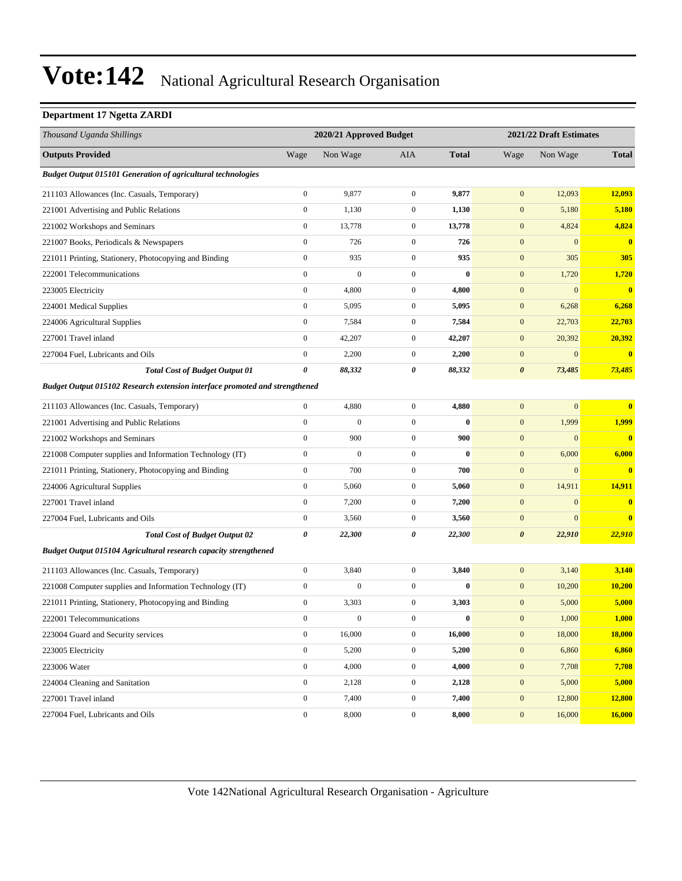#### **Department 17 Ngetta ZARDI**

| Thousand Uganda Shillings                                                   |                  | 2020/21 Approved Budget |                  |              |                       | 2021/22 Draft Estimates |                         |
|-----------------------------------------------------------------------------|------------------|-------------------------|------------------|--------------|-----------------------|-------------------------|-------------------------|
| <b>Outputs Provided</b>                                                     | Wage             | Non Wage                | AIA              | <b>Total</b> | Wage                  | Non Wage                | <b>Total</b>            |
| <b>Budget Output 015101 Generation of agricultural technologies</b>         |                  |                         |                  |              |                       |                         |                         |
| 211103 Allowances (Inc. Casuals, Temporary)                                 | $\boldsymbol{0}$ | 9,877                   | $\overline{0}$   | 9,877        | $\boldsymbol{0}$      | 12,093                  | 12,093                  |
| 221001 Advertising and Public Relations                                     | $\boldsymbol{0}$ | 1,130                   | $\mathbf{0}$     | 1,130        | $\boldsymbol{0}$      | 5,180                   | 5,180                   |
| 221002 Workshops and Seminars                                               | $\boldsymbol{0}$ | 13,778                  | $\mathbf{0}$     | 13,778       | $\mathbf{0}$          | 4,824                   | 4,824                   |
| 221007 Books, Periodicals & Newspapers                                      | $\boldsymbol{0}$ | 726                     | $\boldsymbol{0}$ | 726          | $\mathbf{0}$          | $\boldsymbol{0}$        | $\overline{\mathbf{0}}$ |
| 221011 Printing, Stationery, Photocopying and Binding                       | $\boldsymbol{0}$ | 935                     | $\mathbf{0}$     | 935          | $\mathbf{0}$          | 305                     | 305                     |
| 222001 Telecommunications                                                   | $\boldsymbol{0}$ | $\mathbf{0}$            | $\overline{0}$   | $\bf{0}$     | $\mathbf{0}$          | 1,720                   | 1,720                   |
| 223005 Electricity                                                          | $\boldsymbol{0}$ | 4,800                   | $\mathbf{0}$     | 4,800        | $\boldsymbol{0}$      | $\mathbf{0}$            | $\overline{\mathbf{0}}$ |
| 224001 Medical Supplies                                                     | $\boldsymbol{0}$ | 5,095                   | $\mathbf{0}$     | 5,095        | $\mathbf{0}$          | 6,268                   | 6,268                   |
| 224006 Agricultural Supplies                                                | $\boldsymbol{0}$ | 7,584                   | $\boldsymbol{0}$ | 7,584        | $\boldsymbol{0}$      | 22,703                  | 22,703                  |
| 227001 Travel inland                                                        | $\boldsymbol{0}$ | 42,207                  | $\mathbf{0}$     | 42,207       | $\mathbf{0}$          | 20,392                  | 20,392                  |
| 227004 Fuel, Lubricants and Oils                                            | $\boldsymbol{0}$ | 2,200                   | $\mathbf{0}$     | 2,200        | $\boldsymbol{0}$      | $\boldsymbol{0}$        | $\bf{0}$                |
| <b>Total Cost of Budget Output 01</b>                                       | 0                | 88,332                  | 0                | 88,332       | $\boldsymbol{\theta}$ | 73,485                  | 73,485                  |
| Budget Output 015102 Research extension interface promoted and strengthened |                  |                         |                  |              |                       |                         |                         |
| 211103 Allowances (Inc. Casuals, Temporary)                                 | $\boldsymbol{0}$ | 4,880                   | $\overline{0}$   | 4,880        | $\mathbf{0}$          | $\boldsymbol{0}$        | $\overline{\mathbf{0}}$ |
| 221001 Advertising and Public Relations                                     | $\boldsymbol{0}$ | $\boldsymbol{0}$        | $\overline{0}$   | $\bf{0}$     | $\mathbf{0}$          | 1,999                   | 1,999                   |
| 221002 Workshops and Seminars                                               | $\boldsymbol{0}$ | 900                     | $\mathbf{0}$     | 900          | $\mathbf{0}$          | $\mathbf{0}$            | $\overline{\mathbf{0}}$ |
| 221008 Computer supplies and Information Technology (IT)                    | $\boldsymbol{0}$ | $\boldsymbol{0}$        | $\boldsymbol{0}$ | $\bf{0}$     | $\mathbf{0}$          | 6,000                   | 6,000                   |
| 221011 Printing, Stationery, Photocopying and Binding                       | $\boldsymbol{0}$ | 700                     | $\overline{0}$   | 700          | $\boldsymbol{0}$      | $\mathbf{0}$            | $\overline{\mathbf{0}}$ |
| 224006 Agricultural Supplies                                                | $\boldsymbol{0}$ | 5,060                   | $\mathbf{0}$     | 5,060        | $\mathbf{0}$          | 14,911                  | 14,911                  |
| 227001 Travel inland                                                        | $\boldsymbol{0}$ | 7,200                   | $\boldsymbol{0}$ | 7,200        | $\mathbf{0}$          | $\mathbf{0}$            | $\bf{0}$                |
| 227004 Fuel, Lubricants and Oils                                            | $\boldsymbol{0}$ | 3,560                   | $\mathbf{0}$     | 3,560        | $\mathbf{0}$          | $\boldsymbol{0}$        | $\bf{0}$                |
| <b>Total Cost of Budget Output 02</b>                                       | 0                | 22,300                  | 0                | 22,300       | $\boldsymbol{\theta}$ | 22,910                  | 22,910                  |
| <b>Budget Output 015104 Agricultural research capacity strengthened</b>     |                  |                         |                  |              |                       |                         |                         |
| 211103 Allowances (Inc. Casuals, Temporary)                                 | $\boldsymbol{0}$ | 3,840                   | $\boldsymbol{0}$ | 3,840        | $\boldsymbol{0}$      | 3,140                   | 3,140                   |
| 221008 Computer supplies and Information Technology (IT)                    | $\boldsymbol{0}$ | $\mathbf{0}$            | $\overline{0}$   | $\bf{0}$     | $\mathbf{0}$          | 10,200                  | <b>10,200</b>           |
| 221011 Printing, Stationery, Photocopying and Binding                       | $\boldsymbol{0}$ | 3,303                   | $\mathbf{0}$     | 3,303        | $\mathbf{0}$          | 5,000                   | 5,000                   |
| 222001 Telecommunications                                                   | $\mathbf{0}$     | $\boldsymbol{0}$        | $\boldsymbol{0}$ | $\bf{0}$     | $\boldsymbol{0}$      | 1,000                   | 1.000                   |
| 223004 Guard and Security services                                          | $\boldsymbol{0}$ | 16,000                  | $\mathbf{0}$     | 16,000       | $\mathbf{0}$          | 18,000                  | <b>18,000</b>           |
| 223005 Electricity                                                          | $\boldsymbol{0}$ | 5,200                   | $\boldsymbol{0}$ | 5,200        | $\boldsymbol{0}$      | 6,860                   | 6,860                   |
| 223006 Water                                                                | $\boldsymbol{0}$ | 4,000                   | $\boldsymbol{0}$ | 4,000        | $\mathbf{0}$          | 7,708                   | 7,708                   |
| 224004 Cleaning and Sanitation                                              | $\boldsymbol{0}$ | 2,128                   | $\boldsymbol{0}$ | 2,128        | $\mathbf{0}$          | 5,000                   | 5,000                   |
| 227001 Travel inland                                                        | $\boldsymbol{0}$ | 7,400                   | $\boldsymbol{0}$ | 7,400        | $\boldsymbol{0}$      | 12,800                  | 12,800                  |
| 227004 Fuel, Lubricants and Oils                                            | $\boldsymbol{0}$ | 8,000                   | $\boldsymbol{0}$ | 8,000        | $\mathbf{0}$          | 16,000                  | 16,000                  |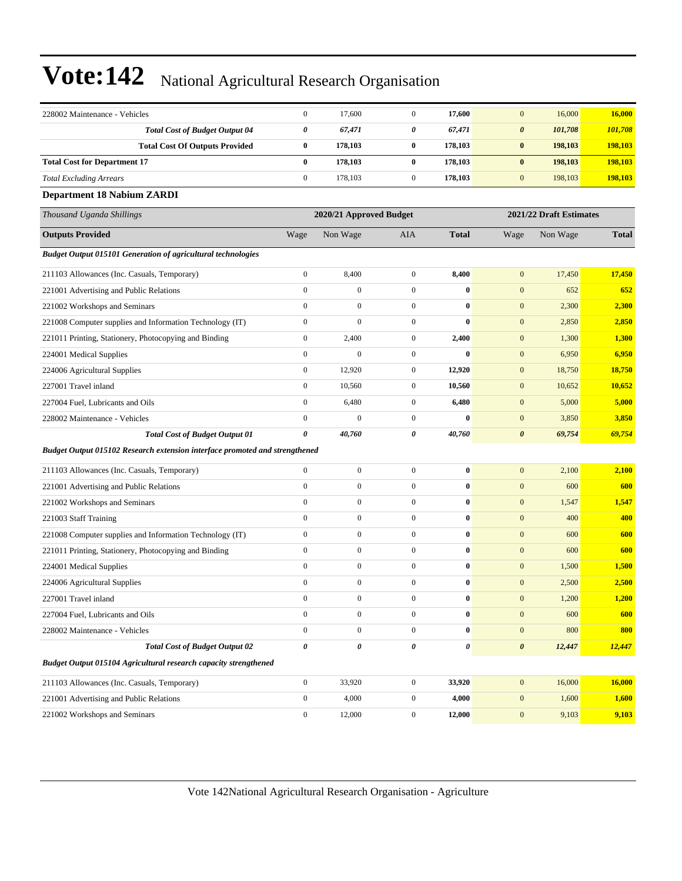| 228002 Maintenance - Vehicles                                               | $\boldsymbol{0}$ | 17,600                  | $\mathbf{0}$     | 17,600           | $\mathbf{0}$          | 16,000                  | 16,000       |
|-----------------------------------------------------------------------------|------------------|-------------------------|------------------|------------------|-----------------------|-------------------------|--------------|
| <b>Total Cost of Budget Output 04</b>                                       | 0                | 67,471                  | 0                | 67,471           | $\boldsymbol{\theta}$ | 101,708                 | 101,708      |
| <b>Total Cost Of Outputs Provided</b>                                       | $\bf{0}$         | 178,103                 | 0                | 178,103          | $\bf{0}$              | 198,103                 | 198,103      |
| <b>Total Cost for Department 17</b>                                         | $\bf{0}$         | 178,103                 | 0                | 178,103          | $\bf{0}$              | 198,103                 | 198,103      |
| <b>Total Excluding Arrears</b>                                              | $\boldsymbol{0}$ | 178,103                 | $\boldsymbol{0}$ | 178,103          | $\boldsymbol{0}$      | 198,103                 | 198,103      |
| <b>Department 18 Nabium ZARDI</b>                                           |                  |                         |                  |                  |                       |                         |              |
| Thousand Uganda Shillings                                                   |                  | 2020/21 Approved Budget |                  |                  |                       | 2021/22 Draft Estimates |              |
| <b>Outputs Provided</b>                                                     | Wage             | Non Wage                | AIA              | <b>Total</b>     | Wage                  | Non Wage                | <b>Total</b> |
| <b>Budget Output 015101 Generation of agricultural technologies</b>         |                  |                         |                  |                  |                       |                         |              |
| 211103 Allowances (Inc. Casuals, Temporary)                                 | $\boldsymbol{0}$ | 8,400                   | $\boldsymbol{0}$ | 8,400            | $\mathbf{0}$          | 17,450                  | 17,450       |
| 221001 Advertising and Public Relations                                     | $\boldsymbol{0}$ | $\boldsymbol{0}$        | $\boldsymbol{0}$ | $\bf{0}$         | $\mathbf{0}$          | 652                     | 652          |
| 221002 Workshops and Seminars                                               | $\boldsymbol{0}$ | $\boldsymbol{0}$        | $\boldsymbol{0}$ | $\bf{0}$         | $\mathbf{0}$          | 2,300                   | 2,300        |
| 221008 Computer supplies and Information Technology (IT)                    | $\boldsymbol{0}$ | $\boldsymbol{0}$        | $\boldsymbol{0}$ | $\bf{0}$         | $\mathbf{0}$          | 2,850                   | 2,850        |
| 221011 Printing, Stationery, Photocopying and Binding                       | $\boldsymbol{0}$ | 2,400                   | $\boldsymbol{0}$ | 2,400            | $\mathbf{0}$          | 1,300                   | 1,300        |
| 224001 Medical Supplies                                                     | $\boldsymbol{0}$ | $\mathbf{0}$            | $\boldsymbol{0}$ | $\bf{0}$         | $\mathbf{0}$          | 6,950                   | 6,950        |
| 224006 Agricultural Supplies                                                | $\boldsymbol{0}$ | 12,920                  | $\boldsymbol{0}$ | 12,920           | $\mathbf{0}$          | 18,750                  | 18,750       |
| 227001 Travel inland                                                        | $\boldsymbol{0}$ | 10,560                  | $\boldsymbol{0}$ | 10,560           | $\mathbf{0}$          | 10,652                  | 10,652       |
| 227004 Fuel, Lubricants and Oils                                            | $\boldsymbol{0}$ | 6,480                   | $\boldsymbol{0}$ | 6,480            | $\mathbf{0}$          | 5,000                   | 5,000        |
| 228002 Maintenance - Vehicles                                               | $\boldsymbol{0}$ | $\boldsymbol{0}$        | $\boldsymbol{0}$ | $\bf{0}$         | $\mathbf{0}$          | 3,850                   | 3,850        |
| <b>Total Cost of Budget Output 01</b>                                       | $\pmb{\theta}$   | 40,760                  | 0                | 40,760           | $\boldsymbol{\theta}$ | 69,754                  | 69,754       |
| Budget Output 015102 Research extension interface promoted and strengthened |                  |                         |                  |                  |                       |                         |              |
| 211103 Allowances (Inc. Casuals, Temporary)                                 | $\boldsymbol{0}$ | $\boldsymbol{0}$        | $\boldsymbol{0}$ | $\bf{0}$         | $\mathbf{0}$          | 2,100                   | 2,100        |
| 221001 Advertising and Public Relations                                     | $\boldsymbol{0}$ | $\boldsymbol{0}$        | $\boldsymbol{0}$ | $\bf{0}$         | $\mathbf{0}$          | 600                     | 600          |
| 221002 Workshops and Seminars                                               | $\mathbf{0}$     | $\boldsymbol{0}$        | $\boldsymbol{0}$ | $\bf{0}$         | $\mathbf{0}$          | 1,547                   | 1,547        |
| 221003 Staff Training                                                       | $\mathbf{0}$     | $\boldsymbol{0}$        | $\boldsymbol{0}$ | $\bf{0}$         | $\boldsymbol{0}$      | 400                     | 400          |
| 221008 Computer supplies and Information Technology (IT)                    | $\boldsymbol{0}$ | $\boldsymbol{0}$        | $\boldsymbol{0}$ | $\bf{0}$         | $\mathbf{0}$          | 600                     | 600          |
| 221011 Printing, Stationery, Photocopying and Binding                       | $\boldsymbol{0}$ | $\boldsymbol{0}$        | $\boldsymbol{0}$ | $\bf{0}$         | $\mathbf{0}$          | 600                     | 600          |
| 224001 Medical Supplies                                                     | $\mathbf{0}$     | $\overline{0}$          | $\boldsymbol{0}$ | $\bf{0}$         | $\mathbf{0}$          | 1,500                   | 1,500        |
| 224006 Agricultural Supplies                                                | $\mathbf{0}$     | $\boldsymbol{0}$        | $\boldsymbol{0}$ | $\bf{0}$         | $\mathbf{0}$          | 2,500                   | 2,500        |
| 227001 Travel inland                                                        | $\Omega$         | $\mathbf{0}$            | $\Omega$         | $\bf{0}$         | $\mathbf{0}$          | 1,200                   | 1,200        |
| 227004 Fuel, Lubricants and Oils                                            | $\boldsymbol{0}$ | $\boldsymbol{0}$        | $\mathbf{0}$     | $\bf{0}$         | $\mathbf{0}$          | 600                     | 600          |
| 228002 Maintenance - Vehicles                                               | $\mathbf{0}$     | $\boldsymbol{0}$        | $\boldsymbol{0}$ | $\boldsymbol{0}$ | $\boldsymbol{0}$      | 800                     | 800          |
| <b>Total Cost of Budget Output 02</b>                                       | 0                | 0                       | 0                | 0                | $\pmb{\theta}$        | 12,447                  | 12,447       |
| <b>Budget Output 015104 Agricultural research capacity strengthened</b>     |                  |                         |                  |                  |                       |                         |              |
| 211103 Allowances (Inc. Casuals, Temporary)                                 | $\mathbf{0}$     | 33,920                  | $\mathbf{0}$     | 33,920           | $\mathbf{0}$          | 16,000                  | 16,000       |
| 221001 Advertising and Public Relations                                     | $\boldsymbol{0}$ | 4,000                   | $\boldsymbol{0}$ | 4,000            | $\mathbf{0}$          | 1,600                   | 1,600        |
| 221002 Workshops and Seminars                                               | $\boldsymbol{0}$ | 12,000                  | $\boldsymbol{0}$ | 12,000           | $\boldsymbol{0}$      | 9,103                   | 9,103        |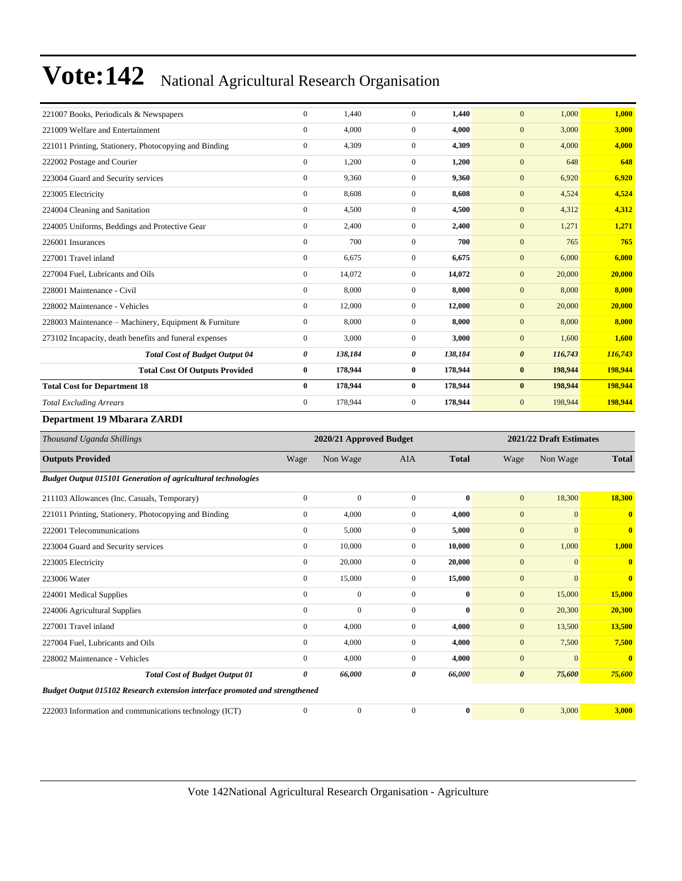| 221007 Books, Periodicals & Newspapers                              | $\mathbf{0}$     | 1,440                   | $\boldsymbol{0}$ | 1,440        | $\mathbf{0}$          | 1,000                   | 1,000        |
|---------------------------------------------------------------------|------------------|-------------------------|------------------|--------------|-----------------------|-------------------------|--------------|
| 221009 Welfare and Entertainment                                    | $\mathbf{0}$     | 4,000                   | $\boldsymbol{0}$ | 4,000        | $\mathbf{0}$          | 3,000                   | 3,000        |
| 221011 Printing, Stationery, Photocopying and Binding               | $\mathbf{0}$     | 4,309                   | $\boldsymbol{0}$ | 4,309        | $\mathbf{0}$          | 4,000                   | 4,000        |
| 222002 Postage and Courier                                          | $\mathbf{0}$     | 1,200                   | $\boldsymbol{0}$ | 1,200        | $\boldsymbol{0}$      | 648                     | 648          |
| 223004 Guard and Security services                                  | $\mathbf{0}$     | 9,360                   | $\boldsymbol{0}$ | 9,360        | $\mathbf{0}$          | 6,920                   | 6,920        |
| 223005 Electricity                                                  | $\boldsymbol{0}$ | 8,608                   | $\boldsymbol{0}$ | 8,608        | $\boldsymbol{0}$      | 4,524                   | 4,524        |
| 224004 Cleaning and Sanitation                                      | $\mathbf{0}$     | 4,500                   | $\boldsymbol{0}$ | 4,500        | $\mathbf{0}$          | 4,312                   | 4,312        |
| 224005 Uniforms, Beddings and Protective Gear                       | $\boldsymbol{0}$ | 2,400                   | $\mathbf{0}$     | 2,400        | $\boldsymbol{0}$      | 1,271                   | 1,271        |
| 226001 Insurances                                                   | $\boldsymbol{0}$ | 700                     | $\boldsymbol{0}$ | 700          | $\mathbf{0}$          | 765                     | 765          |
| 227001 Travel inland                                                | $\boldsymbol{0}$ | 6,675                   | $\boldsymbol{0}$ | 6,675        | $\mathbf{0}$          | 6,000                   | 6,000        |
| 227004 Fuel, Lubricants and Oils                                    | $\mathbf{0}$     | 14,072                  | $\mathbf{0}$     | 14,072       | $\boldsymbol{0}$      | 20,000                  | 20,000       |
| 228001 Maintenance - Civil                                          | $\boldsymbol{0}$ | 8,000                   | $\boldsymbol{0}$ | 8,000        | $\mathbf{0}$          | 8,000                   | 8,000        |
| 228002 Maintenance - Vehicles                                       | $\mathbf{0}$     | 12,000                  | $\boldsymbol{0}$ | 12,000       | $\mathbf{0}$          | 20,000                  | 20,000       |
| 228003 Maintenance - Machinery, Equipment & Furniture               | $\boldsymbol{0}$ | 8,000                   | $\boldsymbol{0}$ | 8,000        | $\mathbf{0}$          | 8,000                   | 8,000        |
| 273102 Incapacity, death benefits and funeral expenses              | $\mathbf{0}$     | 3,000                   | $\overline{0}$   | 3,000        | $\mathbf{0}$          | 1,600                   | 1,600        |
| <b>Total Cost of Budget Output 04</b>                               | $\pmb{\theta}$   | 138,184                 | 0                | 138,184      | $\boldsymbol{\theta}$ | 116,743                 | 116,743      |
| <b>Total Cost Of Outputs Provided</b>                               | $\bf{0}$         | 178,944                 | $\bf{0}$         | 178,944      | $\bf{0}$              | 198,944                 | 198,944      |
| <b>Total Cost for Department 18</b>                                 | $\bf{0}$         | 178,944                 | $\bf{0}$         | 178,944      | $\bf{0}$              | 198,944                 | 198,944      |
| <b>Total Excluding Arrears</b>                                      | $\mathbf{0}$     | 178,944                 | $\boldsymbol{0}$ | 178,944      | $\overline{0}$        | 198,944                 | 198,944      |
| <b>Department 19 Mbarara ZARDI</b>                                  |                  |                         |                  |              |                       |                         |              |
| Thousand Uganda Shillings                                           |                  | 2020/21 Approved Budget |                  |              |                       | 2021/22 Draft Estimates |              |
| <b>Outputs Provided</b>                                             | Wage             | Non Wage                | <b>AIA</b>       | <b>Total</b> | Wage                  | Non Wage                | <b>Total</b> |
| <b>Budget Output 015101 Generation of agricultural technologies</b> |                  |                         |                  |              |                       |                         |              |
| 211103 Allowances (Inc. Casuals, Temporary)                         | $\mathbf{0}$     | $\mathbf{0}$            | $\boldsymbol{0}$ | $\bf{0}$     | $\boldsymbol{0}$      | 18,300                  | 18,300       |
| 221011 Printing, Stationery, Photocopying and Binding               | $\mathbf{0}$     | 4,000                   | $\boldsymbol{0}$ | 4,000        | $\mathbf{0}$          | $\mathbf{0}$            | $\mathbf{0}$ |
| 222001 Telecommunications                                           | $\mathbf{0}$     | 5,000                   | $\mathbf{0}$     | 5,000        | $\boldsymbol{0}$      | $\Omega$                | $\bf{0}$     |
| 223004 Guard and Security services                                  | $\mathbf{0}$     | 10,000                  | $\boldsymbol{0}$ | 10,000       | $\boldsymbol{0}$      | 1,000                   | 1,000        |
| 223005 Electricity                                                  | $\mathbf{0}$     | 20,000                  | $\boldsymbol{0}$ | 20,000       | $\mathbf{0}$          | $\mathbf{0}$            | $\mathbf{0}$ |
| 223006 Water                                                        | $\mathbf{0}$     | 15,000                  | $\boldsymbol{0}$ | 15,000       | $\mathbf{0}$          | $\mathbf{0}$            | $\mathbf{0}$ |
| 224001 Medical Supplies                                             | $\mathbf{0}$     | $\boldsymbol{0}$        | $\boldsymbol{0}$ | $\bf{0}$     | $\mathbf{0}$          | 15,000                  | 15,000       |
| 224006 Agricultural Supplies                                        | $\mathbf{0}$     | $\overline{0}$          | $\overline{0}$   | $\bf{0}$     | $\mathbf{0}$          | 20,300                  | 20,300       |
| 227001 Travel inland                                                | $\boldsymbol{0}$ | 4,000                   | $\boldsymbol{0}$ | 4,000        | $\boldsymbol{0}$      | 13,500                  | 13,500       |
| 227004 Fuel, Lubricants and Oils                                    | $\mathbf{0}$     | 4,000                   | $\boldsymbol{0}$ | 4,000        | $\mathbf{0}$          | 7,500                   | 7,500        |
| 228002 Maintenance - Vehicles                                       | $\mathbf{0}$     | 4,000                   | $\mathbf{0}$     | 4,000        | $\mathbf{0}$          | $\mathbf{0}$            | $\bf{0}$     |

*Budget Output 015102 Research extension interface promoted and strengthened* 222003 Information and communications technology (ICT) 0 0 0 **0** 0 3,000 **3,000**

*Total Cost of Budget Output 01 0 66,000 0 66,000 0 75,600 75,600*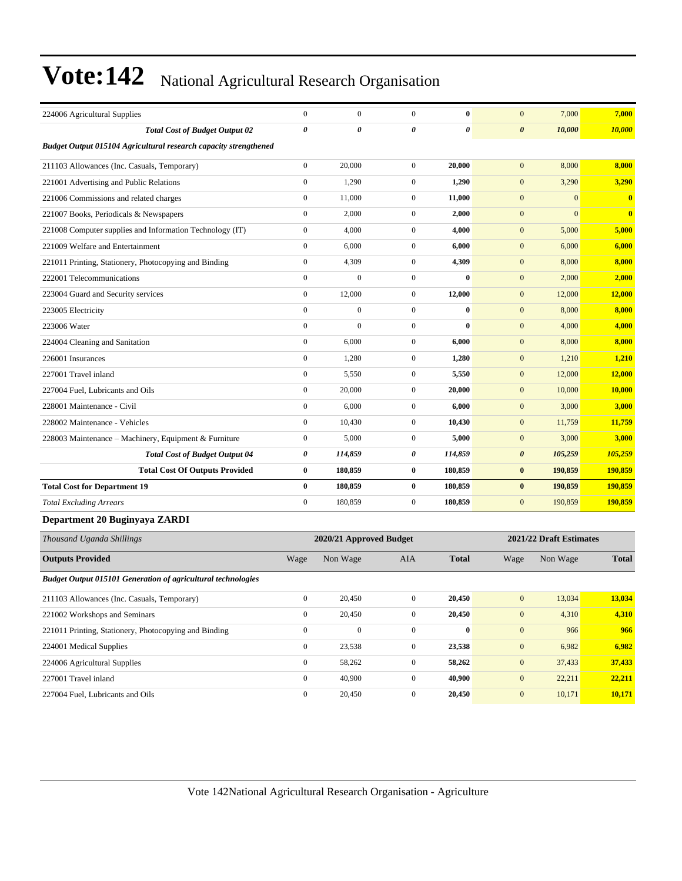| 224006 Agricultural Supplies                                        | $\boldsymbol{0}$ | $\boldsymbol{0}$        | $\boldsymbol{0}$ | $\bf{0}$              | $\mathbf{0}$          | 7,000                   | 7,000        |
|---------------------------------------------------------------------|------------------|-------------------------|------------------|-----------------------|-----------------------|-------------------------|--------------|
| <b>Total Cost of Budget Output 02</b>                               | 0                | 0                       | $\pmb{\theta}$   | $\boldsymbol{\theta}$ | $\boldsymbol{\theta}$ | 10,000                  | 10,000       |
| Budget Output 015104 Agricultural research capacity strengthened    |                  |                         |                  |                       |                       |                         |              |
| 211103 Allowances (Inc. Casuals, Temporary)                         | $\boldsymbol{0}$ | 20,000                  | $\mathbf{0}$     | 20,000                | $\mathbf{0}$          | 8,000                   | 8,000        |
| 221001 Advertising and Public Relations                             | $\boldsymbol{0}$ | 1,290                   | $\mathbf{0}$     | 1,290                 | $\boldsymbol{0}$      | 3,290                   | 3,290        |
| 221006 Commissions and related charges                              | $\boldsymbol{0}$ | 11,000                  | $\mathbf{0}$     | 11,000                | $\boldsymbol{0}$      | $\mathbf{0}$            | $\bf{0}$     |
| 221007 Books, Periodicals & Newspapers                              | $\boldsymbol{0}$ | 2,000                   | $\mathbf{0}$     | 2,000                 | $\mathbf{0}$          | $\mathbf{0}$            | $\bf{0}$     |
| 221008 Computer supplies and Information Technology (IT)            | $\boldsymbol{0}$ | 4,000                   | $\mathbf{0}$     | 4,000                 | $\boldsymbol{0}$      | 5,000                   | 5,000        |
| 221009 Welfare and Entertainment                                    | $\boldsymbol{0}$ | 6,000                   | $\mathbf{0}$     | 6,000                 | $\mathbf{0}$          | 6,000                   | 6,000        |
| 221011 Printing, Stationery, Photocopying and Binding               | $\boldsymbol{0}$ | 4,309                   | $\boldsymbol{0}$ | 4,309                 | $\boldsymbol{0}$      | 8,000                   | 8,000        |
| 222001 Telecommunications                                           | $\boldsymbol{0}$ | $\boldsymbol{0}$        | $\mathbf{0}$     | $\bf{0}$              | $\boldsymbol{0}$      | 2,000                   | 2,000        |
| 223004 Guard and Security services                                  | $\boldsymbol{0}$ | 12,000                  | $\mathbf{0}$     | 12,000                | $\boldsymbol{0}$      | 12,000                  | 12,000       |
| 223005 Electricity                                                  | $\boldsymbol{0}$ | $\boldsymbol{0}$        | $\mathbf{0}$     | $\bf{0}$              | $\mathbf{0}$          | 8,000                   | 8,000        |
| 223006 Water                                                        | $\boldsymbol{0}$ | $\mathbf{0}$            | $\mathbf{0}$     | $\bf{0}$              | $\mathbf{0}$          | 4,000                   | 4,000        |
| 224004 Cleaning and Sanitation                                      | $\boldsymbol{0}$ | 6,000                   | $\mathbf{0}$     | 6,000                 | $\boldsymbol{0}$      | 8,000                   | 8,000        |
| 226001 Insurances                                                   | $\boldsymbol{0}$ | 1,280                   | $\mathbf{0}$     | 1,280                 | $\boldsymbol{0}$      | 1,210                   | 1,210        |
| 227001 Travel inland                                                | $\boldsymbol{0}$ | 5,550                   | $\mathbf{0}$     | 5,550                 | $\mathbf{0}$          | 12,000                  | 12,000       |
| 227004 Fuel, Lubricants and Oils                                    | $\boldsymbol{0}$ | 20,000                  | $\mathbf{0}$     | 20,000                | $\mathbf{0}$          | 10,000                  | 10,000       |
| 228001 Maintenance - Civil                                          | $\boldsymbol{0}$ | 6,000                   | $\mathbf{0}$     | 6,000                 | $\mathbf{0}$          | 3,000                   | 3,000        |
| 228002 Maintenance - Vehicles                                       | $\boldsymbol{0}$ | 10,430                  | $\boldsymbol{0}$ | 10,430                | $\boldsymbol{0}$      | 11,759                  | 11,759       |
| 228003 Maintenance - Machinery, Equipment & Furniture               | $\boldsymbol{0}$ | 5,000                   | $\mathbf{0}$     | 5,000                 | $\boldsymbol{0}$      | 3,000                   | 3,000        |
| <b>Total Cost of Budget Output 04</b>                               | 0                | 114,859                 | 0                | 114,859               | $\boldsymbol{\theta}$ | 105,259                 | 105,259      |
| <b>Total Cost Of Outputs Provided</b>                               | 0                | 180,859                 | $\bf{0}$         | 180,859               | $\bf{0}$              | 190,859                 | 190,859      |
| <b>Total Cost for Department 19</b>                                 | 0                | 180,859                 | $\bf{0}$         | 180,859               | $\bf{0}$              | 190,859                 | 190,859      |
| <b>Total Excluding Arrears</b>                                      | $\boldsymbol{0}$ | 180,859                 | $\mathbf{0}$     | 180,859               | $\mathbf{0}$          | 190,859                 | 190,859      |
| Department 20 Buginyaya ZARDI                                       |                  |                         |                  |                       |                       |                         |              |
| Thousand Uganda Shillings                                           |                  | 2020/21 Approved Budget |                  |                       |                       | 2021/22 Draft Estimates |              |
| <b>Outputs Provided</b>                                             | Wage             | Non Wage                | AIA              | <b>Total</b>          | Wage                  | Non Wage                | <b>Total</b> |
| <b>Budget Output 015101 Generation of agricultural technologies</b> |                  |                         |                  |                       |                       |                         |              |
| 211103 Allowances (Inc. Casuals, Temporary)                         | $\mathbf{0}$     | 20,450                  | $\mathbf{0}$     | 20,450                | $\mathbf{0}$          | 13,034                  | 13,034       |
| 221002 Workshops and Seminars                                       | $\boldsymbol{0}$ | 20,450                  | $\boldsymbol{0}$ | 20,450                | $\boldsymbol{0}$      | 4,310                   | 4,310        |
| 221011 Printing, Stationery, Photocopying and Binding               | $\boldsymbol{0}$ | $\boldsymbol{0}$        | $\mathbf{0}$     | $\bf{0}$              | $\boldsymbol{0}$      | 966                     | 966          |
| 224001 Medical Supplies                                             | $\boldsymbol{0}$ | 23,538                  | $\boldsymbol{0}$ | 23,538                | $\boldsymbol{0}$      | 6,982                   | 6,982        |
| 224006 Agricultural Supplies                                        | $\boldsymbol{0}$ | 58,262                  | $\boldsymbol{0}$ | 58,262                | $\boldsymbol{0}$      | 37,433                  | 37,433       |
| 227001 Travel inland                                                | $\boldsymbol{0}$ | 40,900                  | $\boldsymbol{0}$ | 40,900                | $\boldsymbol{0}$      | 22,211                  | 22,211       |
| 227004 Fuel, Lubricants and Oils                                    | $\boldsymbol{0}$ | 20,450                  | $\boldsymbol{0}$ | 20,450                | $\boldsymbol{0}$      | 10,171                  | 10,171       |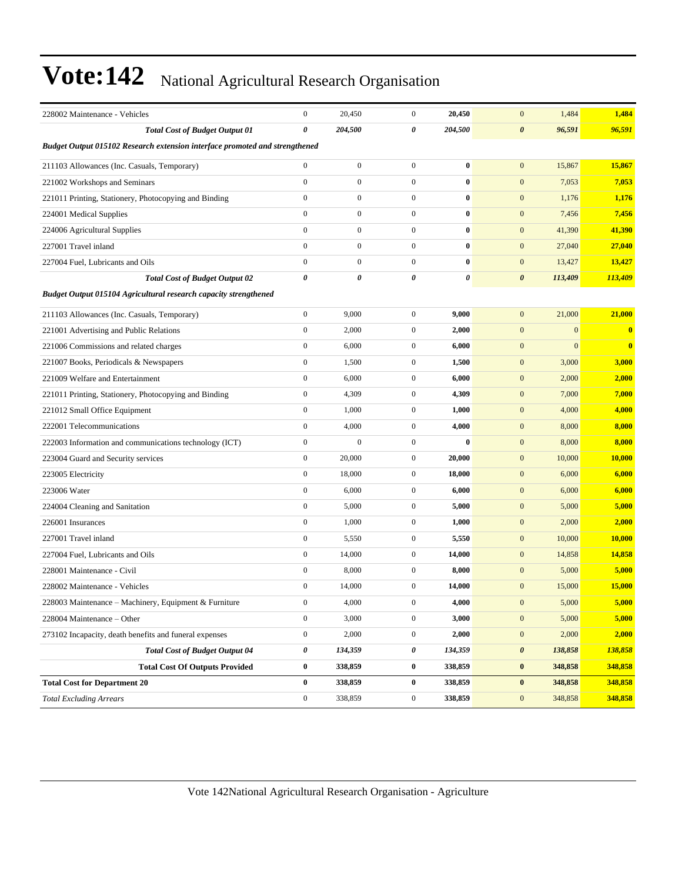| 228002 Maintenance - Vehicles                                               | $\boldsymbol{0}$ | 20,450           | $\boldsymbol{0}$ | 20,450   | $\mathbf{0}$<br>1,484            | 1,484                    |
|-----------------------------------------------------------------------------|------------------|------------------|------------------|----------|----------------------------------|--------------------------|
| <b>Total Cost of Budget Output 01</b>                                       | $\pmb{\theta}$   | 204,500          | 0                | 204,500  | $\boldsymbol{\theta}$<br>96,591  | 96,591                   |
| Budget Output 015102 Research extension interface promoted and strengthened |                  |                  |                  |          |                                  |                          |
| 211103 Allowances (Inc. Casuals, Temporary)                                 | $\boldsymbol{0}$ | $\boldsymbol{0}$ | $\boldsymbol{0}$ | $\bf{0}$ | $\mathbf{0}$<br>15,867           | 15,867                   |
| 221002 Workshops and Seminars                                               | $\mathbf{0}$     | $\boldsymbol{0}$ | $\boldsymbol{0}$ | $\bf{0}$ | $\mathbf{0}$<br>7,053            | 7,053                    |
| 221011 Printing, Stationery, Photocopying and Binding                       | $\boldsymbol{0}$ | $\mathbf{0}$     | $\boldsymbol{0}$ | $\bf{0}$ | $\mathbf{0}$<br>1,176            | 1,176                    |
| 224001 Medical Supplies                                                     | $\mathbf{0}$     | $\boldsymbol{0}$ | $\boldsymbol{0}$ | $\bf{0}$ | $\mathbf{0}$<br>7,456            | 7,456                    |
| 224006 Agricultural Supplies                                                | $\boldsymbol{0}$ | $\boldsymbol{0}$ | $\boldsymbol{0}$ | $\bf{0}$ | $\mathbf{0}$<br>41,390           | 41,390                   |
| 227001 Travel inland                                                        | $\mathbf{0}$     | $\boldsymbol{0}$ | $\boldsymbol{0}$ | $\bf{0}$ | $\mathbf{0}$<br>27,040           | 27,040                   |
| 227004 Fuel, Lubricants and Oils                                            | $\mathbf{0}$     | $\mathbf{0}$     | $\mathbf{0}$     | $\bf{0}$ | $\mathbf{0}$<br>13,427           | 13,427                   |
| <b>Total Cost of Budget Output 02</b>                                       | 0                | 0                | 0                | 0        | $\boldsymbol{\theta}$<br>113,409 | 113,409                  |
| Budget Output 015104 Agricultural research capacity strengthened            |                  |                  |                  |          |                                  |                          |
| 211103 Allowances (Inc. Casuals, Temporary)                                 | $\mathbf{0}$     | 9,000            | $\boldsymbol{0}$ | 9,000    | $\mathbf{0}$<br>21,000           | 21,000                   |
| 221001 Advertising and Public Relations                                     | $\boldsymbol{0}$ | 2,000            | $\boldsymbol{0}$ | 2,000    | $\mathbf{0}$                     | $\mathbf{0}$<br>$\bf{0}$ |
| 221006 Commissions and related charges                                      | $\boldsymbol{0}$ | 6,000            | $\boldsymbol{0}$ | 6,000    | $\mathbf{0}$                     | $\mathbf{0}$<br>$\bf{0}$ |
| 221007 Books, Periodicals & Newspapers                                      | $\mathbf{0}$     | 1,500            | $\mathbf{0}$     | 1,500    | $\boldsymbol{0}$<br>3,000        | 3,000                    |
| 221009 Welfare and Entertainment                                            | $\boldsymbol{0}$ | 6,000            | $\boldsymbol{0}$ | 6,000    | $\mathbf{0}$<br>2,000            | 2,000                    |
| 221011 Printing, Stationery, Photocopying and Binding                       | $\boldsymbol{0}$ | 4,309            | $\boldsymbol{0}$ | 4,309    | $\mathbf{0}$<br>7,000            | 7,000                    |
| 221012 Small Office Equipment                                               | $\boldsymbol{0}$ | 1,000            | $\boldsymbol{0}$ | 1,000    | $\mathbf{0}$<br>4,000            | 4,000                    |
| 222001 Telecommunications                                                   | $\boldsymbol{0}$ | 4,000            | $\boldsymbol{0}$ | 4,000    | $\mathbf{0}$<br>8,000            | 8,000                    |
| 222003 Information and communications technology (ICT)                      | $\mathbf{0}$     | $\mathbf{0}$     | $\mathbf{0}$     | $\bf{0}$ | $\mathbf{0}$<br>8,000            | 8,000                    |
| 223004 Guard and Security services                                          | $\boldsymbol{0}$ | 20,000           | $\mathbf{0}$     | 20,000   | $\mathbf{0}$<br>10,000           | 10,000                   |
| 223005 Electricity                                                          | $\mathbf{0}$     | 18,000           | $\mathbf{0}$     | 18,000   | $\boldsymbol{0}$<br>6,000        | 6,000                    |
| 223006 Water                                                                | $\boldsymbol{0}$ | 6,000            | $\boldsymbol{0}$ | 6,000    | $\mathbf{0}$<br>6,000            | 6,000                    |
| 224004 Cleaning and Sanitation                                              | $\boldsymbol{0}$ | 5,000            | $\boldsymbol{0}$ | 5,000    | $\mathbf{0}$<br>5,000            | 5,000                    |
| 226001 Insurances                                                           | $\mathbf{0}$     | 1,000            | $\mathbf{0}$     | 1,000    | $\mathbf{0}$<br>2,000            | 2,000                    |
| 227001 Travel inland                                                        | $\boldsymbol{0}$ | 5,550            | $\mathbf{0}$     | 5,550    | $\mathbf{0}$<br>10,000           | 10,000                   |
| 227004 Fuel, Lubricants and Oils                                            | $\mathbf{0}$     | 14,000           | $\mathbf{0}$     | 14,000   | $\mathbf{0}$<br>14,858           | 14,858                   |
| 228001 Maintenance - Civil                                                  | $\boldsymbol{0}$ | 8,000            | $\boldsymbol{0}$ | 8,000    | $\mathbf{0}$<br>5,000            | 5,000                    |
| 228002 Maintenance - Vehicles                                               | $\boldsymbol{0}$ | 14,000           | $\boldsymbol{0}$ | 14,000   | $\mathbf{0}$<br>15,000           | 15,000                   |
| 228003 Maintenance – Machinery, Equipment & Furniture                       | $\theta$         | 4,000            | $\boldsymbol{0}$ | 4,000    | $\theta$<br>5,000                | <b>5,000</b>             |
| 228004 Maintenance - Other                                                  | $\boldsymbol{0}$ | 3,000            | $\overline{0}$   | 3,000    | $\mathbf{0}$<br>5,000            | 5,000                    |
| 273102 Incapacity, death benefits and funeral expenses                      | $\boldsymbol{0}$ | 2,000            | $\mathbf{0}$     | 2,000    | $\mathbf{0}$<br>2,000            | 2,000                    |
| <b>Total Cost of Budget Output 04</b>                                       | 0                | 134,359          | 0                | 134,359  | $\pmb{\theta}$<br>138,858        | 138,858                  |
| <b>Total Cost Of Outputs Provided</b>                                       | $\bf{0}$         | 338,859          | $\bf{0}$         | 338,859  | 348,858<br>$\bf{0}$              | 348,858                  |
| <b>Total Cost for Department 20</b>                                         | $\bf{0}$         | 338,859          | $\bf{0}$         | 338,859  | $\bf{0}$<br>348,858              | 348,858                  |
| <b>Total Excluding Arrears</b>                                              | $\boldsymbol{0}$ | 338,859          | $\boldsymbol{0}$ | 338,859  | $\boldsymbol{0}$<br>348,858      | 348,858                  |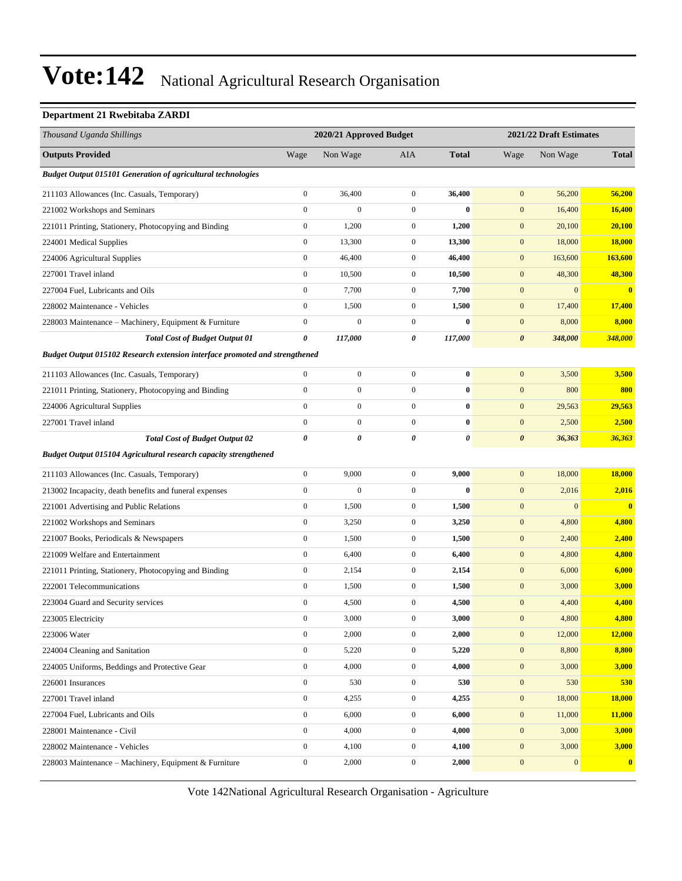#### **Department 21 Rwebitaba ZARDI**

| Thousand Uganda Shillings                                                   |                  | 2020/21 Approved Budget |                  |              |                       | 2021/22 Draft Estimates |                         |
|-----------------------------------------------------------------------------|------------------|-------------------------|------------------|--------------|-----------------------|-------------------------|-------------------------|
| <b>Outputs Provided</b>                                                     | Wage             | Non Wage                | AIA              | <b>Total</b> | Wage                  | Non Wage                | <b>Total</b>            |
| <b>Budget Output 015101 Generation of agricultural technologies</b>         |                  |                         |                  |              |                       |                         |                         |
| 211103 Allowances (Inc. Casuals, Temporary)                                 | $\boldsymbol{0}$ | 36,400                  | $\overline{0}$   | 36,400       | $\mathbf{0}$          | 56,200                  | 56,200                  |
| 221002 Workshops and Seminars                                               | $\boldsymbol{0}$ | $\mathbf{0}$            | $\mathbf{0}$     | $\bf{0}$     | $\mathbf{0}$          | 16,400                  | 16,400                  |
| 221011 Printing, Stationery, Photocopying and Binding                       | $\boldsymbol{0}$ | 1,200                   | $\boldsymbol{0}$ | 1,200        | $\mathbf{0}$          | 20,100                  | 20,100                  |
| 224001 Medical Supplies                                                     | $\boldsymbol{0}$ | 13,300                  | $\mathbf{0}$     | 13,300       | $\mathbf{0}$          | 18,000                  | <b>18,000</b>           |
| 224006 Agricultural Supplies                                                | $\boldsymbol{0}$ | 46,400                  | $\mathbf{0}$     | 46,400       | $\mathbf{0}$          | 163,600                 | 163,600                 |
| 227001 Travel inland                                                        | $\boldsymbol{0}$ | 10,500                  | $\mathbf{0}$     | 10,500       | $\mathbf{0}$          | 48,300                  | 48,300                  |
| 227004 Fuel, Lubricants and Oils                                            | $\boldsymbol{0}$ | 7,700                   | $\mathbf{0}$     | 7,700        | $\mathbf{0}$          | $\mathbf{0}$            | $\overline{\mathbf{0}}$ |
| 228002 Maintenance - Vehicles                                               | $\boldsymbol{0}$ | 1,500                   | $\mathbf{0}$     | 1,500        | $\mathbf{0}$          | 17,400                  | 17,400                  |
| 228003 Maintenance – Machinery, Equipment & Furniture                       | $\boldsymbol{0}$ | $\boldsymbol{0}$        | $\mathbf{0}$     | $\bf{0}$     | $\mathbf{0}$          | 8,000                   | 8,000                   |
| <b>Total Cost of Budget Output 01</b>                                       | 0                | 117,000                 | 0                | 117,000      | $\boldsymbol{\theta}$ | 348,000                 | 348,000                 |
| Budget Output 015102 Research extension interface promoted and strengthened |                  |                         |                  |              |                       |                         |                         |
| 211103 Allowances (Inc. Casuals, Temporary)                                 | $\boldsymbol{0}$ | $\boldsymbol{0}$        | $\overline{0}$   | $\bf{0}$     | $\mathbf{0}$          | 3,500                   | 3,500                   |
| 221011 Printing, Stationery, Photocopying and Binding                       | $\boldsymbol{0}$ | $\boldsymbol{0}$        | $\overline{0}$   | $\bf{0}$     | $\mathbf{0}$          | 800                     | 800                     |
| 224006 Agricultural Supplies                                                | $\mathbf{0}$     | $\boldsymbol{0}$        | $\overline{0}$   | $\bf{0}$     | $\mathbf{0}$          | 29,563                  | 29,563                  |
| 227001 Travel inland                                                        | $\mathbf{0}$     | $\mathbf{0}$            | $\overline{0}$   | $\bf{0}$     | $\mathbf{0}$          | 2,500                   | 2,500                   |
| <b>Total Cost of Budget Output 02</b>                                       | $\pmb{\theta}$   | 0                       | 0                | 0            | $\boldsymbol{\theta}$ | 36,363                  | 36,363                  |
| <b>Budget Output 015104 Agricultural research capacity strengthened</b>     |                  |                         |                  |              |                       |                         |                         |
| 211103 Allowances (Inc. Casuals, Temporary)                                 | $\boldsymbol{0}$ | 9,000                   | $\mathbf{0}$     | 9,000        | $\mathbf{0}$          | 18,000                  | 18,000                  |
| 213002 Incapacity, death benefits and funeral expenses                      | $\boldsymbol{0}$ | $\boldsymbol{0}$        | $\mathbf{0}$     | $\bf{0}$     | $\mathbf{0}$          | 2,016                   | 2,016                   |
| 221001 Advertising and Public Relations                                     | $\boldsymbol{0}$ | 1,500                   | $\boldsymbol{0}$ | 1,500        | $\mathbf{0}$          | $\boldsymbol{0}$        | $\overline{\mathbf{0}}$ |
| 221002 Workshops and Seminars                                               | $\boldsymbol{0}$ | 3,250                   | $\mathbf{0}$     | 3,250        | $\mathbf{0}$          | 4,800                   | 4,800                   |
| 221007 Books, Periodicals & Newspapers                                      | $\boldsymbol{0}$ | 1,500                   | $\mathbf{0}$     | 1,500        | $\mathbf{0}$          | 2,400                   | 2,400                   |
| 221009 Welfare and Entertainment                                            | $\boldsymbol{0}$ | 6,400                   | $\mathbf{0}$     | 6,400        | $\mathbf{0}$          | 4,800                   | 4,800                   |
| 221011 Printing, Stationery, Photocopying and Binding                       | $\boldsymbol{0}$ | 2,154                   | $\mathbf{0}$     | 2,154        | $\mathbf{0}$          | 6,000                   | 6,000                   |
| 222001 Telecommunications                                                   | $\boldsymbol{0}$ | 1,500                   | $\mathbf{0}$     | 1,500        | $\mathbf{0}$          | 3,000                   | 3,000                   |
| 223004 Guard and Security services                                          | $\boldsymbol{0}$ | 4,500                   | $\mathbf{0}$     | 4,500        | $\boldsymbol{0}$      | 4,400                   | 4,400                   |
| 223005 Electricity                                                          | 0                | 3,000                   | $\boldsymbol{0}$ | 3,000        | $\boldsymbol{0}$      | 4,800                   | 4,800                   |
| 223006 Water                                                                | $\boldsymbol{0}$ | 2,000                   | $\boldsymbol{0}$ | 2,000        | $\mathbf{0}$          | 12,000                  | <b>12,000</b>           |
| 224004 Cleaning and Sanitation                                              | $\boldsymbol{0}$ | 5,220                   | $\boldsymbol{0}$ | 5,220        | $\boldsymbol{0}$      | 8,800                   | 8,800                   |
| 224005 Uniforms, Beddings and Protective Gear                               | $\mathbf{0}$     | 4,000                   | $\boldsymbol{0}$ | 4,000        | $\boldsymbol{0}$      | 3,000                   | 3,000                   |
| 226001 Insurances                                                           | $\boldsymbol{0}$ | 530                     | $\mathbf{0}$     | 530          | $\mathbf{0}$          | 530                     | 530                     |
| 227001 Travel inland                                                        | $\boldsymbol{0}$ | 4,255                   | $\boldsymbol{0}$ | 4,255        | $\boldsymbol{0}$      | 18,000                  | <b>18,000</b>           |
| 227004 Fuel, Lubricants and Oils                                            | $\boldsymbol{0}$ | 6,000                   | $\boldsymbol{0}$ | 6,000        | $\bf{0}$              | 11,000                  | 11,000                  |
| 228001 Maintenance - Civil                                                  | $\boldsymbol{0}$ | 4,000                   | $\boldsymbol{0}$ | 4,000        | $\mathbf{0}$          | 3,000                   | 3,000                   |
| 228002 Maintenance - Vehicles                                               | $\boldsymbol{0}$ | 4,100                   | $\boldsymbol{0}$ | 4,100        | $\boldsymbol{0}$      | 3,000                   | 3,000                   |
| 228003 Maintenance - Machinery, Equipment & Furniture                       | $\boldsymbol{0}$ | 2,000                   | $\boldsymbol{0}$ | 2,000        | $\boldsymbol{0}$      | 0                       | $\mathbf{0}$            |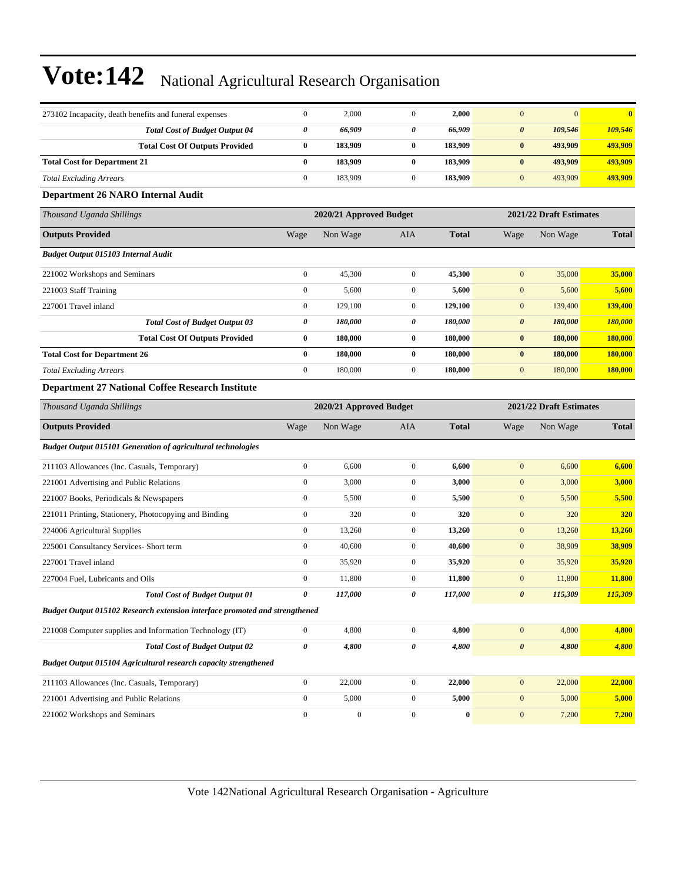| 273102 Incapacity, death benefits and funeral expenses                      | $\boldsymbol{0}$      | 2,000                   | $\boldsymbol{0}$ | 2,000        | $\mathbf{0}$          | $\mathbf{0}$            | $\bf{0}$     |  |
|-----------------------------------------------------------------------------|-----------------------|-------------------------|------------------|--------------|-----------------------|-------------------------|--------------|--|
| <b>Total Cost of Budget Output 04</b>                                       | 0                     | 66,909                  | 0                | 66,909       | $\boldsymbol{\theta}$ | 109,546                 | 109,546      |  |
| <b>Total Cost Of Outputs Provided</b>                                       | $\bf{0}$              | 183,909                 | $\bf{0}$         | 183,909      | $\pmb{0}$             | 493,909                 | 493,909      |  |
| <b>Total Cost for Department 21</b>                                         | $\bf{0}$              | 183,909                 | $\bf{0}$         | 183,909      | $\bf{0}$              | 493,909                 | 493,909      |  |
| <b>Total Excluding Arrears</b>                                              | $\mathbf{0}$          | 183,909                 | $\boldsymbol{0}$ | 183,909      | $\mathbf{0}$          | 493,909                 | 493,909      |  |
| Department 26 NARO Internal Audit                                           |                       |                         |                  |              |                       |                         |              |  |
| Thousand Uganda Shillings                                                   |                       | 2020/21 Approved Budget |                  |              |                       | 2021/22 Draft Estimates |              |  |
| <b>Outputs Provided</b>                                                     | Wage                  | Non Wage                | AIA              | <b>Total</b> | Wage                  | Non Wage                | <b>Total</b> |  |
| Budget Output 015103 Internal Audit                                         |                       |                         |                  |              |                       |                         |              |  |
| 221002 Workshops and Seminars                                               | $\boldsymbol{0}$      | 45,300                  | $\boldsymbol{0}$ | 45,300       | $\mathbf{0}$          | 35,000                  | 35,000       |  |
| 221003 Staff Training                                                       | $\mathbf{0}$          | 5,600                   | $\boldsymbol{0}$ | 5,600        | $\boldsymbol{0}$      | 5,600                   | 5,600        |  |
| 227001 Travel inland                                                        | $\mathbf{0}$          | 129,100                 | $\boldsymbol{0}$ | 129,100      | $\boldsymbol{0}$      | 139,400                 | 139,400      |  |
| <b>Total Cost of Budget Output 03</b>                                       | $\boldsymbol{\theta}$ | 180,000                 | 0                | 180,000      | $\boldsymbol{\theta}$ | 180,000                 | 180,000      |  |
| <b>Total Cost Of Outputs Provided</b>                                       | $\bf{0}$              | 180,000                 | $\bf{0}$         | 180,000      | $\bf{0}$              | 180,000                 | 180,000      |  |
| <b>Total Cost for Department 26</b>                                         | $\bf{0}$              | 180,000                 | $\bf{0}$         | 180,000      | $\bf{0}$              | 180,000                 | 180,000      |  |
| <b>Total Excluding Arrears</b>                                              | $\mathbf{0}$          | 180,000                 | $\boldsymbol{0}$ | 180,000      | $\boldsymbol{0}$      | 180,000                 | 180,000      |  |
| Department 27 National Coffee Research Institute                            |                       |                         |                  |              |                       |                         |              |  |
| Thousand Uganda Shillings                                                   |                       | 2020/21 Approved Budget |                  |              |                       | 2021/22 Draft Estimates |              |  |
| <b>Outputs Provided</b>                                                     | Wage                  | Non Wage                | AIA              | <b>Total</b> | Wage                  | Non Wage                | <b>Total</b> |  |
| <b>Budget Output 015101 Generation of agricultural technologies</b>         |                       |                         |                  |              |                       |                         |              |  |
| 211103 Allowances (Inc. Casuals, Temporary)                                 | $\boldsymbol{0}$      | 6,600                   | $\boldsymbol{0}$ | 6,600        | $\boldsymbol{0}$      | 6,600                   | 6,600        |  |
| 221001 Advertising and Public Relations                                     | $\mathbf{0}$          | 3,000                   | $\boldsymbol{0}$ | 3,000        | $\mathbf{0}$          | 3,000                   | 3,000        |  |
| 221007 Books, Periodicals & Newspapers                                      | $\boldsymbol{0}$      | 5,500                   | $\boldsymbol{0}$ | 5,500        | $\boldsymbol{0}$      | 5,500                   | 5,500        |  |
| 221011 Printing, Stationery, Photocopying and Binding                       | $\boldsymbol{0}$      | 320                     | $\boldsymbol{0}$ | 320          | $\boldsymbol{0}$      | 320                     | 320          |  |
| 224006 Agricultural Supplies                                                | $\mathbf{0}$          | 13,260                  | $\boldsymbol{0}$ | 13,260       | $\boldsymbol{0}$      | 13,260                  | 13,260       |  |
| 225001 Consultancy Services- Short term                                     | $\mathbf{0}$          | 40,600                  | $\boldsymbol{0}$ | 40,600       | $\boldsymbol{0}$      | 38,909                  | 38,909       |  |
| 227001 Travel inland                                                        | $\boldsymbol{0}$      | 35,920                  | $\boldsymbol{0}$ | 35,920       | $\mathbf{0}$          | 35,920                  | 35,920       |  |
| 227004 Fuel, Lubricants and Oils                                            | $\boldsymbol{0}$      | 11,800                  | $\boldsymbol{0}$ | 11,800       | $\boldsymbol{0}$      | 11,800                  | 11,800       |  |
| <b>Total Cost of Budget Output 01</b>                                       | 0                     | 117,000                 | 0                | 117,000      | $\boldsymbol{\theta}$ | 115,309                 | 115,309      |  |
| Budget Output 015102 Research extension interface promoted and strengthened |                       |                         |                  |              |                       |                         |              |  |
| 221008 Computer supplies and Information Technology (IT)                    | $\boldsymbol{0}$      | 4,800                   | $\boldsymbol{0}$ | 4,800        | $\boldsymbol{0}$      | 4,800                   | 4,800        |  |
| <b>Total Cost of Budget Output 02</b>                                       | $\pmb{\theta}$        | 4,800                   | 0                | 4,800        | $\pmb{\theta}$        | 4,800                   | 4,800        |  |
| Budget Output 015104 Agricultural research capacity strengthened            |                       |                         |                  |              |                       |                         |              |  |
| 211103 Allowances (Inc. Casuals, Temporary)                                 | $\boldsymbol{0}$      | 22,000                  | $\boldsymbol{0}$ | 22,000       | $\mathbf{0}$          | 22,000                  | 22,000       |  |
| 221001 Advertising and Public Relations                                     | $\boldsymbol{0}$      | 5,000                   | $\mathbf{0}$     | 5,000        | $\boldsymbol{0}$      | 5,000                   | 5,000        |  |
| 221002 Workshops and Seminars                                               | $\boldsymbol{0}$      | $\boldsymbol{0}$        | $\boldsymbol{0}$ | $\pmb{0}$    | $\boldsymbol{0}$      | 7,200                   | 7,200        |  |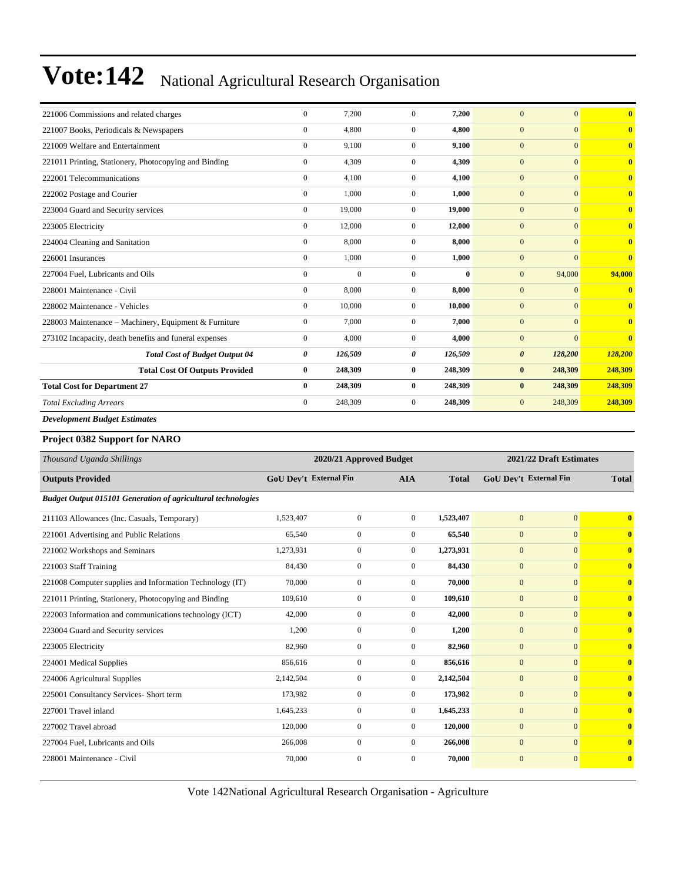| 221006 Commissions and related charges                 | $\Omega$       | 7,200          | $\Omega$     | 7.200    | $\overline{0}$<br>$\overline{0}$ | $\overline{0}$          |
|--------------------------------------------------------|----------------|----------------|--------------|----------|----------------------------------|-------------------------|
| 221007 Books, Periodicals & Newspapers                 | $\mathbf{0}$   | 4,800          | $\mathbf{0}$ | 4,800    | $\mathbf{0}$<br>$\Omega$         | $\overline{\mathbf{0}}$ |
| 221009 Welfare and Entertainment                       | $\mathbf{0}$   | 9,100          | $\mathbf{0}$ | 9,100    | $\mathbf{0}$<br>$\Omega$         | $\mathbf{0}$            |
| 221011 Printing, Stationery, Photocopying and Binding  | $\mathbf{0}$   | 4,309          | $\Omega$     | 4,309    | $\mathbf{0}$<br>$\Omega$         | $\overline{\mathbf{0}}$ |
| 222001 Telecommunications                              | $\mathbf{0}$   | 4,100          | $\mathbf{0}$ | 4,100    | $\mathbf{0}$<br>$\Omega$         | $\overline{0}$          |
| 222002 Postage and Courier                             | $\mathbf{0}$   | 1,000          | $\Omega$     | 1,000    | $\mathbf{0}$<br>$\Omega$         | $\overline{\mathbf{0}}$ |
| 223004 Guard and Security services                     | $\mathbf{0}$   | 19,000         | $\Omega$     | 19,000   | $\mathbf{0}$<br>$\Omega$         | $\overline{\mathbf{0}}$ |
| 223005 Electricity                                     | $\Omega$       | 12,000         | $\Omega$     | 12,000   | $\mathbf{0}$<br>$\Omega$         | $\overline{0}$          |
| 224004 Cleaning and Sanitation                         | $\mathbf{0}$   | 8,000          | $\mathbf{0}$ | 8,000    | $\mathbf{0}$<br>$\Omega$         | $\overline{\mathbf{0}}$ |
| 226001 Insurances                                      | $\mathbf{0}$   | 1,000          | $\mathbf{0}$ | 1,000    | $\mathbf{0}$<br>$\Omega$         | $\overline{\mathbf{0}}$ |
| 227004 Fuel, Lubricants and Oils                       | $\overline{0}$ | $\overline{0}$ | $\mathbf{0}$ | $\bf{0}$ | 94,000<br>$\mathbf{0}$           | 94,000                  |
| 228001 Maintenance - Civil                             | $\mathbf{0}$   | 8,000          | $\mathbf{0}$ | 8,000    | $\mathbf{0}$<br>$\Omega$         | $\overline{\mathbf{0}}$ |
| 228002 Maintenance - Vehicles                          | $\mathbf{0}$   | 10,000         | $\Omega$     | 10,000   | $\boldsymbol{0}$<br>$\Omega$     | $\overline{\mathbf{0}}$ |
| 228003 Maintenance - Machinery, Equipment & Furniture  | $\mathbf{0}$   | 7,000          | $\Omega$     | 7,000    | $\mathbf{0}$<br>$\Omega$         | $\overline{0}$          |
| 273102 Incapacity, death benefits and funeral expenses | $\mathbf{0}$   | 4,000          | $\Omega$     | 4,000    | $\overline{0}$<br>$\Omega$       | $\overline{0}$          |
| <b>Total Cost of Budget Output 04</b>                  | 0              | 126,509        | 0            | 126,509  | $\boldsymbol{\theta}$<br>128,200 | 128,200                 |
| <b>Total Cost Of Outputs Provided</b>                  | $\bf{0}$       | 248,309        | $\bf{0}$     | 248,309  | $\bf{0}$<br>248,309              | 248,309                 |
| <b>Total Cost for Department 27</b>                    | $\bf{0}$       | 248,309        | $\bf{0}$     | 248,309  | 248,309<br>$\bf{0}$              | 248,309                 |
| <b>Total Excluding Arrears</b>                         | $\mathbf{0}$   | 248,309        | $\mathbf{0}$ | 248,309  | $\boldsymbol{0}$<br>248,309      | 248,309                 |
| <b>Development Budget Estimates</b>                    |                |                |              |          |                                  |                         |

#### **Project 0382 Support for NARO**

| Thousand Uganda Shillings                                           |                               | 2020/21 Approved Budget |                |              |                               | 2021/22 Draft Estimates |                         |  |
|---------------------------------------------------------------------|-------------------------------|-------------------------|----------------|--------------|-------------------------------|-------------------------|-------------------------|--|
| <b>Outputs Provided</b>                                             | <b>GoU Dev't External Fin</b> |                         | <b>AIA</b>     | <b>Total</b> | <b>GoU Dev't External Fin</b> |                         | <b>Total</b>            |  |
| <b>Budget Output 015101 Generation of agricultural technologies</b> |                               |                         |                |              |                               |                         |                         |  |
| 211103 Allowances (Inc. Casuals, Temporary)                         | 1,523,407                     | $\overline{0}$          | $\overline{0}$ | 1,523,407    | $\mathbf{0}$                  | $\mathbf{0}$            | $\bf{0}$                |  |
| 221001 Advertising and Public Relations                             | 65,540                        | $\overline{0}$          | $\overline{0}$ | 65,540       | $\mathbf{0}$                  | $\mathbf{0}$            | $\bf{0}$                |  |
| 221002 Workshops and Seminars                                       | 1,273,931                     | $\overline{0}$          | $\overline{0}$ | 1,273,931    | $\mathbf{0}$                  | $\mathbf{0}$            | $\overline{\mathbf{0}}$ |  |
| 221003 Staff Training                                               | 84,430                        | $\boldsymbol{0}$        | $\theta$       | 84,430       | $\mathbf{0}$                  | $\Omega$                | $\bf{0}$                |  |
| 221008 Computer supplies and Information Technology (IT)            | 70,000                        | $\boldsymbol{0}$        | $\overline{0}$ | 70,000       | $\mathbf{0}$                  | $\mathbf{0}$            | $\overline{\mathbf{0}}$ |  |
| 221011 Printing, Stationery, Photocopying and Binding               | 109,610                       | $\boldsymbol{0}$        | $\theta$       | 109,610      | $\mathbf{0}$                  | $\Omega$                | $\mathbf{0}$            |  |
| 222003 Information and communications technology (ICT)              | 42,000                        | $\overline{0}$          | $\overline{0}$ | 42,000       | $\mathbf{0}$                  | $\mathbf{0}$            | $\bf{0}$                |  |
| 223004 Guard and Security services                                  | 1,200                         | $\boldsymbol{0}$        | $\overline{0}$ | 1,200        | $\mathbf{0}$                  | $\mathbf{0}$            | $\overline{\mathbf{0}}$ |  |
| 223005 Electricity                                                  | 82,960                        | $\overline{0}$          | $\overline{0}$ | 82,960       | $\mathbf{0}$                  | $\mathbf{0}$            | $\overline{\mathbf{0}}$ |  |
| 224001 Medical Supplies                                             | 856,616                       | $\boldsymbol{0}$        | $\overline{0}$ | 856,616      | $\mathbf{0}$                  | $\Omega$                | $\mathbf{0}$            |  |
| 224006 Agricultural Supplies                                        | 2,142,504                     | $\overline{0}$          | $\overline{0}$ | 2,142,504    | $\mathbf{0}$                  | $\mathbf{0}$            | $\mathbf{0}$            |  |
| 225001 Consultancy Services- Short term                             | 173,982                       | $\overline{0}$          | $\theta$       | 173,982      | $\mathbf{0}$                  | $\Omega$                | $\mathbf{0}$            |  |
| 227001 Travel inland                                                | 1,645,233                     | $\boldsymbol{0}$        | $\overline{0}$ | 1,645,233    | $\mathbf{0}$                  | $\mathbf{0}$            | $\mathbf{0}$            |  |
| 227002 Travel abroad                                                | 120,000                       | $\boldsymbol{0}$        | $\overline{0}$ | 120,000      | $\mathbf{0}$                  | $\mathbf{0}$            | $\overline{\mathbf{0}}$ |  |
| 227004 Fuel, Lubricants and Oils                                    | 266,008                       | $\overline{0}$          | $\overline{0}$ | 266,008      | $\mathbf{0}$                  | $\mathbf{0}$            | $\overline{\mathbf{0}}$ |  |
| 228001 Maintenance - Civil                                          | 70,000                        | $\mathbf{0}$            | $\overline{0}$ | 70,000       | $\mathbf{0}$                  | $\mathbf{0}$            | $\overline{\mathbf{0}}$ |  |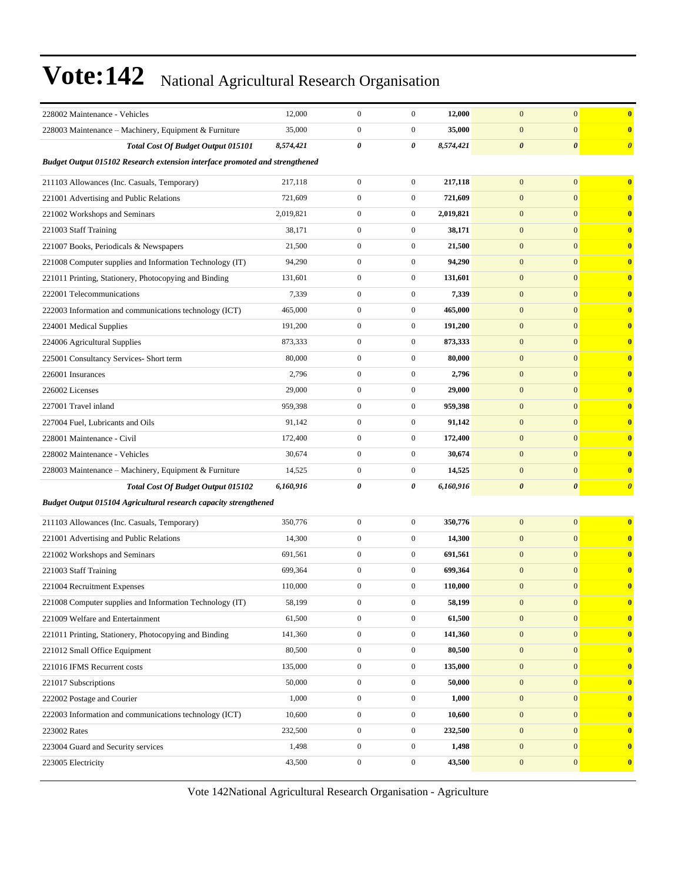| 228002 Maintenance - Vehicles                                                      | 12,000    | $\mathbf{0}$     | $\boldsymbol{0}$ | 12,000    | $\mathbf{0}$          | $\boldsymbol{0}$      | $\bf{0}$              |  |  |
|------------------------------------------------------------------------------------|-----------|------------------|------------------|-----------|-----------------------|-----------------------|-----------------------|--|--|
| 228003 Maintenance - Machinery, Equipment & Furniture                              | 35,000    | $\mathbf{0}$     | $\boldsymbol{0}$ | 35,000    | $\mathbf{0}$          | $\boldsymbol{0}$      | $\bf{0}$              |  |  |
| Total Cost Of Budget Output 015101                                                 | 8,574,421 | 0                | 0                | 8,574,421 | $\boldsymbol{\theta}$ | $\boldsymbol{\theta}$ | $\boldsymbol{\theta}$ |  |  |
| <b>Budget Output 015102 Research extension interface promoted and strengthened</b> |           |                  |                  |           |                       |                       |                       |  |  |
| 211103 Allowances (Inc. Casuals, Temporary)                                        | 217,118   | $\boldsymbol{0}$ | $\boldsymbol{0}$ | 217,118   | $\mathbf{0}$          | $\mathbf{0}$          | $\bf{0}$              |  |  |
| 221001 Advertising and Public Relations                                            | 721,609   | $\boldsymbol{0}$ | $\boldsymbol{0}$ | 721,609   | $\mathbf{0}$          | $\mathbf{0}$          | $\bf{0}$              |  |  |
| 221002 Workshops and Seminars                                                      | 2,019,821 | $\mathbf{0}$     | $\boldsymbol{0}$ | 2,019,821 | $\mathbf{0}$          | $\boldsymbol{0}$      | $\bf{0}$              |  |  |
| 221003 Staff Training                                                              | 38,171    | $\mathbf{0}$     | $\boldsymbol{0}$ | 38,171    | $\mathbf{0}$          | $\boldsymbol{0}$      | $\bf{0}$              |  |  |
| 221007 Books, Periodicals & Newspapers                                             | 21,500    | $\mathbf{0}$     | $\boldsymbol{0}$ | 21,500    | $\mathbf{0}$          | $\mathbf{0}$          | $\bf{0}$              |  |  |
| 221008 Computer supplies and Information Technology (IT)                           | 94,290    | $\boldsymbol{0}$ | $\boldsymbol{0}$ | 94,290    | $\mathbf{0}$          | $\mathbf{0}$          | $\bf{0}$              |  |  |
| 221011 Printing, Stationery, Photocopying and Binding                              | 131,601   | $\boldsymbol{0}$ | $\boldsymbol{0}$ | 131,601   | $\mathbf{0}$          | $\overline{0}$        | $\bf{0}$              |  |  |
| 222001 Telecommunications                                                          | 7,339     | $\mathbf{0}$     | $\boldsymbol{0}$ | 7,339     | $\mathbf{0}$          | $\boldsymbol{0}$      | $\bf{0}$              |  |  |
| 222003 Information and communications technology (ICT)                             | 465,000   | $\boldsymbol{0}$ | $\boldsymbol{0}$ | 465,000   | $\mathbf{0}$          | $\boldsymbol{0}$      | $\bf{0}$              |  |  |
| 224001 Medical Supplies                                                            | 191,200   | $\mathbf{0}$     | $\boldsymbol{0}$ | 191,200   | $\mathbf{0}$          | $\mathbf{0}$          | $\bf{0}$              |  |  |
| 224006 Agricultural Supplies                                                       | 873,333   | $\boldsymbol{0}$ | $\boldsymbol{0}$ | 873,333   | $\boldsymbol{0}$      | $\mathbf{0}$          | $\bf{0}$              |  |  |
| 225001 Consultancy Services- Short term                                            | 80,000    | $\boldsymbol{0}$ | $\boldsymbol{0}$ | 80,000    | $\mathbf{0}$          | $\overline{0}$        | $\bf{0}$              |  |  |
| 226001 Insurances                                                                  | 2,796     | $\boldsymbol{0}$ | $\boldsymbol{0}$ | 2,796     | $\mathbf{0}$          | $\boldsymbol{0}$      | $\bf{0}$              |  |  |
| 226002 Licenses                                                                    | 29,000    | $\boldsymbol{0}$ | $\boldsymbol{0}$ | 29,000    | $\mathbf{0}$          | $\boldsymbol{0}$      | $\bf{0}$              |  |  |
| 227001 Travel inland                                                               | 959,398   | $\mathbf{0}$     | $\boldsymbol{0}$ | 959,398   | $\mathbf{0}$          | $\mathbf{0}$          | $\bf{0}$              |  |  |
| 227004 Fuel, Lubricants and Oils                                                   | 91,142    | $\boldsymbol{0}$ | $\boldsymbol{0}$ | 91,142    | $\boldsymbol{0}$      | $\mathbf{0}$          | $\bf{0}$              |  |  |
| 228001 Maintenance - Civil                                                         | 172,400   | $\boldsymbol{0}$ | $\boldsymbol{0}$ | 172,400   | $\mathbf{0}$          | $\overline{0}$        | $\bf{0}$              |  |  |
| 228002 Maintenance - Vehicles                                                      | 30,674    | $\boldsymbol{0}$ | $\boldsymbol{0}$ | 30,674    | $\mathbf{0}$          | $\boldsymbol{0}$      | $\bf{0}$              |  |  |
| 228003 Maintenance – Machinery, Equipment & Furniture                              | 14,525    | $\boldsymbol{0}$ | $\boldsymbol{0}$ | 14,525    | $\mathbf{0}$          | $\boldsymbol{0}$      | $\bf{0}$              |  |  |
| Total Cost Of Budget Output 015102                                                 | 6,160,916 | 0                | 0                | 6,160,916 | $\boldsymbol{\theta}$ | $\boldsymbol{\theta}$ | $\boldsymbol{\theta}$ |  |  |
| Budget Output 015104 Agricultural research capacity strengthened                   |           |                  |                  |           |                       |                       |                       |  |  |
| 211103 Allowances (Inc. Casuals, Temporary)                                        | 350,776   | $\mathbf{0}$     | $\boldsymbol{0}$ | 350,776   | $\mathbf{0}$          | $\mathbf{0}$          | $\bf{0}$              |  |  |
| 221001 Advertising and Public Relations                                            | 14,300    | $\boldsymbol{0}$ | $\boldsymbol{0}$ | 14,300    | $\mathbf{0}$          | $\mathbf{0}$          | $\bf{0}$              |  |  |
| 221002 Workshops and Seminars                                                      | 691,561   | $\mathbf{0}$     | $\boldsymbol{0}$ | 691,561   | $\mathbf{0}$          | $\boldsymbol{0}$      | $\bf{0}$              |  |  |
| 221003 Staff Training                                                              | 699,364   | $\boldsymbol{0}$ | $\boldsymbol{0}$ | 699,364   | $\mathbf{0}$          | $\boldsymbol{0}$      | $\bf{0}$              |  |  |
| 221004 Recruitment Expenses                                                        | 110,000   | $\mathbf{0}$     | $\boldsymbol{0}$ | 110,000   | $\mathbf{0}$          | $\boldsymbol{0}$      | $\bf{0}$              |  |  |
| 221008 Computer supplies and Information Technology (IT)                           | 58,199    | $\boldsymbol{0}$ | $\overline{0}$   | 58,199    | $\boldsymbol{0}$      | $\boldsymbol{0}$      |                       |  |  |
| 221009 Welfare and Entertainment                                                   | 61,500    | $\boldsymbol{0}$ | $\boldsymbol{0}$ | 61,500    | $\boldsymbol{0}$      | $\boldsymbol{0}$      | $\bf{0}$              |  |  |
| 221011 Printing, Stationery, Photocopying and Binding                              | 141,360   | $\boldsymbol{0}$ | $\boldsymbol{0}$ | 141,360   | $\mathbf{0}$          | $\mathbf{0}$          | $\bf{0}$              |  |  |
| 221012 Small Office Equipment                                                      | 80,500    | $\boldsymbol{0}$ | $\boldsymbol{0}$ | 80,500    | $\boldsymbol{0}$      | $\mathbf{0}$          | $\bf{0}$              |  |  |
| 221016 IFMS Recurrent costs                                                        | 135,000   | $\boldsymbol{0}$ | $\boldsymbol{0}$ | 135,000   | $\mathbf{0}$          | $\mathbf{0}$          | $\bf{0}$              |  |  |
| 221017 Subscriptions                                                               | 50,000    | $\boldsymbol{0}$ | $\boldsymbol{0}$ | 50,000    | $\mathbf{0}$          | $\boldsymbol{0}$      | $\bf{0}$              |  |  |
| 222002 Postage and Courier                                                         | 1,000     | $\boldsymbol{0}$ | $\boldsymbol{0}$ | 1,000     | $\boldsymbol{0}$      | $\mathbf{0}$          | $\bf{0}$              |  |  |
| 222003 Information and communications technology (ICT)                             | 10,600    | $\boldsymbol{0}$ | $\boldsymbol{0}$ | 10,600    | $\mathbf{0}$          | $\mathbf{0}$          | $\bf{0}$              |  |  |
| 223002 Rates                                                                       | 232,500   | $\boldsymbol{0}$ | $\boldsymbol{0}$ | 232,500   | $\boldsymbol{0}$      | $\mathbf{0}$          | $\bf{0}$              |  |  |
| 223004 Guard and Security services                                                 | 1,498     | $\boldsymbol{0}$ | $\boldsymbol{0}$ | 1,498     | $\mathbf{0}$          | $\mathbf{0}$          | $\bf{0}$              |  |  |
| 223005 Electricity                                                                 | 43,500    | $\boldsymbol{0}$ | $\boldsymbol{0}$ | 43,500    | $\mathbf{0}$          | $\boldsymbol{0}$      | $\bf{0}$              |  |  |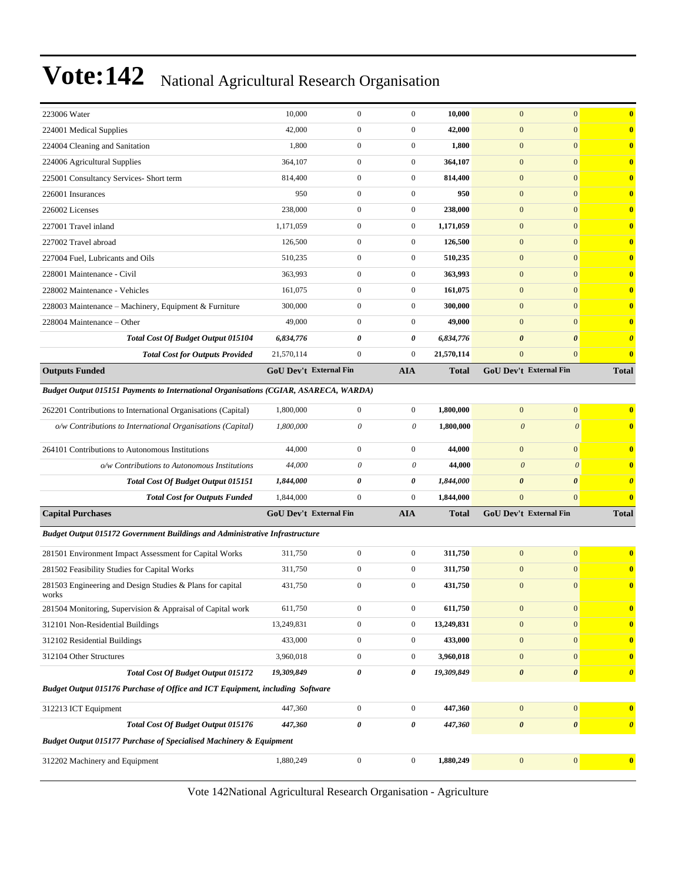| 223006 Water                                                                                | 10,000                        | $\mathbf{0}$     | $\boldsymbol{0}$ | 10,000       | $\mathbf{0}$          | $\mathbf{0}$           | $\mathbf{0}$            |
|---------------------------------------------------------------------------------------------|-------------------------------|------------------|------------------|--------------|-----------------------|------------------------|-------------------------|
| 224001 Medical Supplies                                                                     | 42,000                        | $\mathbf{0}$     | $\boldsymbol{0}$ | 42,000       | $\boldsymbol{0}$      | $\mathbf{0}$           | $\bf{0}$                |
| 224004 Cleaning and Sanitation                                                              | 1,800                         | $\mathbf{0}$     | $\boldsymbol{0}$ | 1,800        | $\mathbf{0}$          | $\mathbf{0}$           | $\mathbf{0}$            |
| 224006 Agricultural Supplies                                                                | 364,107                       | $\boldsymbol{0}$ | $\boldsymbol{0}$ | 364,107      | $\mathbf{0}$          | $\mathbf{0}$           | $\mathbf{0}$            |
| 225001 Consultancy Services- Short term                                                     | 814,400                       | $\mathbf{0}$     | $\overline{0}$   | 814,400      | $\mathbf{0}$          | $\mathbf{0}$           | $\overline{\mathbf{0}}$ |
| 226001 Insurances                                                                           | 950                           | $\boldsymbol{0}$ | $\overline{0}$   | 950          | $\overline{0}$        | $\overline{0}$         | $\mathbf{0}$            |
| 226002 Licenses                                                                             | 238,000                       | $\mathbf{0}$     | $\mathbf{0}$     | 238,000      | $\mathbf{0}$          | $\mathbf{0}$           | $\mathbf{0}$            |
| 227001 Travel inland                                                                        | 1,171,059                     | $\mathbf{0}$     | $\mathbf{0}$     | 1,171,059    | $\mathbf{0}$          | $\mathbf{0}$           | $\mathbf{0}$            |
| 227002 Travel abroad                                                                        | 126,500                       | $\boldsymbol{0}$ | $\mathbf{0}$     | 126,500      | $\mathbf{0}$          | $\mathbf{0}$           | $\mathbf{0}$            |
| 227004 Fuel. Lubricants and Oils                                                            | 510,235                       | $\mathbf{0}$     | $\overline{0}$   | 510,235      | $\mathbf{0}$          | $\mathbf{0}$           | $\overline{\mathbf{0}}$ |
| 228001 Maintenance - Civil                                                                  | 363,993                       | $\boldsymbol{0}$ | $\boldsymbol{0}$ | 363,993      | $\mathbf{0}$          | $\overline{0}$         | $\mathbf{0}$            |
| 228002 Maintenance - Vehicles                                                               | 161,075                       | $\mathbf{0}$     | $\mathbf{0}$     | 161,075      | $\mathbf{0}$          | $\mathbf{0}$           | $\mathbf{0}$            |
| 228003 Maintenance - Machinery, Equipment & Furniture                                       | 300,000                       | $\mathbf{0}$     | $\boldsymbol{0}$ | 300,000      | $\mathbf{0}$          | $\mathbf{0}$           | $\mathbf{0}$            |
| 228004 Maintenance – Other                                                                  | 49,000                        | $\mathbf{0}$     | $\boldsymbol{0}$ | 49,000       | $\mathbf{0}$          | $\mathbf{0}$           | $\bf{0}$                |
| Total Cost Of Budget Output 015104                                                          | 6,834,776                     | 0                | 0                | 6,834,776    | $\boldsymbol{\theta}$ | $\boldsymbol{\theta}$  | $\boldsymbol{\theta}$   |
| <b>Total Cost for Outputs Provided</b>                                                      | 21,570,114                    | $\boldsymbol{0}$ | $\mathbf{0}$     | 21,570,114   | $\overline{0}$        | $\mathbf{0}$           | $\bf{0}$                |
| <b>Outputs Funded</b>                                                                       | <b>GoU Dev't External Fin</b> |                  | <b>AIA</b>       | <b>Total</b> |                       | GoU Dev't External Fin | <b>Total</b>            |
| <b>Budget Output 015151 Payments to International Organisations (CGIAR, ASARECA, WARDA)</b> |                               |                  |                  |              |                       |                        |                         |
| 262201 Contributions to International Organisations (Capital)                               | 1,800,000                     | $\boldsymbol{0}$ | $\mathbf{0}$     | 1,800,000    | $\mathbf{0}$          | $\boldsymbol{0}$       | $\overline{\mathbf{0}}$ |
| o/w Contributions to International Organisations (Capital)                                  | 1,800,000                     | 0                | 0                | 1,800,000    | $\boldsymbol{\theta}$ | $\boldsymbol{\theta}$  | $\mathbf{0}$            |
|                                                                                             |                               |                  |                  |              |                       |                        |                         |
| 264101 Contributions to Autonomous Institutions                                             | 44,000                        | $\boldsymbol{0}$ | $\boldsymbol{0}$ | 44,000       | $\mathbf{0}$          | $\mathbf{0}$           | $\mathbf{0}$            |
| o/w Contributions to Autonomous Institutions                                                | 44,000                        | 0                | 0                | 44,000       | $\boldsymbol{\theta}$ | $\theta$               | $\overline{\mathbf{0}}$ |
| <b>Total Cost Of Budget Output 015151</b>                                                   | 1,844,000                     | 0                | 0                | 1,844,000    | $\boldsymbol{\theta}$ | $\boldsymbol{\theta}$  | $\boldsymbol{\theta}$   |
| <b>Total Cost for Outputs Funded</b>                                                        | 1,844,000                     | $\boldsymbol{0}$ | $\boldsymbol{0}$ | 1,844,000    | $\overline{0}$        | $\overline{0}$         | $\bf{0}$                |
| <b>Capital Purchases</b>                                                                    | <b>GoU Dev't External Fin</b> |                  | <b>AIA</b>       | <b>Total</b> |                       | GoU Dev't External Fin | <b>Total</b>            |
| Budget Output 015172 Government Buildings and Administrative Infrastructure                 |                               |                  |                  |              |                       |                        |                         |
| 281501 Environment Impact Assessment for Capital Works                                      | 311,750                       | $\boldsymbol{0}$ | $\boldsymbol{0}$ | 311,750      | $\mathbf{0}$          | $\mathbf{0}$           | $\bf{0}$                |
| 281502 Feasibility Studies for Capital Works                                                | 311,750                       | $\boldsymbol{0}$ | $\boldsymbol{0}$ | 311,750      | $\boldsymbol{0}$      | $\mathbf{0}$           | $\mathbf{0}$            |
| 281503 Engineering and Design Studies & Plans for capital                                   | 431,750                       | $\mathbf{0}$     | $\mathbf{0}$     | 431,750      | $\mathbf{0}$          | $\boldsymbol{0}$       | $\bf{0}$                |
| works                                                                                       |                               |                  |                  |              |                       |                        |                         |
| 281504 Monitoring, Supervision & Appraisal of Capital work                                  | 611,750                       | $\boldsymbol{0}$ | $\boldsymbol{0}$ | 611,750      | $\bf{0}$              | $\boldsymbol{0}$       | $\bf{0}$                |
| 312101 Non-Residential Buildings                                                            | 13,249,831                    | $\boldsymbol{0}$ | $\boldsymbol{0}$ | 13,249,831   | $\boldsymbol{0}$      | $\boldsymbol{0}$       | $\bf{0}$                |
| 312102 Residential Buildings                                                                | 433,000                       | $\boldsymbol{0}$ | $\boldsymbol{0}$ | 433,000      | $\mathbf{0}$          | $\mathbf{0}$           | $\bf{0}$                |
| 312104 Other Structures                                                                     | 3,960,018                     | $\boldsymbol{0}$ | $\boldsymbol{0}$ | 3,960,018    | $\bf{0}$              | $\boldsymbol{0}$       | $\mathbf{0}$            |
| <b>Total Cost Of Budget Output 015172</b>                                                   | 19,309,849                    | 0                | 0                | 19,309,849   | $\boldsymbol{\theta}$ | $\boldsymbol{\theta}$  | $\boldsymbol{\theta}$   |
| Budget Output 015176 Purchase of Office and ICT Equipment, including Software               |                               |                  |                  |              |                       |                        |                         |
| 312213 ICT Equipment                                                                        | 447,360                       | $\boldsymbol{0}$ | $\boldsymbol{0}$ | 447,360      | $\mathbf{0}$          | $\boldsymbol{0}$       | $\overline{\mathbf{0}}$ |
| Total Cost Of Budget Output 015176                                                          | 447,360                       | 0                | 0                | 447,360      | $\pmb{\theta}$        | $\pmb{\theta}$         | $\boldsymbol{\theta}$   |
| <b>Budget Output 015177 Purchase of Specialised Machinery &amp; Equipment</b>               |                               |                  |                  |              |                       |                        |                         |
| 312202 Machinery and Equipment                                                              | 1,880,249                     | $\boldsymbol{0}$ | $\boldsymbol{0}$ | 1,880,249    | $\mathbf{0}$          | $\boldsymbol{0}$       | $\bf{0}$                |
|                                                                                             |                               |                  |                  |              |                       |                        |                         |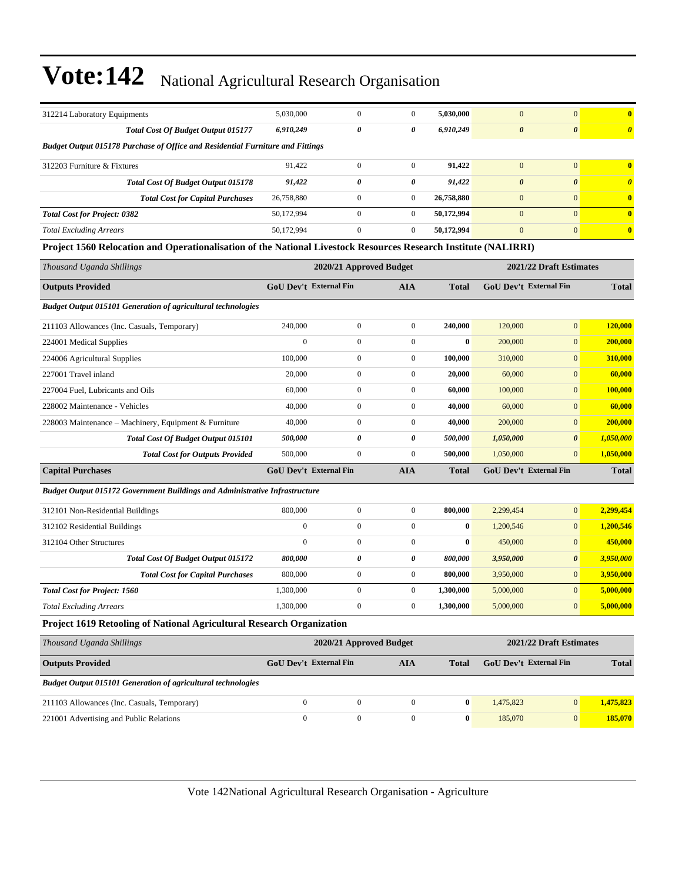| 312214 Laboratory Equipments                                                                                    | 5,030,000                     | $\mathbf{0}$            | $\boldsymbol{0}$        | 5,030,000    | $\mathbf{0}$          | $\mathbf{0}$                  | $\bf{0}$                |
|-----------------------------------------------------------------------------------------------------------------|-------------------------------|-------------------------|-------------------------|--------------|-----------------------|-------------------------------|-------------------------|
| Total Cost Of Budget Output 015177                                                                              | 6,910,249                     | 0                       | 0                       | 6,910,249    | $\boldsymbol{\theta}$ | $\boldsymbol{\theta}$         | $\boldsymbol{\theta}$   |
| <b>Budget Output 015178 Purchase of Office and Residential Furniture and Fittings</b>                           |                               |                         |                         |              |                       |                               |                         |
| 312203 Furniture & Fixtures                                                                                     | 91,422                        | $\boldsymbol{0}$        | $\boldsymbol{0}$        | 91,422       | $\mathbf{0}$          | $\mathbf{0}$                  | $\overline{\mathbf{0}}$ |
| <b>Total Cost Of Budget Output 015178</b>                                                                       | 91,422                        | 0                       | 0                       | 91,422       | $\boldsymbol{\theta}$ | $\boldsymbol{\theta}$         | $\boldsymbol{\theta}$   |
| <b>Total Cost for Capital Purchases</b>                                                                         | 26,758,880                    | $\boldsymbol{0}$        | $\boldsymbol{0}$        | 26,758,880   | $\mathbf{0}$          | $\mathbf{0}$                  | $\bf{0}$                |
| <b>Total Cost for Project: 0382</b>                                                                             | 50,172,994                    | $\boldsymbol{0}$        | $\overline{0}$          | 50,172,994   | $\mathbf{0}$          | $\mathbf{0}$                  | $\bf{0}$                |
| <b>Total Excluding Arrears</b>                                                                                  | 50,172,994                    | $\mathbf{0}$            | $\mathbf{0}$            | 50,172,994   | $\mathbf{0}$          | $\mathbf{0}$                  | $\bf{0}$                |
| Project 1560 Relocation and Operationalisation of the National Livestock Resources Research Institute (NALIRRI) |                               |                         |                         |              |                       |                               |                         |
| Thousand Uganda Shillings                                                                                       |                               | 2020/21 Approved Budget |                         |              |                       | 2021/22 Draft Estimates       |                         |
| <b>Outputs Provided</b>                                                                                         | GoU Dev't External Fin        |                         | <b>AIA</b>              | <b>Total</b> |                       | GoU Dev't External Fin        | <b>Total</b>            |
| <b>Budget Output 015101 Generation of agricultural technologies</b>                                             |                               |                         |                         |              |                       |                               |                         |
| 211103 Allowances (Inc. Casuals, Temporary)                                                                     | 240,000                       | $\boldsymbol{0}$        | $\boldsymbol{0}$        | 240,000      | 120,000               | $\mathbf{0}$                  | 120,000                 |
| 224001 Medical Supplies                                                                                         | $\mathbf{0}$                  | $\boldsymbol{0}$        | $\overline{0}$          | $\bf{0}$     | 200,000               | $\mathbf{0}$                  | 200,000                 |
| 224006 Agricultural Supplies                                                                                    | 100,000                       | $\boldsymbol{0}$        | $\boldsymbol{0}$        | 100,000      | 310,000               | $\mathbf{0}$                  | 310,000                 |
| 227001 Travel inland                                                                                            | 20,000                        | $\mathbf{0}$            | $\overline{0}$          | 20,000       | 60,000                | $\mathbf{0}$                  | 60,000                  |
| 227004 Fuel, Lubricants and Oils                                                                                | 60,000                        | $\boldsymbol{0}$        | $\boldsymbol{0}$        | 60,000       | 100,000               | $\mathbf{0}$                  | 100,000                 |
| 228002 Maintenance - Vehicles                                                                                   | 40,000                        | $\boldsymbol{0}$        | $\overline{0}$          | 40,000       | 60,000                | $\mathbf{0}$                  | 60,000                  |
| 228003 Maintenance - Machinery, Equipment & Furniture                                                           | 40,000                        | $\boldsymbol{0}$        | $\boldsymbol{0}$        | 40,000       | 200,000               | $\mathbf{0}$                  | 200,000                 |
| Total Cost Of Budget Output 015101                                                                              | 500,000                       | 0                       | 0                       | 500,000      | 1,050,000             | $\boldsymbol{\theta}$         | 1,050,000               |
| <b>Total Cost for Outputs Provided</b>                                                                          | 500,000                       | $\mathbf{0}$            | $\overline{0}$          | 500,000      | 1,050,000             | $\overline{0}$                | 1,050,000               |
| <b>Capital Purchases</b>                                                                                        | <b>GoU Dev't External Fin</b> |                         | <b>AIA</b>              | <b>Total</b> |                       | <b>GoU Dev't External Fin</b> | <b>Total</b>            |
| <b>Budget Output 015172 Government Buildings and Administrative Infrastructure</b>                              |                               |                         |                         |              |                       |                               |                         |
| 312101 Non-Residential Buildings                                                                                | 800,000                       | $\mathbf{0}$            | $\boldsymbol{0}$        | 800,000      | 2,299,454             | $\mathbf{0}$                  | 2,299,454               |
| 312102 Residential Buildings                                                                                    | $\boldsymbol{0}$              | $\boldsymbol{0}$        | $\boldsymbol{0}$        | $\bf{0}$     | 1,200,546             | $\mathbf{0}$                  | 1,200,546               |
| 312104 Other Structures                                                                                         | $\mathbf{0}$                  | $\boldsymbol{0}$        | $\overline{0}$          | $\bf{0}$     | 450,000               | $\mathbf{0}$                  | 450,000                 |
| <b>Total Cost Of Budget Output 015172</b>                                                                       | 800,000                       | 0                       | 0                       | 800,000      | 3,950,000             | $\boldsymbol{\theta}$         | 3,950,000               |
| <b>Total Cost for Capital Purchases</b>                                                                         | 800,000                       | $\mathbf{0}$            | $\boldsymbol{0}$        | 800,000      | 3,950,000             | $\mathbf{0}$                  | 3,950,000               |
| <b>Total Cost for Project: 1560</b>                                                                             | 1,300,000                     | $\boldsymbol{0}$        | $\boldsymbol{0}$        | 1,300,000    | 5,000,000             | $\mathbf{0}$                  | 5,000,000               |
| <b>Total Excluding Arrears</b>                                                                                  | 1,300,000                     | $\boldsymbol{0}$        | $\boldsymbol{0}$        | 1,300,000    | 5,000,000             | 0                             | 5,000,000               |
| Project 1619 Retooling of National Agricultural Research Organization                                           |                               |                         |                         |              |                       |                               |                         |
| Thousand Uganda Shillings                                                                                       |                               |                         | 2020/21 Approved Budget |              |                       | 2021/22 Draft Estimates       |                         |
| <b>Outputs Provided</b>                                                                                         | GoU Dev't External Fin        |                         | <b>AIA</b>              | <b>Total</b> |                       | GoU Dev't External Fin        | <b>Total</b>            |
| <b>Budget Output 015101 Generation of agricultural technologies</b>                                             |                               |                         |                         |              |                       |                               |                         |
| 211103 Allowances (Inc. Casuals, Temporary)                                                                     | $\mathbf{0}$                  | $\boldsymbol{0}$        | $\boldsymbol{0}$        | $\bf{0}$     | 1,475,823             | $\boldsymbol{0}$              | 1,475,823               |
| 221001 Advertising and Public Relations                                                                         | $\boldsymbol{0}$              | $\boldsymbol{0}$        | $\boldsymbol{0}$        | $\bf{0}$     | 185,070               | $\mathbf{0}$                  | 185,070                 |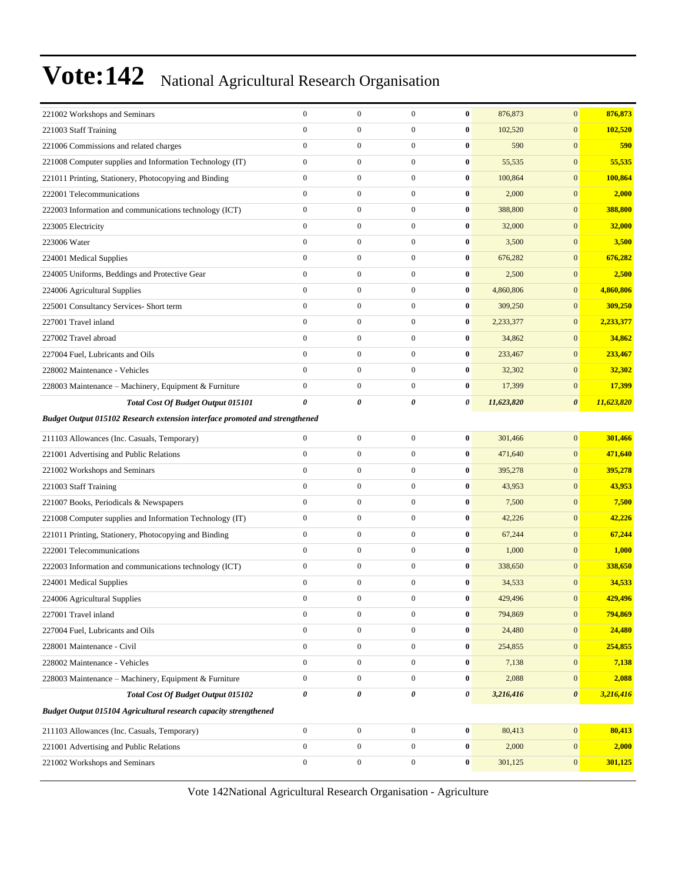| 221002 Workshops and Seminars                                                      | $\boldsymbol{0}$ | $\mathbf{0}$     | $\boldsymbol{0}$ | $\bf{0}$              | 876,873    | $\mathbf{0}$          | 876,873    |
|------------------------------------------------------------------------------------|------------------|------------------|------------------|-----------------------|------------|-----------------------|------------|
| 221003 Staff Training                                                              | $\boldsymbol{0}$ | $\boldsymbol{0}$ | $\boldsymbol{0}$ | $\bf{0}$              | 102,520    | $\mathbf{0}$          | 102,520    |
| 221006 Commissions and related charges                                             | $\boldsymbol{0}$ | $\boldsymbol{0}$ | $\boldsymbol{0}$ | $\bf{0}$              | 590        | $\mathbf{0}$          | 590        |
| 221008 Computer supplies and Information Technology (IT)                           | $\mathbf{0}$     | $\boldsymbol{0}$ | $\boldsymbol{0}$ | $\bf{0}$              | 55,535     | $\mathbf{0}$          | 55,535     |
| 221011 Printing, Stationery, Photocopying and Binding                              | $\boldsymbol{0}$ | $\boldsymbol{0}$ | $\boldsymbol{0}$ | $\bf{0}$              | 100,864    | $\mathbf{0}$          | 100,864    |
| 222001 Telecommunications                                                          | $\mathbf{0}$     | $\mathbf{0}$     | $\boldsymbol{0}$ | $\bf{0}$              | 2,000      | $\mathbf{0}$          | 2,000      |
| 222003 Information and communications technology (ICT)                             | $\boldsymbol{0}$ | $\boldsymbol{0}$ | $\boldsymbol{0}$ | $\bf{0}$              | 388,800    | $\mathbf{0}$          | 388,800    |
| 223005 Electricity                                                                 | $\boldsymbol{0}$ | $\boldsymbol{0}$ | $\boldsymbol{0}$ | $\bf{0}$              | 32,000     | $\mathbf{0}$          | 32,000     |
| 223006 Water                                                                       | $\boldsymbol{0}$ | $\boldsymbol{0}$ | $\boldsymbol{0}$ | $\bf{0}$              | 3,500      | $\mathbf{0}$          | 3,500      |
| 224001 Medical Supplies                                                            | $\mathbf{0}$     | $\boldsymbol{0}$ | $\boldsymbol{0}$ | $\bf{0}$              | 676,282    | $\mathbf{0}$          | 676,282    |
| 224005 Uniforms, Beddings and Protective Gear                                      | $\mathbf{0}$     | $\boldsymbol{0}$ | $\boldsymbol{0}$ | $\bf{0}$              | 2,500      | $\mathbf{0}$          | 2,500      |
| 224006 Agricultural Supplies                                                       | $\boldsymbol{0}$ | $\boldsymbol{0}$ | $\boldsymbol{0}$ | $\bf{0}$              | 4,860,806  | $\mathbf{0}$          | 4,860,806  |
| 225001 Consultancy Services- Short term                                            | $\boldsymbol{0}$ | $\boldsymbol{0}$ | $\boldsymbol{0}$ | $\bf{0}$              | 309,250    | $\mathbf{0}$          | 309,250    |
| 227001 Travel inland                                                               | $\boldsymbol{0}$ | $\boldsymbol{0}$ | $\boldsymbol{0}$ | $\bf{0}$              | 2,233,377  | $\mathbf{0}$          | 2,233,377  |
| 227002 Travel abroad                                                               | $\mathbf{0}$     | $\boldsymbol{0}$ | $\boldsymbol{0}$ | $\bf{0}$              | 34,862     | $\mathbf{0}$          | 34,862     |
| 227004 Fuel, Lubricants and Oils                                                   | $\mathbf{0}$     | $\mathbf{0}$     | $\boldsymbol{0}$ | $\bf{0}$              | 233,467    | $\mathbf{0}$          | 233,467    |
| 228002 Maintenance - Vehicles                                                      | $\mathbf{0}$     | $\boldsymbol{0}$ | $\boldsymbol{0}$ | $\bf{0}$              | 32,302     | $\mathbf{0}$          | 32,302     |
| 228003 Maintenance - Machinery, Equipment & Furniture                              | $\boldsymbol{0}$ | $\boldsymbol{0}$ | $\boldsymbol{0}$ | $\bf{0}$              | 17,399     | $\mathbf{0}$          | 17,399     |
| Total Cost Of Budget Output 015101                                                 | 0                | 0                | 0                | 0                     | 11,623,820 | $\boldsymbol{\theta}$ | 11,623,820 |
| <b>Budget Output 015102 Research extension interface promoted and strengthened</b> |                  |                  |                  |                       |            |                       |            |
| 211103 Allowances (Inc. Casuals, Temporary)                                        | $\overline{0}$   | $\boldsymbol{0}$ | $\boldsymbol{0}$ | $\bf{0}$              | 301,466    | $\mathbf{0}$          | 301,466    |
| 221001 Advertising and Public Relations                                            | $\boldsymbol{0}$ | $\boldsymbol{0}$ | $\boldsymbol{0}$ | $\bf{0}$              | 471,640    | $\mathbf{0}$          | 471,640    |
| 221002 Workshops and Seminars                                                      | $\mathbf{0}$     | $\boldsymbol{0}$ | $\boldsymbol{0}$ | $\bf{0}$              | 395,278    | $\mathbf{0}$          | 395,278    |
| 221003 Staff Training                                                              | $\mathbf{0}$     | $\boldsymbol{0}$ | $\boldsymbol{0}$ | $\bf{0}$              | 43,953     | $\mathbf{0}$          | 43,953     |
| 221007 Books, Periodicals & Newspapers                                             | $\mathbf{0}$     | $\boldsymbol{0}$ | $\boldsymbol{0}$ | $\bf{0}$              | 7,500      | $\mathbf{0}$          | 7,500      |
| 221008 Computer supplies and Information Technology (IT)                           | $\boldsymbol{0}$ | $\boldsymbol{0}$ | $\boldsymbol{0}$ | $\bf{0}$              | 42,226     | $\mathbf{0}$          | 42,226     |
| 221011 Printing, Stationery, Photocopying and Binding                              | $\boldsymbol{0}$ | $\boldsymbol{0}$ | $\boldsymbol{0}$ | $\bf{0}$              | 67,244     | $\mathbf{0}$          | 67,244     |
| 222001 Telecommunications                                                          | $\boldsymbol{0}$ | $\boldsymbol{0}$ | $\boldsymbol{0}$ | $\bf{0}$              | 1,000      | $\mathbf{0}$          | 1,000      |
| 222003 Information and communications technology (ICT)                             | $\boldsymbol{0}$ | $\boldsymbol{0}$ | $\boldsymbol{0}$ | $\bf{0}$              | 338,650    | $\mathbf{0}$          | 338,650    |
| 224001 Medical Supplies                                                            | $\boldsymbol{0}$ | $\boldsymbol{0}$ | $\boldsymbol{0}$ | $\bf{0}$              | 34,533     | $\mathbf{0}$          | 34,533     |
| 224006 Agricultural Supplies                                                       | $\Omega$         | $\mathbf{0}$     | $\mathbf{0}$     | $\bf{0}$              | 429,496    | $\mathbf{0}$          | 429,496    |
| 227001 Travel inland                                                               | $\overline{0}$   | $\boldsymbol{0}$ | $\boldsymbol{0}$ | $\bf{0}$              | 794,869    | $\boldsymbol{0}$      | 794,869    |
| 227004 Fuel, Lubricants and Oils                                                   | $\overline{0}$   | $\boldsymbol{0}$ | $\boldsymbol{0}$ | $\bf{0}$              | 24,480     | $\boldsymbol{0}$      | 24,480     |
| 228001 Maintenance - Civil                                                         | $\boldsymbol{0}$ | $\boldsymbol{0}$ | $\boldsymbol{0}$ | $\bf{0}$              | 254,855    | $\mathbf{0}$          | 254,855    |
| 228002 Maintenance - Vehicles                                                      | $\overline{0}$   | $\boldsymbol{0}$ | $\boldsymbol{0}$ | $\bf{0}$              | 7,138      | $\mathbf{0}$          | 7,138      |
| 228003 Maintenance - Machinery, Equipment & Furniture                              | $\overline{0}$   | $\boldsymbol{0}$ | $\boldsymbol{0}$ | $\bf{0}$              | 2,088      | $\mathbf{0}$          | 2,088      |
| Total Cost Of Budget Output 015102                                                 | 0                | $\pmb{\theta}$   | 0                | $\boldsymbol{\theta}$ | 3,216,416  | $\boldsymbol{\theta}$ | 3,216,416  |
| Budget Output 015104 Agricultural research capacity strengthened                   |                  |                  |                  |                       |            |                       |            |
| 211103 Allowances (Inc. Casuals, Temporary)                                        | $\overline{0}$   | $\boldsymbol{0}$ | $\boldsymbol{0}$ | $\boldsymbol{0}$      | 80,413     | $\boldsymbol{0}$      | 80,413     |
| 221001 Advertising and Public Relations                                            | $\boldsymbol{0}$ | $\boldsymbol{0}$ | $\boldsymbol{0}$ | $\bf{0}$              | 2,000      | $\mathbf{0}$          | 2,000      |
| 221002 Workshops and Seminars                                                      | $\overline{0}$   | $\boldsymbol{0}$ | $\boldsymbol{0}$ | $\bf{0}$              | 301,125    | $\mathbf{0}$          | 301,125    |
|                                                                                    |                  |                  |                  |                       |            |                       |            |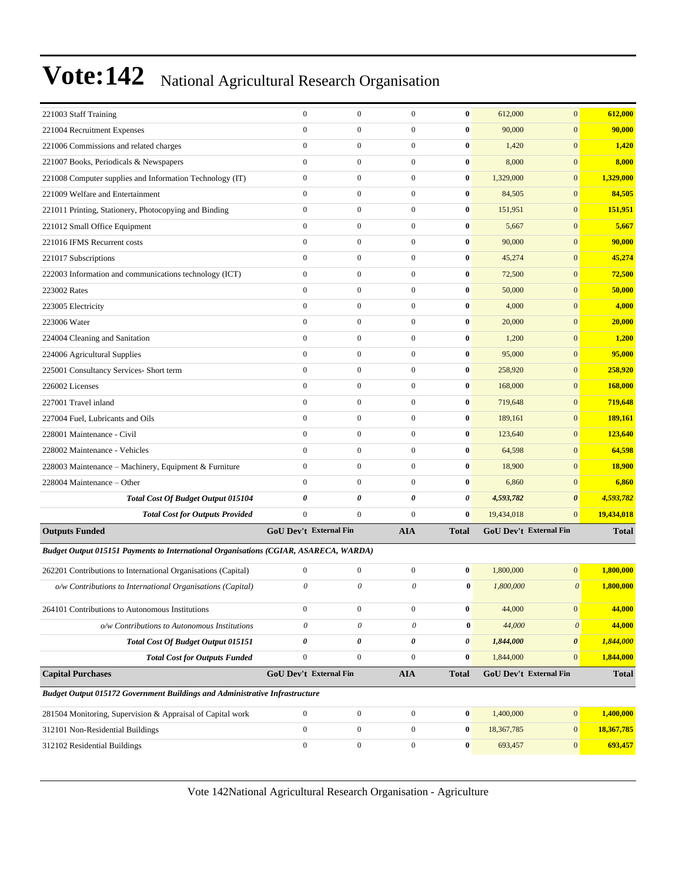| 221003 Staff Training                                                                | $\mathbf{0}$              | $\boldsymbol{0}$ | $\mathbf{0}$              | $\bf{0}$         | 612,000                | $\mathbf{0}$          | 612,000      |
|--------------------------------------------------------------------------------------|---------------------------|------------------|---------------------------|------------------|------------------------|-----------------------|--------------|
| 221004 Recruitment Expenses                                                          | $\mathbf{0}$              | $\boldsymbol{0}$ | $\boldsymbol{0}$          | $\bf{0}$         | 90,000                 | $\mathbf{0}$          | 90,000       |
| 221006 Commissions and related charges                                               | $\mathbf{0}$              | $\overline{0}$   | $\boldsymbol{0}$          | $\bf{0}$         | 1,420                  | $\mathbf{0}$          | 1,420        |
| 221007 Books, Periodicals & Newspapers                                               | $\mathbf{0}$              | $\boldsymbol{0}$ | $\mathbf{0}$              | $\bf{0}$         | 8,000                  | $\mathbf{0}$          | 8,000        |
| 221008 Computer supplies and Information Technology (IT)                             | $\mathbf{0}$              | $\overline{0}$   | $\boldsymbol{0}$          | $\bf{0}$         | 1,329,000              | $\mathbf{0}$          | 1,329,000    |
| 221009 Welfare and Entertainment                                                     | $\mathbf{0}$              | $\boldsymbol{0}$ | $\boldsymbol{0}$          | $\bf{0}$         | 84,505                 | $\mathbf{0}$          | 84,505       |
| 221011 Printing, Stationery, Photocopying and Binding                                | $\mathbf{0}$              | $\boldsymbol{0}$ | $\boldsymbol{0}$          | $\bf{0}$         | 151,951                | $\mathbf{0}$          | 151,951      |
| 221012 Small Office Equipment                                                        | $\mathbf{0}$              | $\boldsymbol{0}$ | $\boldsymbol{0}$          | $\bf{0}$         | 5,667                  | $\mathbf{0}$          | 5,667        |
| 221016 IFMS Recurrent costs                                                          | $\mathbf{0}$              | $\boldsymbol{0}$ | $\boldsymbol{0}$          | $\bf{0}$         | 90,000                 | $\mathbf{0}$          | 90,000       |
| 221017 Subscriptions                                                                 | $\mathbf{0}$              | $\overline{0}$   | $\boldsymbol{0}$          | $\bf{0}$         | 45,274                 | $\mathbf{0}$          | 45,274       |
| 222003 Information and communications technology (ICT)                               | $\mathbf{0}$              | $\boldsymbol{0}$ | $\boldsymbol{0}$          | $\bf{0}$         | 72,500                 | $\mathbf{0}$          | 72,500       |
| 223002 Rates                                                                         | $\mathbf{0}$              | $\boldsymbol{0}$ | $\boldsymbol{0}$          | $\bf{0}$         | 50,000                 | $\boldsymbol{0}$      | 50,000       |
| 223005 Electricity                                                                   | $\mathbf{0}$              | $\boldsymbol{0}$ | $\boldsymbol{0}$          | $\bf{0}$         | 4,000                  | $\mathbf{0}$          | 4,000        |
| 223006 Water                                                                         | $\mathbf{0}$              | $\boldsymbol{0}$ | $\boldsymbol{0}$          | $\bf{0}$         | 20,000                 | $\mathbf{0}$          | 20,000       |
| 224004 Cleaning and Sanitation                                                       | $\mathbf{0}$              | $\overline{0}$   | $\boldsymbol{0}$          | $\bf{0}$         | 1,200                  | $\mathbf{0}$          | 1,200        |
| 224006 Agricultural Supplies                                                         | $\mathbf{0}$              | $\boldsymbol{0}$ | $\boldsymbol{0}$          | $\bf{0}$         | 95,000                 | $\mathbf{0}$          | 95,000       |
| 225001 Consultancy Services- Short term                                              | $\mathbf{0}$              | $\boldsymbol{0}$ | $\boldsymbol{0}$          | $\bf{0}$         | 258,920                | $\mathbf{0}$          | 258,920      |
| 226002 Licenses                                                                      | $\mathbf{0}$              | $\boldsymbol{0}$ | $\boldsymbol{0}$          | $\bf{0}$         | 168,000                | $\mathbf{0}$          | 168,000      |
| 227001 Travel inland                                                                 | $\mathbf{0}$              | $\boldsymbol{0}$ | $\boldsymbol{0}$          | $\bf{0}$         | 719,648                | $\mathbf{0}$          | 719,648      |
| 227004 Fuel, Lubricants and Oils                                                     | $\mathbf{0}$              | $\overline{0}$   | $\boldsymbol{0}$          | $\bf{0}$         | 189,161                | $\mathbf{0}$          | 189,161      |
| 228001 Maintenance - Civil                                                           | $\mathbf{0}$              | $\boldsymbol{0}$ | $\boldsymbol{0}$          | $\bf{0}$         | 123,640                | $\mathbf{0}$          | 123,640      |
| 228002 Maintenance - Vehicles                                                        | $\mathbf{0}$              | $\boldsymbol{0}$ | $\boldsymbol{0}$          | $\bf{0}$         | 64,598                 | $\boldsymbol{0}$      | 64,598       |
| 228003 Maintenance - Machinery, Equipment & Furniture                                | $\mathbf{0}$              | $\boldsymbol{0}$ | $\boldsymbol{0}$          | $\bf{0}$         | 18,900                 | $\mathbf{0}$          | 18,900       |
| 228004 Maintenance - Other                                                           | $\mathbf{0}$              | $\boldsymbol{0}$ | $\mathbf{0}$              | $\bf{0}$         | 6,860                  | $\mathbf{0}$          | 6,860        |
| Total Cost Of Budget Output 015104                                                   | 0                         | 0                | $\boldsymbol{\theta}$     | 0                | 4,593,782              | $\boldsymbol{\theta}$ | 4,593,782    |
| <b>Total Cost for Outputs Provided</b>                                               | $\mathbf{0}$              | $\boldsymbol{0}$ | $\mathbf{0}$              | $\bf{0}$         | 19,434,018             | $\mathbf{0}$          | 19,434,018   |
| <b>Outputs Funded</b>                                                                | GoU Dev't External Fin    |                  | <b>AIA</b>                | <b>Total</b>     | GoU Dev't External Fin |                       | <b>Total</b> |
| Budget Output 015151 Payments to International Organisations (CGIAR, ASARECA, WARDA) |                           |                  |                           |                  |                        |                       |              |
| 262201 Contributions to International Organisations (Capital)                        | $\mathbf{0}$              | $\boldsymbol{0}$ | $\boldsymbol{0}$          | $\bf{0}$         | 1,800,000              | $\mathbf{0}$          | 1,800,000    |
| o/w Contributions to International Organisations (Capital)                           | 0                         | 0                | 0                         | $\bf{0}$         | 1,800,000              | $\theta$              | 1,800,000    |
|                                                                                      |                           |                  |                           |                  |                        |                       |              |
| 264101 Contributions to Autonomous Institutions                                      | $\boldsymbol{0}$          | $\boldsymbol{0}$ | $\boldsymbol{0}$          | $\boldsymbol{0}$ | 44,000                 | $\vert 0 \vert$       | 44,000       |
| o/w Contributions to Autonomous Institutions                                         | $\boldsymbol{\mathit{0}}$ | 0                | $\boldsymbol{\mathit{0}}$ | $\bf{0}$         | 44,000                 | $\boldsymbol{\theta}$ | 44,000       |
| Total Cost Of Budget Output 015151                                                   | 0                         | 0                | 0                         | 0                | 1,844,000              | $\boldsymbol{\theta}$ | 1,844,000    |
| <b>Total Cost for Outputs Funded</b>                                                 | $\boldsymbol{0}$          | $\boldsymbol{0}$ | $\boldsymbol{0}$          | $\bf{0}$         | 1,844,000              | $\mathbf{0}$          | 1,844,000    |
| <b>Capital Purchases</b>                                                             | GoU Dev't External Fin    |                  | <b>AIA</b>                | <b>Total</b>     | GoU Dev't External Fin |                       | <b>Total</b> |
| Budget Output 015172 Government Buildings and Administrative Infrastructure          |                           |                  |                           |                  |                        |                       |              |
| 281504 Monitoring, Supervision & Appraisal of Capital work                           | $\boldsymbol{0}$          | $\boldsymbol{0}$ | $\mathbf{0}$              | $\bf{0}$         | 1,400,000              | $\vert 0 \vert$       | 1,400,000    |
| 312101 Non-Residential Buildings                                                     | $\mathbf{0}$              | $\boldsymbol{0}$ | $\boldsymbol{0}$          | 0                | 18,367,785             | $\mathbf{0}$          | 18,367,785   |
| 312102 Residential Buildings                                                         | $\boldsymbol{0}$          | $\boldsymbol{0}$ | $\boldsymbol{0}$          | 0                | 693,457                | $\mathbf{0}$          | 693,457      |
|                                                                                      |                           |                  |                           |                  |                        |                       |              |